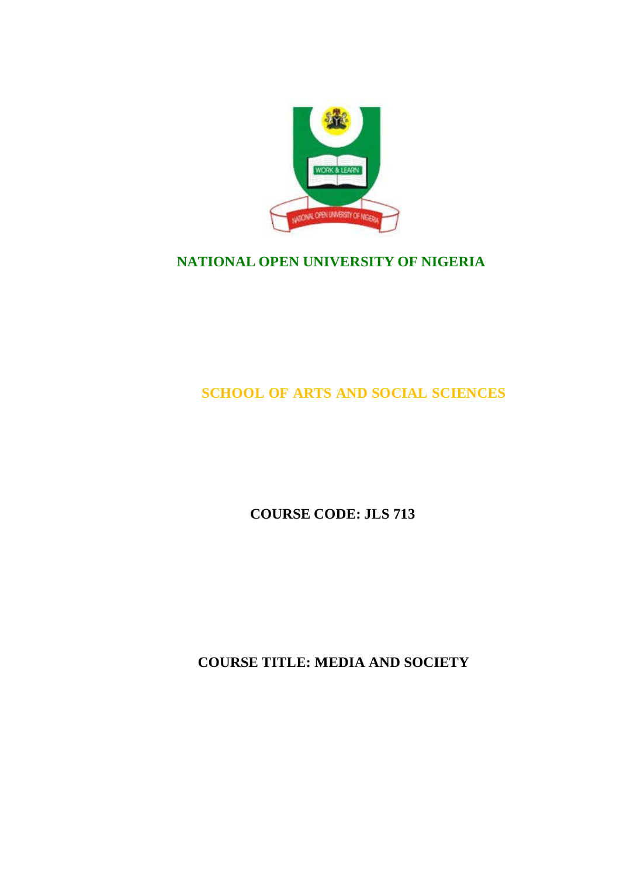

# **NATIONAL OPEN UNIVERSITY OF NIGERIA**

# **SCHOOL OF ARTS AND SOCIAL SCIENCES**

# **COURSE CODE: JLS 713**

**COURSE TITLE: MEDIA AND SOCIETY**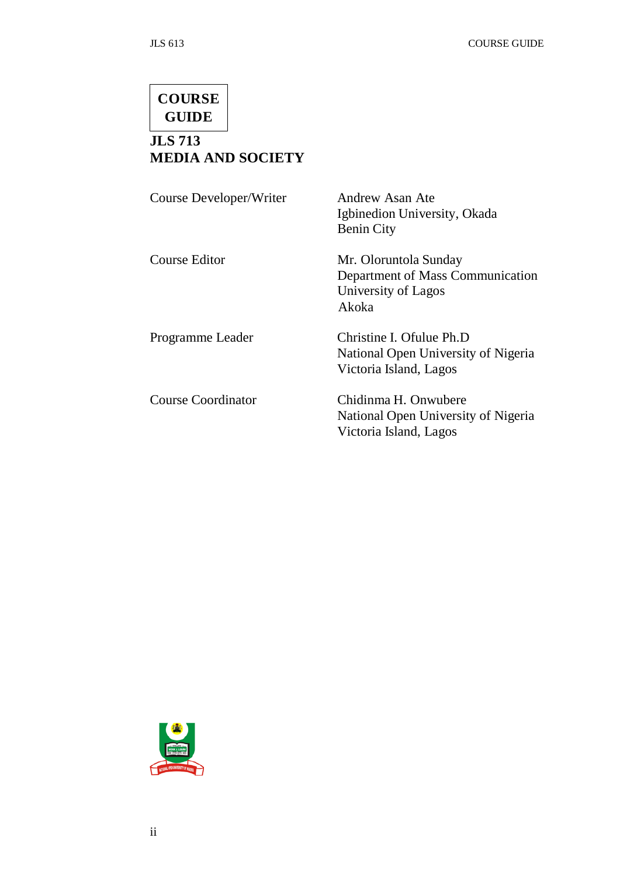# **COURSE GUIDE**

# **JLS 713 MEDIA AND SOCIETY**

| Course Developer/Writer   | Andrew Asan Ate<br>Igbinedion University, Okada<br><b>Benin City</b>                      |
|---------------------------|-------------------------------------------------------------------------------------------|
| Course Editor             | Mr. Oloruntola Sunday<br>Department of Mass Communication<br>University of Lagos<br>Akoka |
| Programme Leader          | Christine I. Ofulue Ph.D<br>National Open University of Nigeria<br>Victoria Island, Lagos |
| <b>Course Coordinator</b> | Chidinma H. Onwubere<br>National Open University of Nigeria<br>Victoria Island, Lagos     |

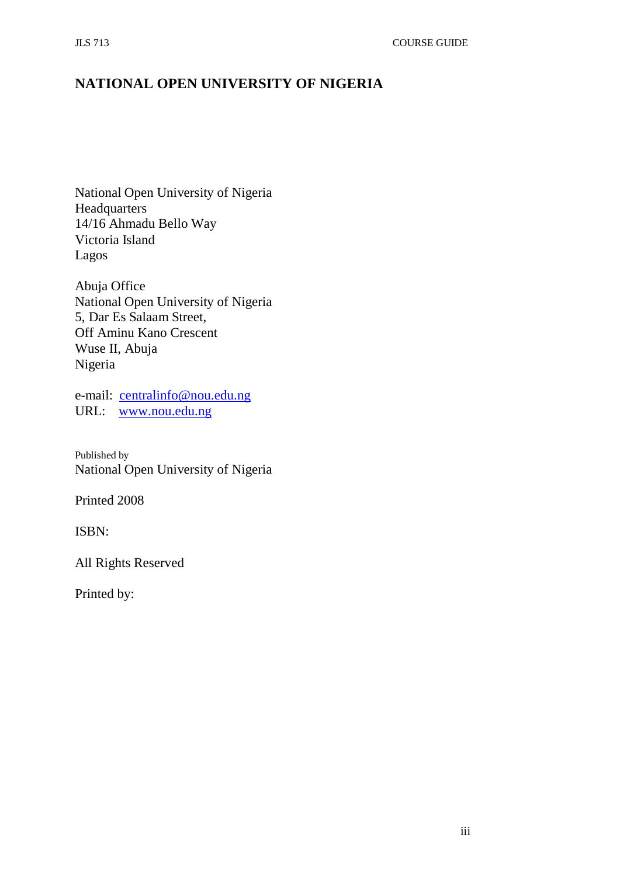# **NATIONAL OPEN UNIVERSITY OF NIGERIA**

National Open University of Nigeria Headquarters 14/16 Ahmadu Bello Way Victoria Island Lagos

Abuja Office National Open University of Nigeria 5, Dar Es Salaam Street, Off Aminu Kano Crescent Wuse II, Abuja Nigeria

e-mail: [centralinfo@nou.edu.ng](mailto:centralinfo@nou.edu.ng) URL: [www.nou.edu.ng](http://www.nou.edu.ng/)

Published by National Open University of Nigeria

Printed 2008

ISBN:

All Rights Reserved

Printed by: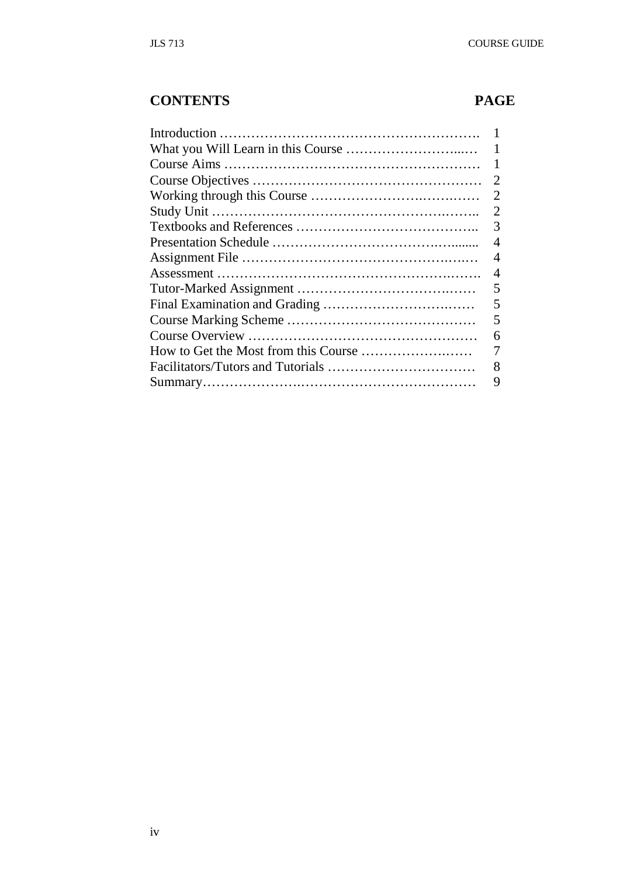# **CONTENTS PAGE**

| 2 |
|---|
| 2 |
| 2 |
| 3 |
| 4 |
| 4 |
| 4 |
| 5 |
| 5 |
| 5 |
| 6 |
|   |
| 8 |
| 9 |
|   |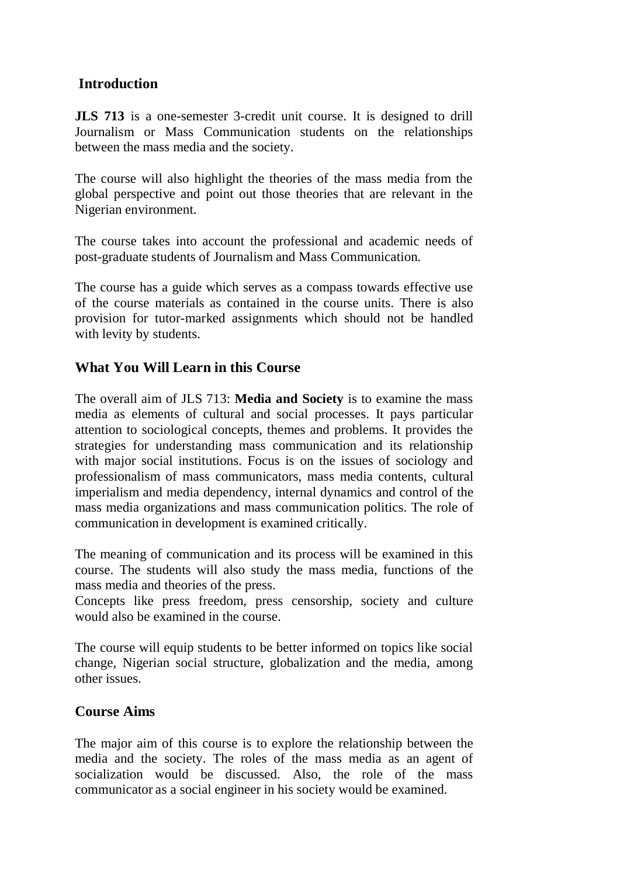# **Introduction**

**JLS 713** is a one-semester 3-credit unit course. It is designed to drill Journalism or Mass Communication students on the relationships between the mass media and the society.

The course will also highlight the theories of the mass media from the global perspective and point out those theories that are relevant in the Nigerian environment.

The course takes into account the professional and academic needs of post-graduate students of Journalism and Mass Communication.

The course has a guide which serves as a compass towards effective use of the course materials as contained in the course units. There is also provision for tutor-marked assignments which should not be handled with levity by students.

# **What You Will Learn in this Course**

The overall aim of JLS 713: **Media and Society** is to examine the mass media as elements of cultural and social processes. It pays particular attention to sociological concepts, themes and problems. It provides the strategies for understanding mass communication and its relationship with major social institutions. Focus is on the issues of sociology and professionalism of mass communicators, mass media contents, cultural imperialism and media dependency, internal dynamics and control of the mass media organizations and mass communication politics. The role of communication in development is examined critically.

The meaning of communication and its process will be examined in this course. The students will also study the mass media, functions of the mass media and theories of the press.

Concepts like press freedom, press censorship, society and culture would also be examined in the course.

The course will equip students to be better informed on topics like social change, Nigerian social structure, globalization and the media, among other issues.

### **Course Aims**

The major aim of this course is to explore the relationship between the media and the society. The roles of the mass media as an agent of socialization would be discussed. Also, the role of the mass communicator as a social engineer in his society would be examined.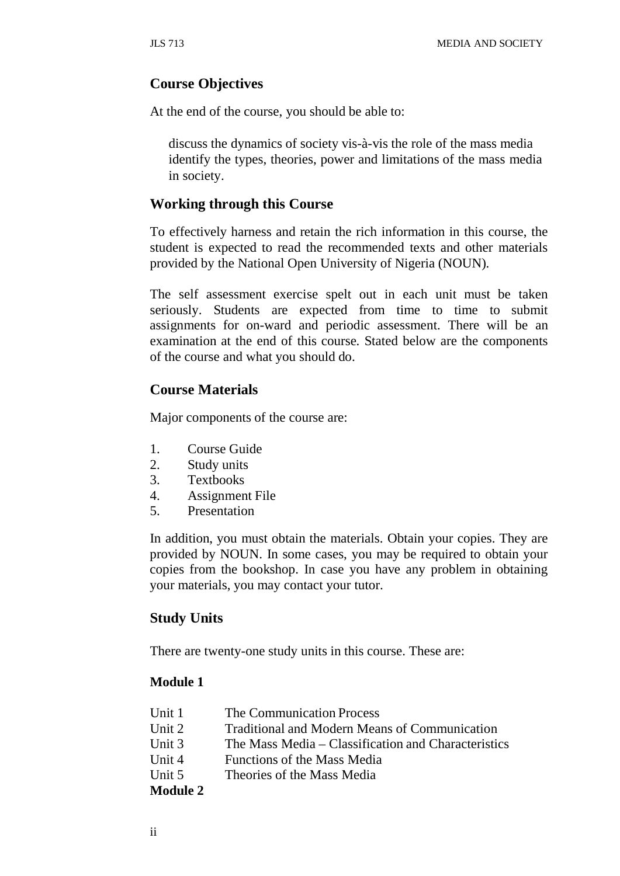### **Course Objectives**

At the end of the course, you should be able to:

discuss the dynamics of society vis-à-vis the role of the mass media identify the types, theories, power and limitations of the mass media in society.

#### **Working through this Course**

To effectively harness and retain the rich information in this course, the student is expected to read the recommended texts and other materials provided by the National Open University of Nigeria (NOUN).

The self assessment exercise spelt out in each unit must be taken seriously. Students are expected from time to time to submit assignments for on-ward and periodic assessment. There will be an examination at the end of this course. Stated below are the components of the course and what you should do.

### **Course Materials**

Major components of the course are:

- 1. Course Guide
- 2. Study units
- 3. Textbooks
- 4. Assignment File
- 5. Presentation

In addition, you must obtain the materials. Obtain your copies. They are provided by NOUN. In some cases, you may be required to obtain your copies from the bookshop. In case you have any problem in obtaining your materials, you may contact your tutor.

### **Study Units**

There are twenty-one study units in this course. These are:

#### **Module 1**

| Unit 1          | The Communication Process                            |
|-----------------|------------------------------------------------------|
| Unit 2          | <b>Traditional and Modern Means of Communication</b> |
| Unit 3          | The Mass Media – Classification and Characteristics  |
| Unit 4          | Functions of the Mass Media                          |
| Unit 5          | Theories of the Mass Media                           |
| <b>Module 2</b> |                                                      |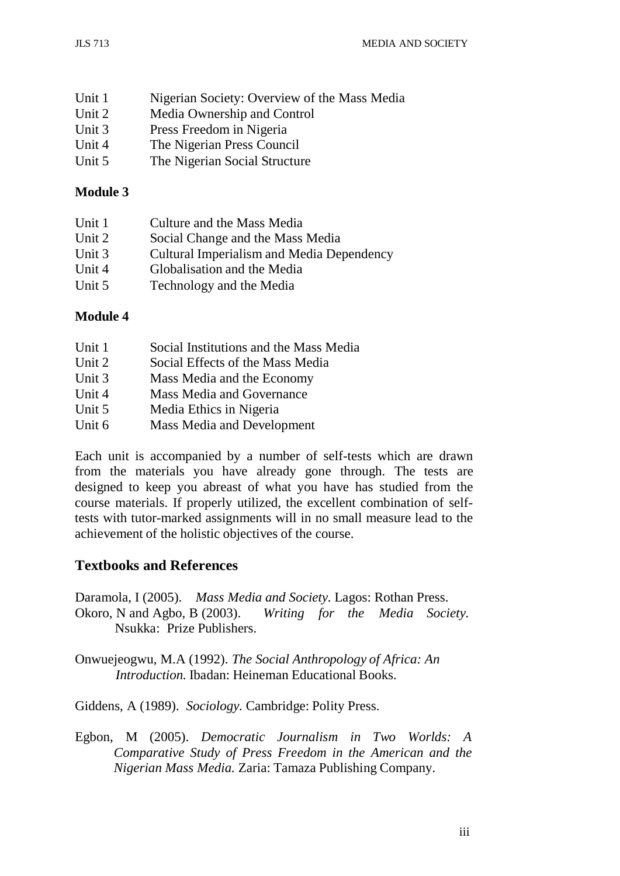| Unit 1 | Nigerian Society: Overview of the Mass Media |
|--------|----------------------------------------------|
| Unit 2 | Media Ownership and Control                  |
| Unit 3 | Press Freedom in Nigeria                     |
| Unit 4 | The Nigerian Press Council                   |
| Unit 5 | The Nigerian Social Structure                |

## **Module 3**

| Unit 1 | Culture and the Mass Media                |
|--------|-------------------------------------------|
| Unit 2 | Social Change and the Mass Media          |
| Unit 3 | Cultural Imperialism and Media Dependency |
| Unit 4 | Globalisation and the Media               |
| Unit 5 | Technology and the Media                  |

### **Module 4**

| Unit 1 | Social Institutions and the Mass Media |
|--------|----------------------------------------|
| Unit 2 | Social Effects of the Mass Media       |
| Unit 3 | Mass Media and the Economy             |
| Unit 4 | <b>Mass Media and Governance</b>       |
| Unit 5 | Media Ethics in Nigeria                |
| Unit 6 | <b>Mass Media and Development</b>      |

Each unit is accompanied by a number of self-tests which are drawn from the materials you have already gone through. The tests are designed to keep you abreast of what you have has studied from the course materials. If properly utilized, the excellent combination of selftests with tutor-marked assignments will in no small measure lead to the achievement of the holistic objectives of the course.

# **Textbooks and References**

Daramola, I (2005). *Mass Media and Society.* Lagos: Rothan Press. Okoro, N and Agbo, B (2003). *Writing for the Media Society.* Nsukka: Prize Publishers.

Onwuejeogwu, M.A (1992). *The Social Anthropology of Africa: An Introduction.* Ibadan: Heineman Educational Books.

Giddens, A (1989). *Sociology.* Cambridge: Polity Press.

Egbon, M (2005). *Democratic Journalism in Two Worlds: A Comparative Study of Press Freedom in the American and the Nigerian Mass Media.* Zaria: Tamaza Publishing Company.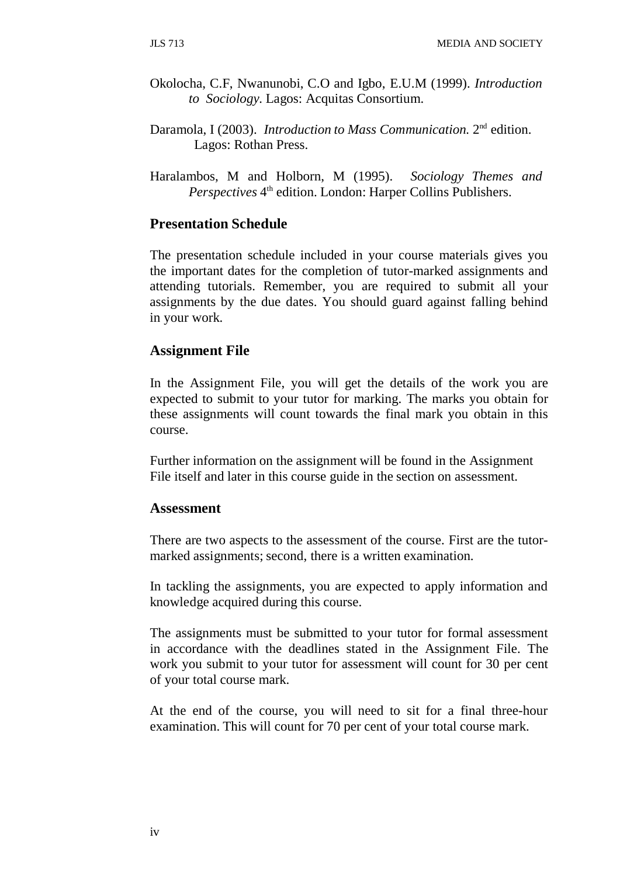- Okolocha, C.F, Nwanunobi, C.O and Igbo, E.U.M (1999). *Introduction to Sociology.* Lagos: Acquitas Consortium.
- Daramola, I (2003). *Introduction to Mass Communication.* 2nd edition. Lagos: Rothan Press.
- Haralambos, M and Holborn, M (1995). *Sociology Themes and Perspectives* 4<sup>th</sup> edition. London: Harper Collins Publishers.

### **Presentation Schedule**

The presentation schedule included in your course materials gives you the important dates for the completion of tutor-marked assignments and attending tutorials. Remember, you are required to submit all your assignments by the due dates. You should guard against falling behind in your work.

#### **Assignment File**

In the Assignment File, you will get the details of the work you are expected to submit to your tutor for marking. The marks you obtain for these assignments will count towards the final mark you obtain in this course.

Further information on the assignment will be found in the Assignment File itself and later in this course guide in the section on assessment.

#### **Assessment**

There are two aspects to the assessment of the course. First are the tutormarked assignments; second, there is a written examination.

In tackling the assignments, you are expected to apply information and knowledge acquired during this course.

The assignments must be submitted to your tutor for formal assessment in accordance with the deadlines stated in the Assignment File. The work you submit to your tutor for assessment will count for 30 per cent of your total course mark.

At the end of the course, you will need to sit for a final three-hour examination. This will count for 70 per cent of your total course mark.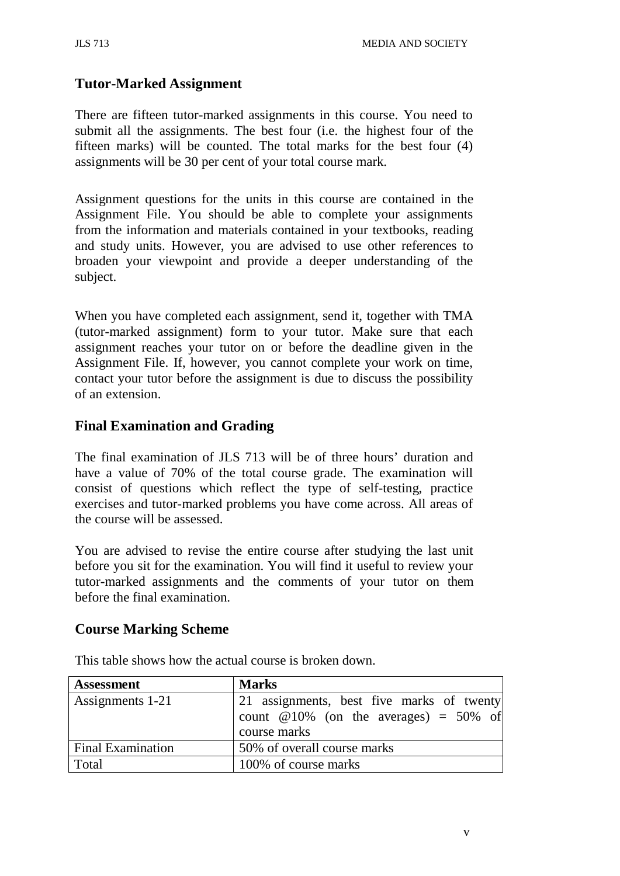# **Tutor-Marked Assignment**

There are fifteen tutor-marked assignments in this course. You need to submit all the assignments. The best four (i.e. the highest four of the fifteen marks) will be counted. The total marks for the best four (4) assignments will be 30 per cent of your total course mark.

Assignment questions for the units in this course are contained in the Assignment File. You should be able to complete your assignments from the information and materials contained in your textbooks, reading and study units. However, you are advised to use other references to broaden your viewpoint and provide a deeper understanding of the subject.

When you have completed each assignment, send it, together with TMA (tutor-marked assignment) form to your tutor. Make sure that each assignment reaches your tutor on or before the deadline given in the Assignment File. If, however, you cannot complete your work on time, contact your tutor before the assignment is due to discuss the possibility of an extension.

# **Final Examination and Grading**

The final examination of JLS 713 will be of three hours' duration and have a value of 70% of the total course grade. The examination will consist of questions which reflect the type of self-testing, practice exercises and tutor-marked problems you have come across. All areas of the course will be assessed.

You are advised to revise the entire course after studying the last unit before you sit for the examination. You will find it useful to review your tutor-marked assignments and the comments of your tutor on them before the final examination.

### **Course Marking Scheme**

| <b>Assessment</b>        | <b>Marks</b>                                                                          |
|--------------------------|---------------------------------------------------------------------------------------|
| Assignments 1-21         | 21 assignments, best five marks of twenty<br>count $@10\%$ (on the averages) = 50% of |
|                          | course marks                                                                          |
| <b>Final Examination</b> | 50% of overall course marks                                                           |
| Total                    | 100% of course marks                                                                  |

This table shows how the actual course is broken down.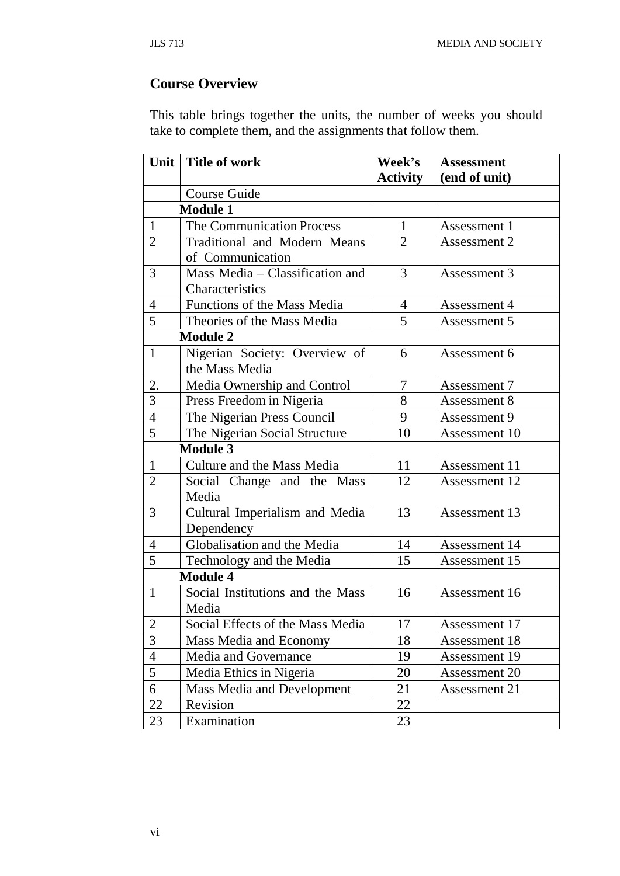# **Course Overview**

This table brings together the units, the number of weeks you should take to complete them, and the assignments that follow them.

| Unit           | <b>Title of work</b>              | Week's          | <b>Assessment</b> |
|----------------|-----------------------------------|-----------------|-------------------|
|                |                                   | <b>Activity</b> | (end of unit)     |
|                | Course Guide                      |                 |                   |
|                | <b>Module 1</b>                   |                 |                   |
| 1              | <b>The Communication Process</b>  | $\mathbf{1}$    | Assessment 1      |
| $\overline{2}$ | Traditional and Modern Means      | $\overline{2}$  | Assessment 2      |
|                | of Communication                  |                 |                   |
| 3              | Mass Media - Classification and   | 3               | Assessment 3      |
|                | Characteristics                   |                 |                   |
| $\overline{4}$ | Functions of the Mass Media       | $\overline{4}$  | Assessment 4      |
| 5              | Theories of the Mass Media        | 5               | Assessment 5      |
|                | <b>Module 2</b>                   |                 |                   |
| $\mathbf{1}$   | Nigerian Society: Overview of     | 6               | Assessment 6      |
|                | the Mass Media                    |                 |                   |
| 2.             | Media Ownership and Control       | 7               | Assessment 7      |
| 3              | Press Freedom in Nigeria          | 8               | Assessment 8      |
| $\overline{4}$ | The Nigerian Press Council        | 9               | Assessment 9      |
| 5              | The Nigerian Social Structure     | 10              | Assessment 10     |
|                | <b>Module 3</b>                   |                 |                   |
| $\mathbf{1}$   | Culture and the Mass Media        | 11              | Assessment 11     |
| $\overline{2}$ | Social Change and the Mass        | 12              | Assessment 12     |
|                | Media                             |                 |                   |
| 3              | Cultural Imperialism and Media    | 13              | Assessment 13     |
|                | Dependency                        |                 |                   |
| 4              | Globalisation and the Media       | 14              | Assessment 14     |
| 5              | Technology and the Media          | 15              | Assessment 15     |
|                | <b>Module 4</b>                   |                 |                   |
| $\mathbf{1}$   | Social Institutions and the Mass  | 16              | Assessment 16     |
|                | Media                             |                 |                   |
| 2              | Social Effects of the Mass Media  | 17              | Assessment 17     |
| 3              | Mass Media and Economy            | 18              | Assessment 18     |
| $\overline{4}$ | Media and Governance              | 19              | Assessment 19     |
| 5              | Media Ethics in Nigeria           | 20              | Assessment 20     |
| 6              | <b>Mass Media and Development</b> | 21              | Assessment 21     |
| 22             | Revision                          | 22              |                   |
| 23             | Examination                       | 23              |                   |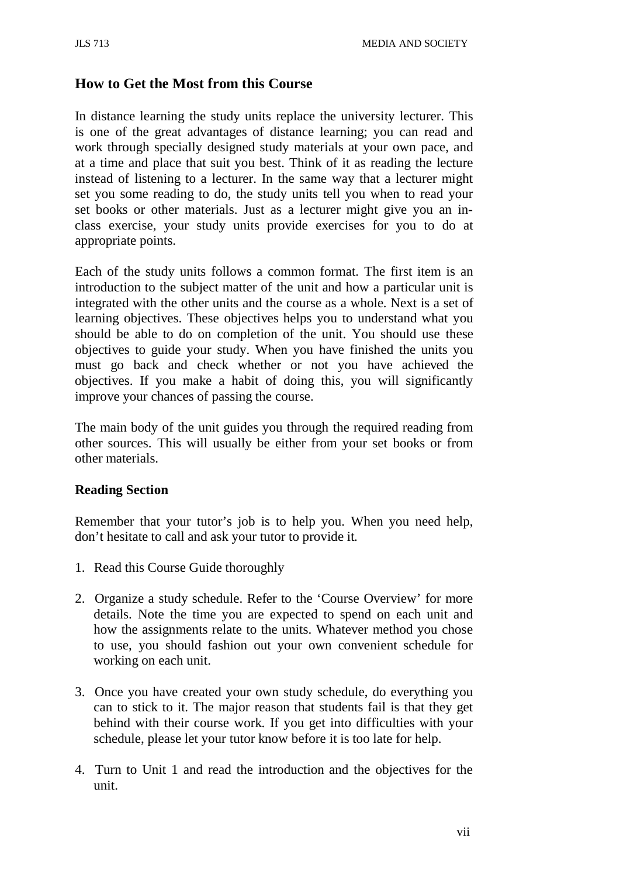# **How to Get the Most from this Course**

In distance learning the study units replace the university lecturer. This is one of the great advantages of distance learning; you can read and work through specially designed study materials at your own pace, and at a time and place that suit you best. Think of it as reading the lecture instead of listening to a lecturer. In the same way that a lecturer might set you some reading to do, the study units tell you when to read your set books or other materials. Just as a lecturer might give you an inclass exercise, your study units provide exercises for you to do at appropriate points.

Each of the study units follows a common format. The first item is an introduction to the subject matter of the unit and how a particular unit is integrated with the other units and the course as a whole. Next is a set of learning objectives. These objectives helps you to understand what you should be able to do on completion of the unit. You should use these objectives to guide your study. When you have finished the units you must go back and check whether or not you have achieved the objectives. If you make a habit of doing this, you will significantly improve your chances of passing the course.

The main body of the unit guides you through the required reading from other sources. This will usually be either from your set books or from other materials.

### **Reading Section**

Remember that your tutor's job is to help you. When you need help, don't hesitate to call and ask your tutor to provide it.

- 1. Read this Course Guide thoroughly
- 2. Organize a study schedule. Refer to the 'Course Overview' for more details. Note the time you are expected to spend on each unit and how the assignments relate to the units. Whatever method you chose to use, you should fashion out your own convenient schedule for working on each unit.
- 3. Once you have created your own study schedule, do everything you can to stick to it. The major reason that students fail is that they get behind with their course work. If you get into difficulties with your schedule, please let your tutor know before it is too late for help.
- 4. Turn to Unit 1 and read the introduction and the objectives for the unit.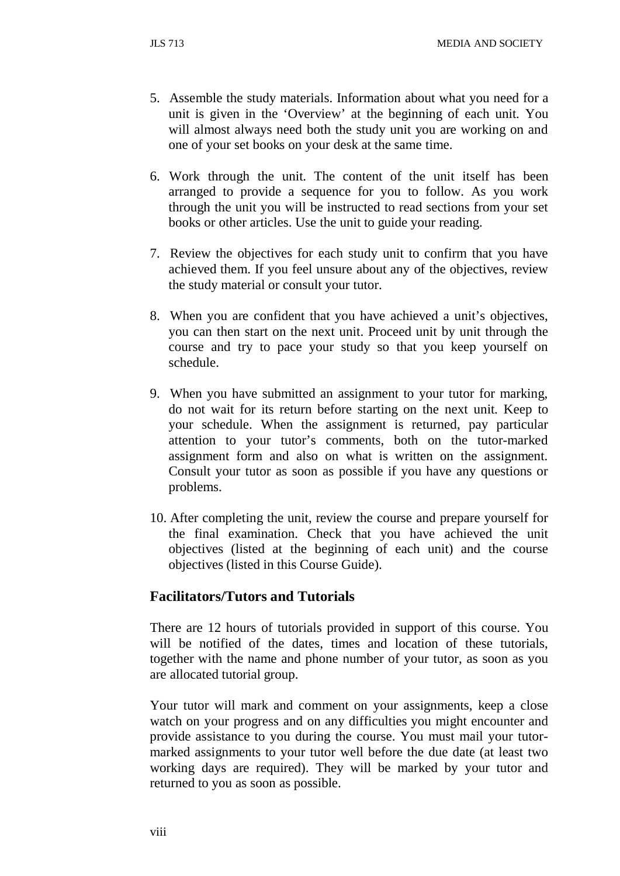- 5. Assemble the study materials. Information about what you need for a unit is given in the 'Overview' at the beginning of each unit. You will almost always need both the study unit you are working on and one of your set books on your desk at the same time.
- 6. Work through the unit. The content of the unit itself has been arranged to provide a sequence for you to follow. As you work through the unit you will be instructed to read sections from your set books or other articles. Use the unit to guide your reading.
- 7. Review the objectives for each study unit to confirm that you have achieved them. If you feel unsure about any of the objectives, review the study material or consult your tutor.
- 8. When you are confident that you have achieved a unit's objectives, you can then start on the next unit. Proceed unit by unit through the course and try to pace your study so that you keep yourself on schedule.
- 9. When you have submitted an assignment to your tutor for marking, do not wait for its return before starting on the next unit. Keep to your schedule. When the assignment is returned, pay particular attention to your tutor's comments, both on the tutor-marked assignment form and also on what is written on the assignment. Consult your tutor as soon as possible if you have any questions or problems.
- 10. After completing the unit, review the course and prepare yourself for the final examination. Check that you have achieved the unit objectives (listed at the beginning of each unit) and the course objectives (listed in this Course Guide).

### **Facilitators/Tutors and Tutorials**

There are 12 hours of tutorials provided in support of this course. You will be notified of the dates, times and location of these tutorials, together with the name and phone number of your tutor, as soon as you are allocated tutorial group.

Your tutor will mark and comment on your assignments, keep a close watch on your progress and on any difficulties you might encounter and provide assistance to you during the course. You must mail your tutormarked assignments to your tutor well before the due date (at least two working days are required). They will be marked by your tutor and returned to you as soon as possible.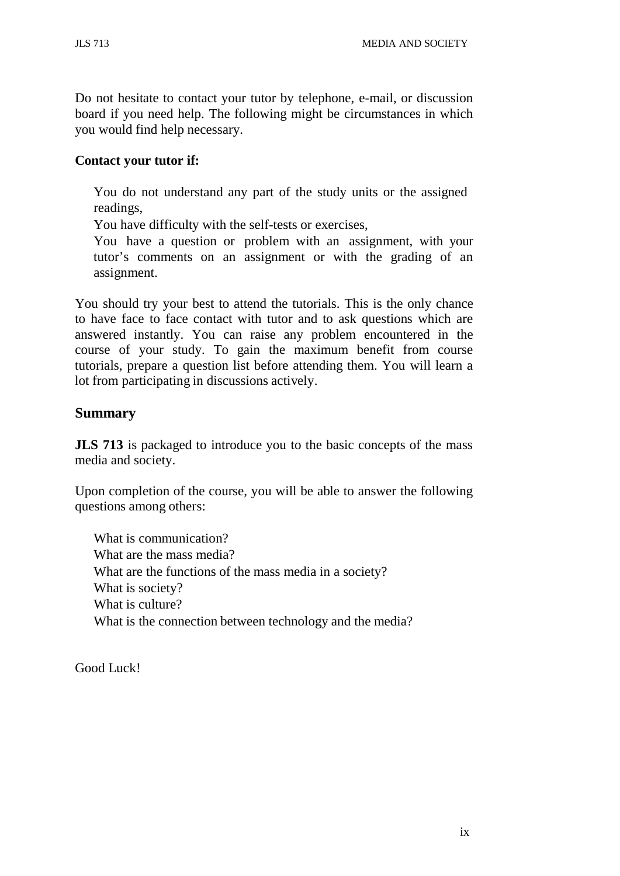Do not hesitate to contact your tutor by telephone, e-mail, or discussion board if you need help. The following might be circumstances in which you would find help necessary.

## **Contact your tutor if:**

You do not understand any part of the study units or the assigned readings,

You have difficulty with the self-tests or exercises,

You have a question or problem with an assignment, with your tutor's comments on an assignment or with the grading of an assignment.

You should try your best to attend the tutorials. This is the only chance to have face to face contact with tutor and to ask questions which are answered instantly. You can raise any problem encountered in the course of your study. To gain the maximum benefit from course tutorials, prepare a question list before attending them. You will learn a lot from participating in discussions actively.

# **Summary**

**JLS** 713 is packaged to introduce you to the basic concepts of the mass media and society.

Upon completion of the course, you will be able to answer the following questions among others:

What is communication? What are the mass media? What are the functions of the mass media in a society? What is society? What is culture? What is the connection between technology and the media?

Good Luck!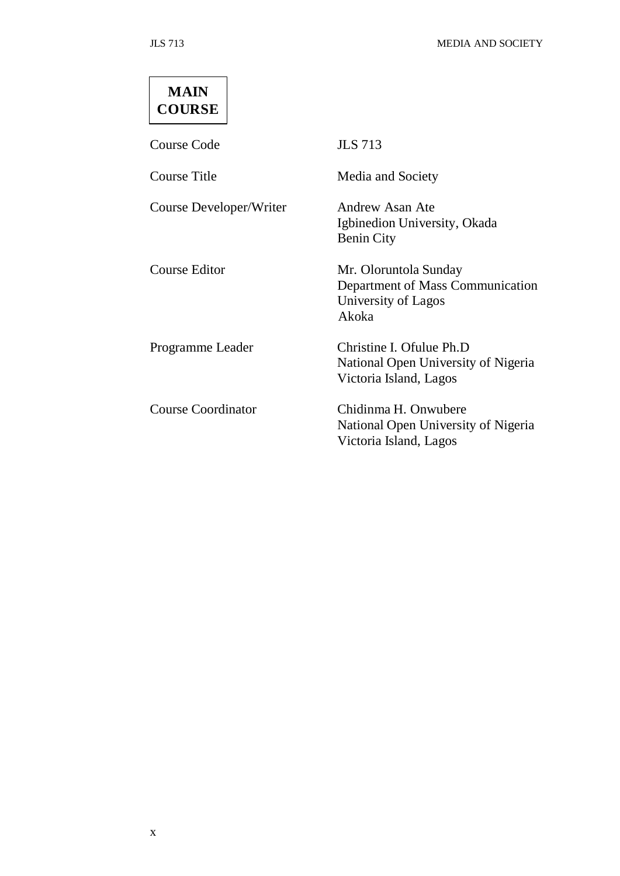# **MAIN COURSE**

Course Code JLS 713

Course Title Media and Society

Course Developer/Writer Andrew Asan Ate

Igbinedion University, Okada Benin City Course Editor Mr. Oloruntola Sunday Department of Mass Communication University of Lagos Akoka Programme Leader Christine I. Ofulue Ph.D National Open University of Nigeria Victoria Island, Lagos

Course Coordinator Chidinma H. Onwubere National Open University of Nigeria Victoria Island, Lagos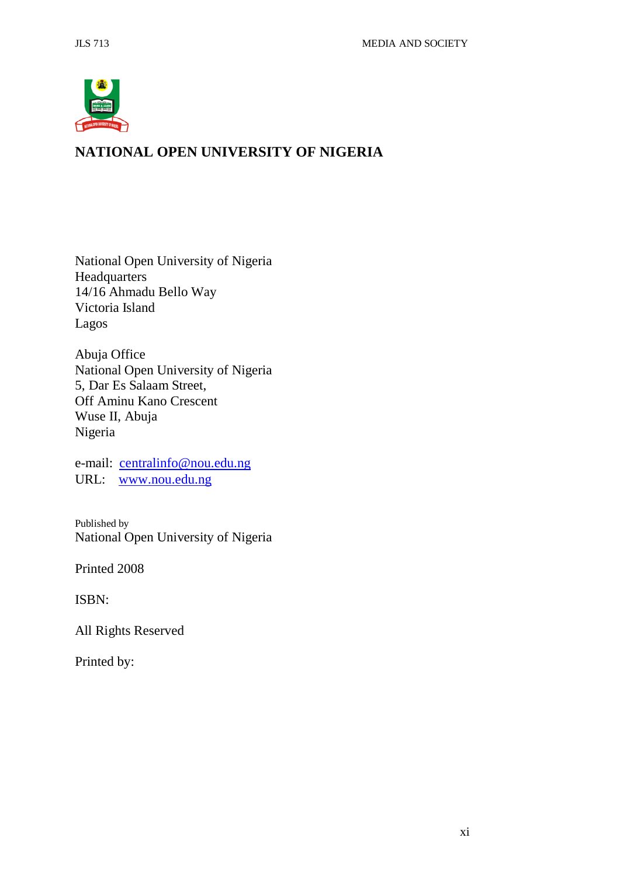

# **NATIONAL OPEN UNIVERSITY OF NIGERIA**

National Open University of Nigeria **Headquarters** 14/16 Ahmadu Bello Way Victoria Island Lagos

Abuja Office National Open University of Nigeria 5, Dar Es Salaam Street, Off Aminu Kano Crescent Wuse II, Abuja Nigeria

e-mail: [centralinfo@nou.edu.ng](mailto:centralinfo@nou.edu.ng) URL: [www.nou.edu.ng](http://www.nou.edu.ng/)

Published by National Open University of Nigeria

Printed 2008

ISBN:

All Rights Reserved

Printed by: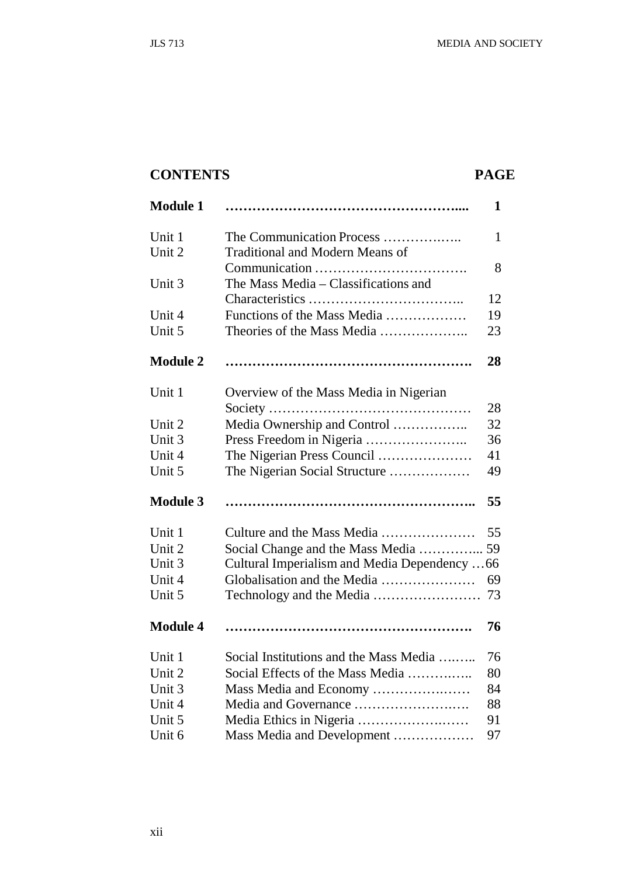# **CONTENTS PAGE**

| <b>Module 1</b> |                                              | 1            |
|-----------------|----------------------------------------------|--------------|
| Unit 1          | The Communication Process                    | $\mathbf{1}$ |
| Unit 2          | <b>Traditional and Modern Means of</b>       |              |
|                 |                                              | 8            |
| Unit 3          | The Mass Media – Classifications and         |              |
|                 |                                              | 12           |
| Unit 4          | Functions of the Mass Media                  | 19           |
| Unit 5          | Theories of the Mass Media                   | 23           |
| <b>Module 2</b> |                                              | 28           |
| Unit 1          | Overview of the Mass Media in Nigerian       |              |
|                 |                                              | 28           |
| Unit 2          | Media Ownership and Control                  | 32           |
| Unit 3          |                                              | 36           |
| Unit 4          | The Nigerian Press Council                   | 41           |
| Unit 5          | The Nigerian Social Structure                | 49           |
| <b>Module 3</b> |                                              | 55           |
| Unit 1          | Culture and the Mass Media                   | 55           |
| Unit 2          | Social Change and the Mass Media  59         |              |
| Unit 3          | Cultural Imperialism and Media Dependency 66 |              |
| Unit 4          | Globalisation and the Media                  | 69           |
| Unit 5          |                                              | 73           |
| <b>Module 4</b> |                                              | 76           |
| Unit 1          | Social Institutions and the Mass Media       | 76           |
| Unit 2          | Social Effects of the Mass Media             | 80           |
| Unit 3          | Mass Media and Economy                       | 84           |
| Unit 4          |                                              | 88           |
| Unit 5          |                                              | 91           |
| Unit 6          | Mass Media and Development                   | 97           |
|                 |                                              |              |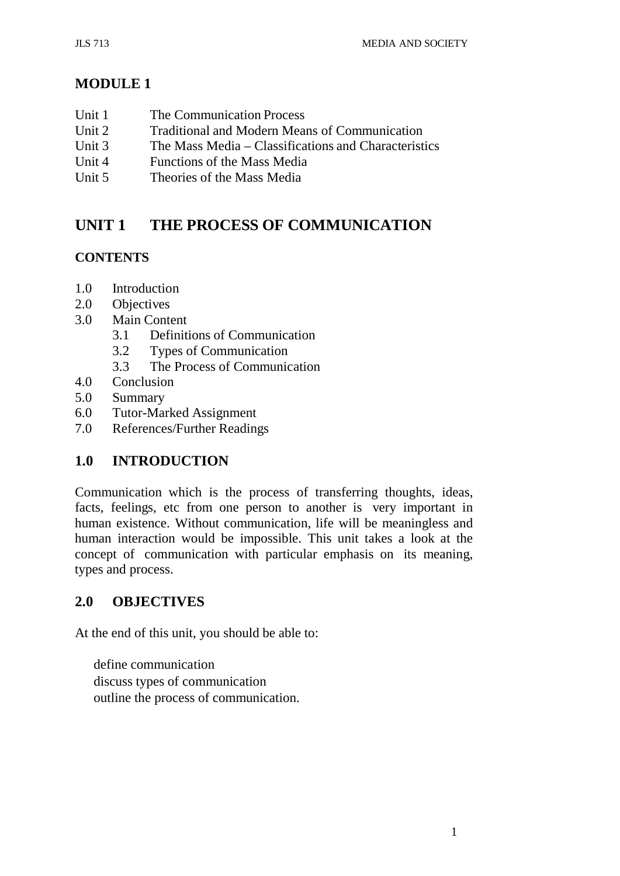# **MODULE 1**

- Unit 1 The Communication Process
- Unit 2 Traditional and Modern Means of Communication<br>Unit 3 The Mass Media Classifications and Characterist
- The Mass Media Classifications and Characteristics
- Unit 4 Functions of the Mass Media
- Unit 5 Theories of the Mass Media

# **UNIT 1 THE PROCESS OF COMMUNICATION**

# **CONTENTS**

- 1.0 Introduction
- 2.0 Objectives
- 3.0 Main Content
	- 3.1 Definitions of Communication
	- 3.2 Types of Communication
	- 3.3 The Process of Communication
- 4.0 Conclusion
- 5.0 Summary
- 6.0 Tutor-Marked Assignment
- 7.0 References/Further Readings

# **1.0 INTRODUCTION**

Communication which is the process of transferring thoughts, ideas, facts, feelings, etc from one person to another is very important in human existence. Without communication, life will be meaningless and human interaction would be impossible. This unit takes a look at the concept of communication with particular emphasis on its meaning, types and process.

# **2.0 OBJECTIVES**

At the end of this unit, you should be able to:

define communication discuss types of communication outline the process of communication.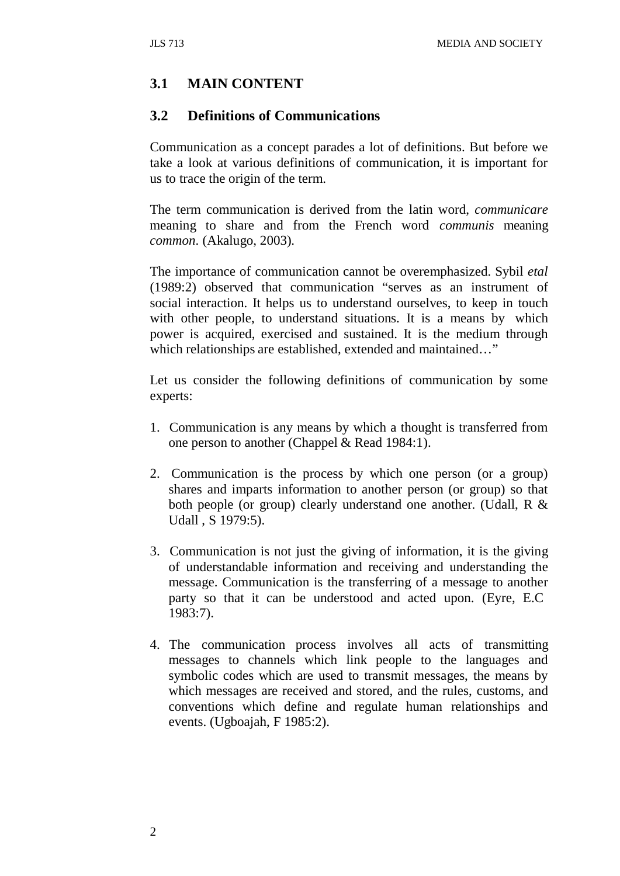# **3.1 MAIN CONTENT**

#### **3.2 Definitions of Communications**

Communication as a concept parades a lot of definitions. But before we take a look at various definitions of communication, it is important for us to trace the origin of the term.

The term communication is derived from the latin word, *communicare*  meaning to share and from the French word *communis* meaning *common*. (Akalugo, 2003).

The importance of communication cannot be overemphasized. Sybil *etal*  (1989:2) observed that communication "serves as an instrument of social interaction. It helps us to understand ourselves, to keep in touch with other people, to understand situations. It is a means by which power is acquired, exercised and sustained. It is the medium through which relationships are established, extended and maintained…"

Let us consider the following definitions of communication by some experts:

- 1. Communication is any means by which a thought is transferred from one person to another (Chappel & Read 1984:1).
- 2. Communication is the process by which one person (or a group) shares and imparts information to another person (or group) so that both people (or group) clearly understand one another. (Udall, R & Udall , S 1979:5).
- 3. Communication is not just the giving of information, it is the giving of understandable information and receiving and understanding the message. Communication is the transferring of a message to another party so that it can be understood and acted upon. (Eyre, E.C 1983:7).
- 4. The communication process involves all acts of transmitting messages to channels which link people to the languages and symbolic codes which are used to transmit messages, the means by which messages are received and stored, and the rules, customs, and conventions which define and regulate human relationships and events. (Ugboajah, F 1985:2).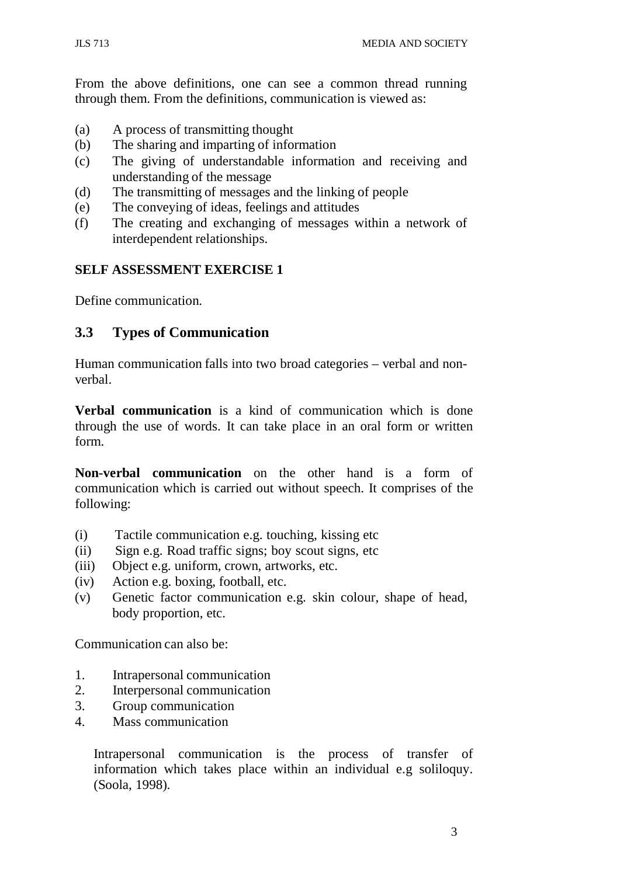From the above definitions, one can see a common thread running through them. From the definitions, communication is viewed as:

- (a) A process of transmitting thought
- (b) The sharing and imparting of information
- (c) The giving of understandable information and receiving and understanding of the message
- (d) The transmitting of messages and the linking of people
- (e) The conveying of ideas, feelings and attitudes
- (f) The creating and exchanging of messages within a network of interdependent relationships.

#### **SELF ASSESSMENT EXERCISE 1**

Define communication.

# **3.3 Types of Communication**

Human communication falls into two broad categories – verbal and nonverbal.

**Verbal communication** is a kind of communication which is done through the use of words. It can take place in an oral form or written form.

**Non-verbal communication** on the other hand is a form of communication which is carried out without speech. It comprises of the following:

- (i) Tactile communication e.g. touching, kissing etc
- (ii) Sign e.g. Road traffic signs; boy scout signs, etc
- (iii) Object e.g. uniform, crown, artworks, etc.
- (iv) Action e.g. boxing, football, etc.
- (v) Genetic factor communication e.g. skin colour, shape of head, body proportion, etc.

Communication can also be:

- 1. Intrapersonal communication
- 2. Interpersonal communication
- 3. Group communication
- 4. Mass communication

Intrapersonal communication is the process of transfer of information which takes place within an individual e.g soliloquy. (Soola, 1998).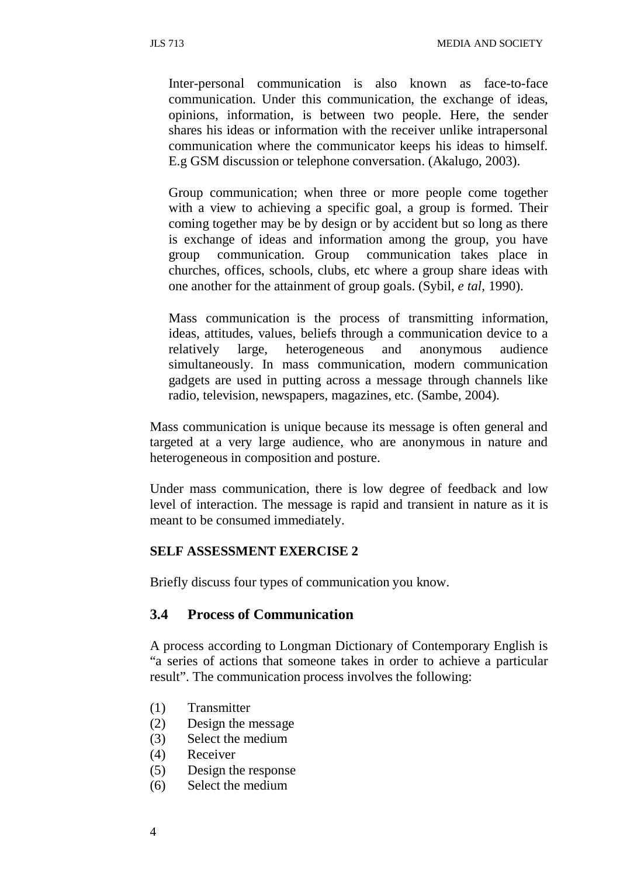Inter-personal communication is also known as face-to-face communication. Under this communication, the exchange of ideas, opinions, information, is between two people. Here, the sender shares his ideas or information with the receiver unlike intrapersonal communication where the communicator keeps his ideas to himself. E.g GSM discussion or telephone conversation. (Akalugo, 2003).

Group communication; when three or more people come together with a view to achieving a specific goal, a group is formed. Their coming together may be by design or by accident but so long as there is exchange of ideas and information among the group, you have group communication. Group communication takes place in churches, offices, schools, clubs, etc where a group share ideas with one another for the attainment of group goals. (Sybil, *e tal,* 1990).

Mass communication is the process of transmitting information, ideas, attitudes, values, beliefs through a communication device to a relatively large, heterogeneous and anonymous audience simultaneously. In mass communication, modern communication gadgets are used in putting across a message through channels like radio, television, newspapers, magazines, etc. (Sambe, 2004).

Mass communication is unique because its message is often general and targeted at a very large audience, who are anonymous in nature and heterogeneous in composition and posture.

Under mass communication, there is low degree of feedback and low level of interaction. The message is rapid and transient in nature as it is meant to be consumed immediately.

#### **SELF ASSESSMENT EXERCISE 2**

Briefly discuss four types of communication you know.

#### **3.4 Process of Communication**

A process according to Longman Dictionary of Contemporary English is "a series of actions that someone takes in order to achieve a particular result". The communication process involves the following:

- (1) Transmitter
- (2) Design the message
- (3) Select the medium
- (4) Receiver
- (5) Design the response
- (6) Select the medium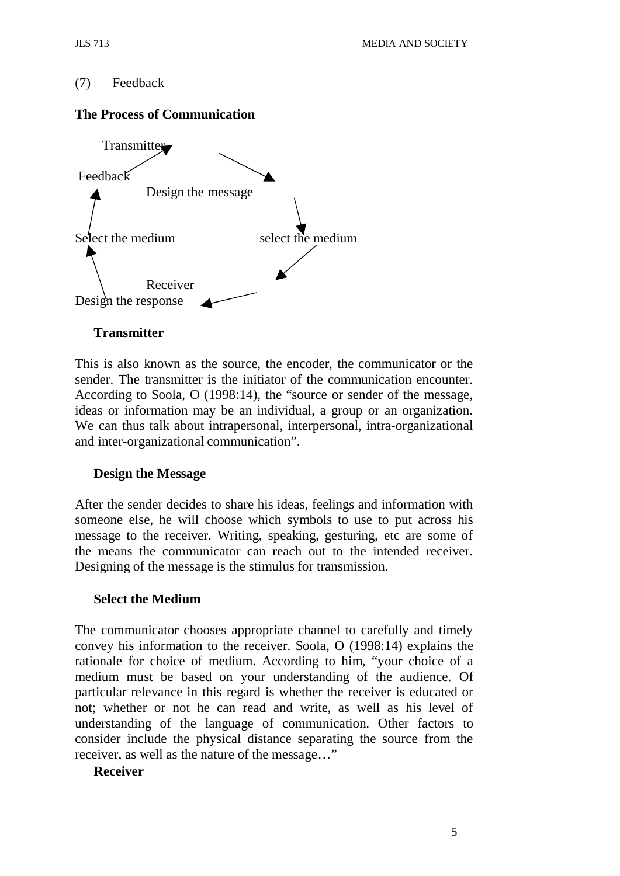#### (7) Feedback

#### **The Process of Communication**



#### **Transmitter**

This is also known as the source, the encoder, the communicator or the sender. The transmitter is the initiator of the communication encounter. According to Soola, O (1998:14), the "source or sender of the message, ideas or information may be an individual, a group or an organization. We can thus talk about intrapersonal, interpersonal, intra-organizational and inter-organizational communication".

#### **Design the Message**

After the sender decides to share his ideas, feelings and information with someone else, he will choose which symbols to use to put across his message to the receiver. Writing, speaking, gesturing, etc are some of the means the communicator can reach out to the intended receiver. Designing of the message is the stimulus for transmission.

#### **Select the Medium**

The communicator chooses appropriate channel to carefully and timely convey his information to the receiver. Soola, O (1998:14) explains the rationale for choice of medium. According to him, "your choice of a medium must be based on your understanding of the audience. Of particular relevance in this regard is whether the receiver is educated or not; whether or not he can read and write, as well as his level of understanding of the language of communication. Other factors to consider include the physical distance separating the source from the receiver, as well as the nature of the message…"

#### **Receiver**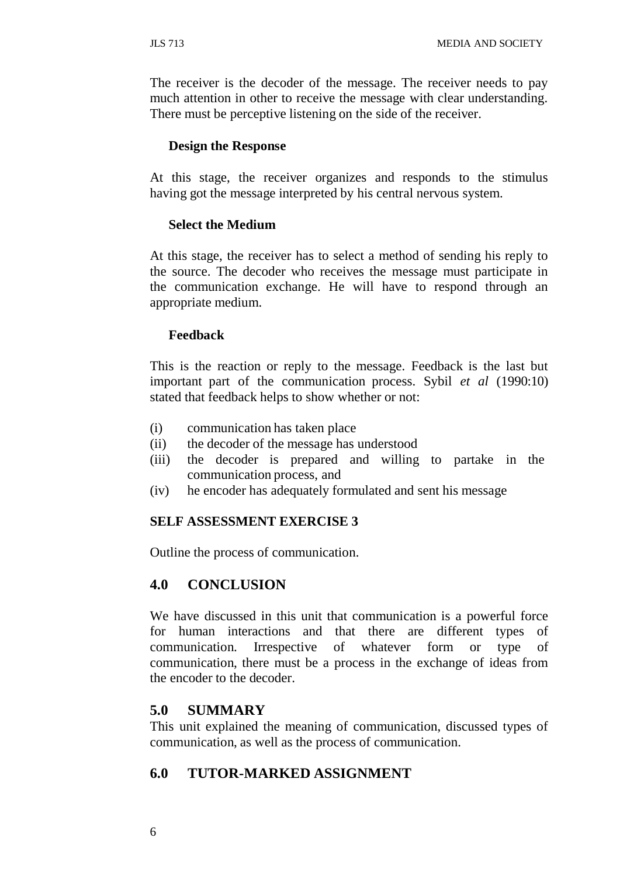The receiver is the decoder of the message. The receiver needs to pay much attention in other to receive the message with clear understanding. There must be perceptive listening on the side of the receiver.

#### **Design the Response**

At this stage, the receiver organizes and responds to the stimulus having got the message interpreted by his central nervous system.

#### **Select the Medium**

At this stage, the receiver has to select a method of sending his reply to the source. The decoder who receives the message must participate in the communication exchange. He will have to respond through an appropriate medium.

#### **Feedback**

This is the reaction or reply to the message. Feedback is the last but important part of the communication process. Sybil *et al* (1990:10) stated that feedback helps to show whether or not:

- (i) communication has taken place
- (ii) the decoder of the message has understood
- (iii) the decoder is prepared and willing to partake in the communication process, and
- (iv) he encoder has adequately formulated and sent his message

#### **SELF ASSESSMENT EXERCISE 3**

Outline the process of communication.

### **4.0 CONCLUSION**

We have discussed in this unit that communication is a powerful force for human interactions and that there are different types of communication. Irrespective of whatever form or type of communication, there must be a process in the exchange of ideas from the encoder to the decoder.

#### **5.0 SUMMARY**

This unit explained the meaning of communication, discussed types of communication, as well as the process of communication.

### **6.0 TUTOR-MARKED ASSIGNMENT**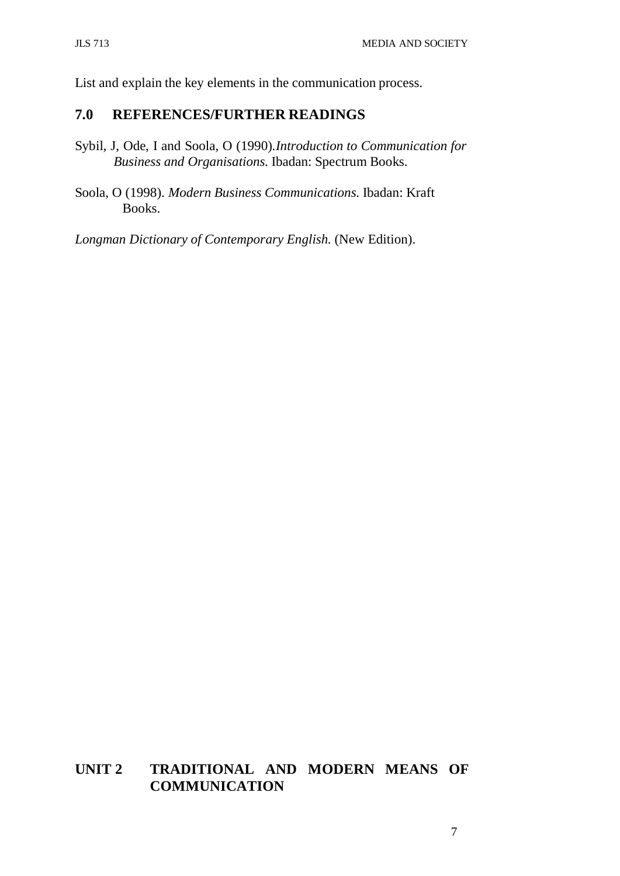List and explain the key elements in the communication process.

# **7.0 REFERENCES/FURTHER READINGS**

- Sybil, J, Ode, I and Soola, O (1990).*Introduction to Communication for Business and Organisations.* Ibadan: Spectrum Books.
- Soola, O (1998). *Modern Business Communications.* Ibadan: Kraft Books.

*Longman Dictionary of Contemporary English.* (New Edition).

# **UNIT 2 TRADITIONAL AND MODERN MEANS OF COMMUNICATION**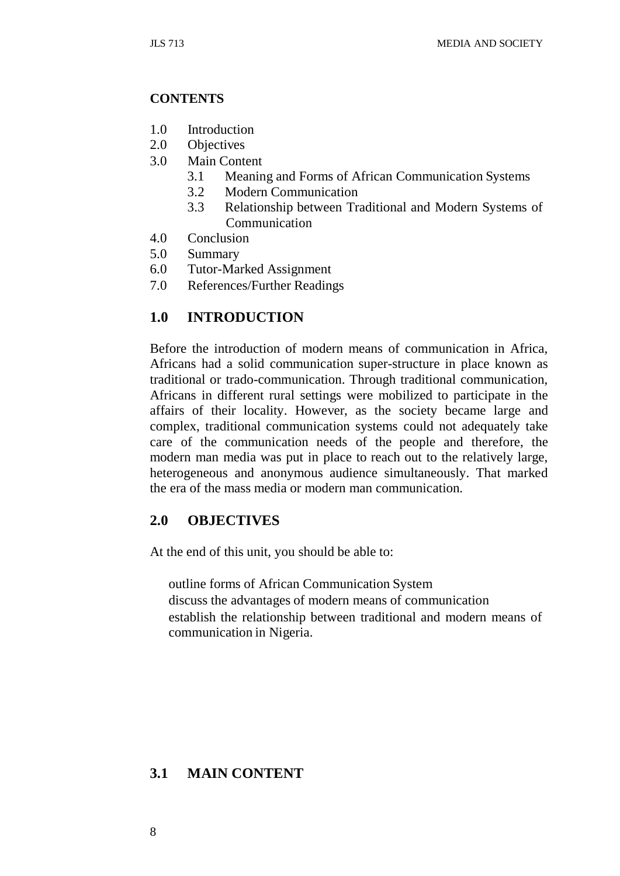#### **CONTENTS**

- 1.0 Introduction
- 2.0 Objectives
- 3.0 Main Content
	- 3.1 Meaning and Forms of African Communication Systems
	- 3.2 Modern Communication
	- 3.3 Relationship between Traditional and Modern Systems of Communication
- 4.0 Conclusion
- 5.0 Summary
- 6.0 Tutor-Marked Assignment
- 7.0 References/Further Readings

# **1.0 INTRODUCTION**

Before the introduction of modern means of communication in Africa, Africans had a solid communication super-structure in place known as traditional or trado-communication. Through traditional communication, Africans in different rural settings were mobilized to participate in the affairs of their locality. However, as the society became large and complex, traditional communication systems could not adequately take care of the communication needs of the people and therefore, the modern man media was put in place to reach out to the relatively large, heterogeneous and anonymous audience simultaneously. That marked the era of the mass media or modern man communication.

### **2.0 OBJECTIVES**

At the end of this unit, you should be able to:

outline forms of African Communication System discuss the advantages of modern means of communication establish the relationship between traditional and modern means of communication in Nigeria.

# **3.1 MAIN CONTENT**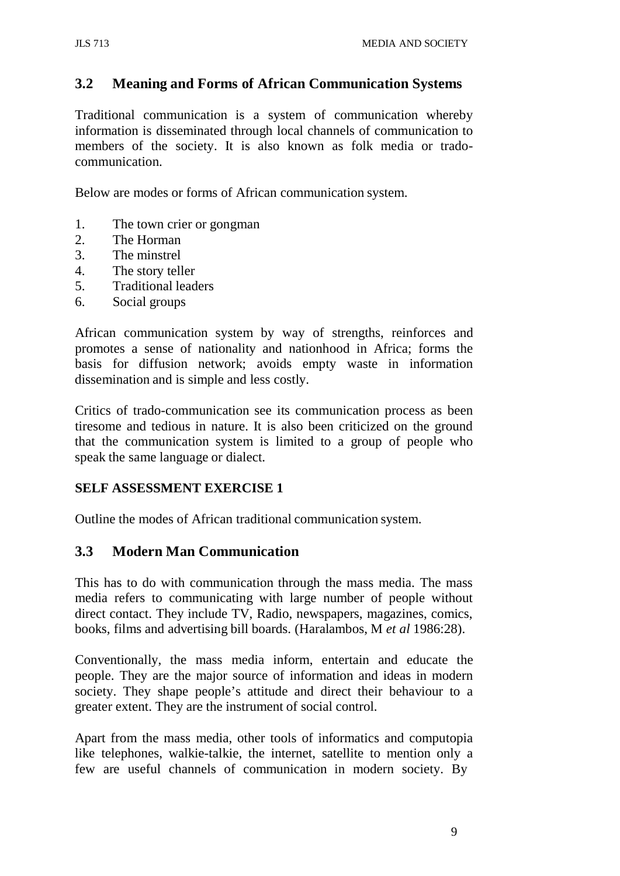# **3.2 Meaning and Forms of African Communication Systems**

Traditional communication is a system of communication whereby information is disseminated through local channels of communication to members of the society. It is also known as folk media or tradocommunication.

Below are modes or forms of African communication system.

- 1. The town crier or gongman
- 2. The Horman
- 3. The minstrel
- 4. The story teller
- 5. Traditional leaders
- 6. Social groups

African communication system by way of strengths, reinforces and promotes a sense of nationality and nationhood in Africa; forms the basis for diffusion network; avoids empty waste in information dissemination and is simple and less costly.

Critics of trado-communication see its communication process as been tiresome and tedious in nature. It is also been criticized on the ground that the communication system is limited to a group of people who speak the same language or dialect.

### **SELF ASSESSMENT EXERCISE 1**

Outline the modes of African traditional communication system.

### **3.3 Modern Man Communication**

This has to do with communication through the mass media. The mass media refers to communicating with large number of people without direct contact. They include TV, Radio, newspapers, magazines, comics, books, films and advertising bill boards. (Haralambos, M *et al* 1986:28).

Conventionally, the mass media inform, entertain and educate the people. They are the major source of information and ideas in modern society. They shape people's attitude and direct their behaviour to a greater extent. They are the instrument of social control.

Apart from the mass media, other tools of informatics and computopia like telephones, walkie-talkie, the internet, satellite to mention only a few are useful channels of communication in modern society. By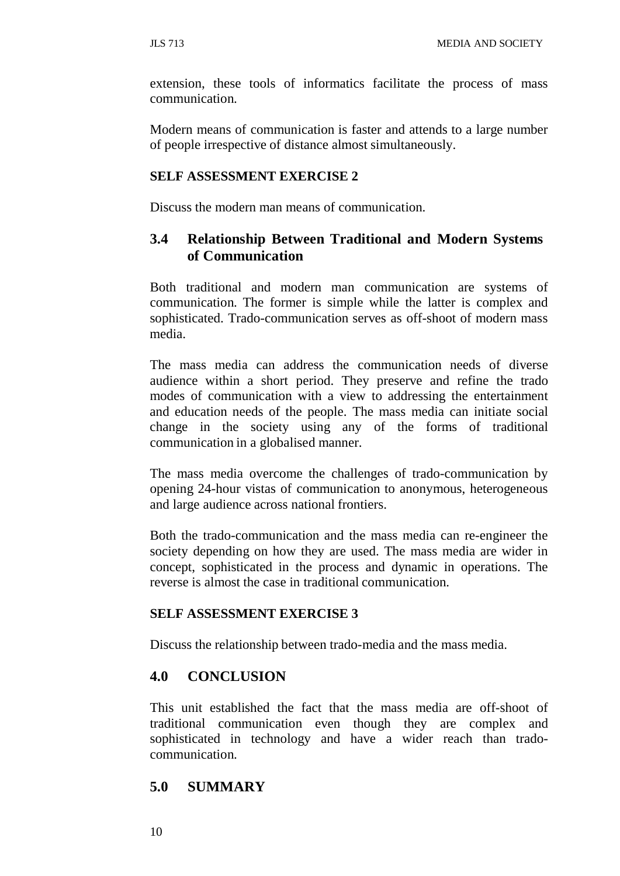extension, these tools of informatics facilitate the process of mass communication.

Modern means of communication is faster and attends to a large number of people irrespective of distance almost simultaneously.

#### **SELF ASSESSMENT EXERCISE 2**

Discuss the modern man means of communication.

# **3.4 Relationship Between Traditional and Modern Systems of Communication**

Both traditional and modern man communication are systems of communication. The former is simple while the latter is complex and sophisticated. Trado-communication serves as off-shoot of modern mass media.

The mass media can address the communication needs of diverse audience within a short period. They preserve and refine the trado modes of communication with a view to addressing the entertainment and education needs of the people. The mass media can initiate social change in the society using any of the forms of traditional communication in a globalised manner.

The mass media overcome the challenges of trado-communication by opening 24-hour vistas of communication to anonymous, heterogeneous and large audience across national frontiers.

Both the trado-communication and the mass media can re-engineer the society depending on how they are used. The mass media are wider in concept, sophisticated in the process and dynamic in operations. The reverse is almost the case in traditional communication.

#### **SELF ASSESSMENT EXERCISE 3**

Discuss the relationship between trado-media and the mass media.

#### **4.0 CONCLUSION**

This unit established the fact that the mass media are off-shoot of traditional communication even though they are complex and sophisticated in technology and have a wider reach than tradocommunication.

#### **5.0 SUMMARY**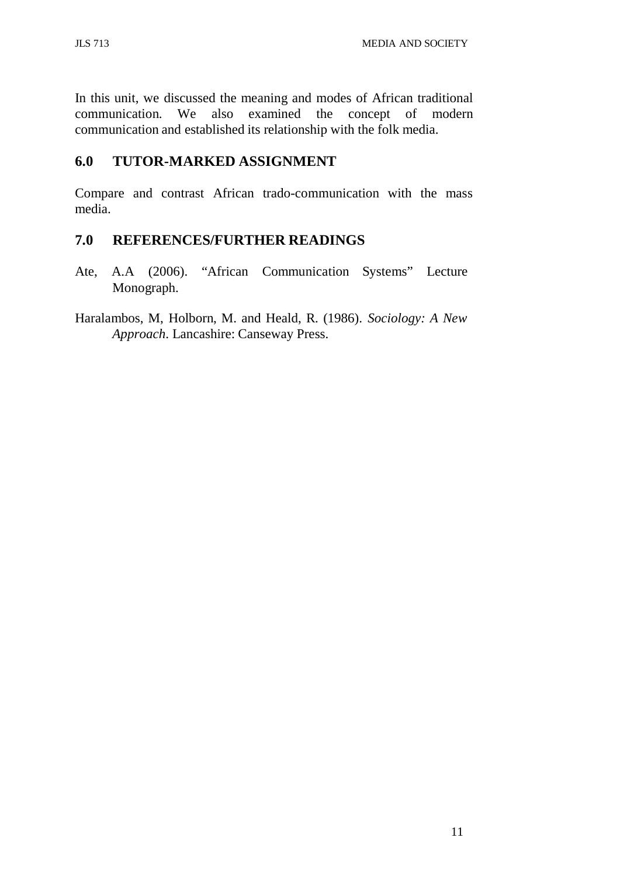In this unit, we discussed the meaning and modes of African traditional communication. We also examined the concept of modern communication and established its relationship with the folk media.

# **6.0 TUTOR-MARKED ASSIGNMENT**

Compare and contrast African trado-communication with the mass media.

# **7.0 REFERENCES/FURTHER READINGS**

- Ate, A.A (2006). "African Communication Systems" Lecture Monograph.
- Haralambos, M, Holborn, M. and Heald, R. (1986). *Sociology: A New Approach*. Lancashire: Canseway Press.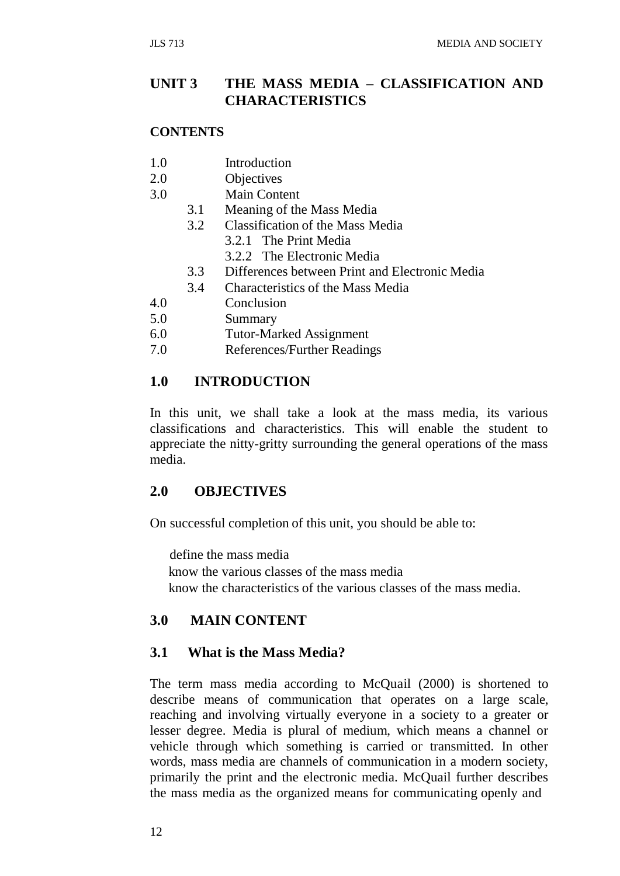# **UNIT 3 THE MASS MEDIA – CLASSIFICATION AND CHARACTERISTICS**

#### **CONTENTS**

- 1.0 Introduction
- 2.0 Objectives
- 3.0 Main Content
	- 3.1 Meaning of the Mass Media
	- 3.2 Classification of the Mass Media
		- 3.2.1 The Print Media
		- 3.2.2 The Electronic Media
	- 3.3 Differences between Print and Electronic Media
	- 3.4 Characteristics of the Mass Media
- 4.0 Conclusion
- 5.0 Summary
- 6.0 Tutor-Marked Assignment
- 7.0 References/Further Readings

#### **1.0 INTRODUCTION**

In this unit, we shall take a look at the mass media, its various classifications and characteristics. This will enable the student to appreciate the nitty-gritty surrounding the general operations of the mass media.

## **2.0 OBJECTIVES**

On successful completion of this unit, you should be able to:

define the mass media know the various classes of the mass media know the characteristics of the various classes of the mass media.

### **3.0 MAIN CONTENT**

#### **3.1 What is the Mass Media?**

The term mass media according to McQuail (2000) is shortened to describe means of communication that operates on a large scale, reaching and involving virtually everyone in a society to a greater or lesser degree. Media is plural of medium, which means a channel or vehicle through which something is carried or transmitted. In other words, mass media are channels of communication in a modern society, primarily the print and the electronic media. McQuail further describes the mass media as the organized means for communicating openly and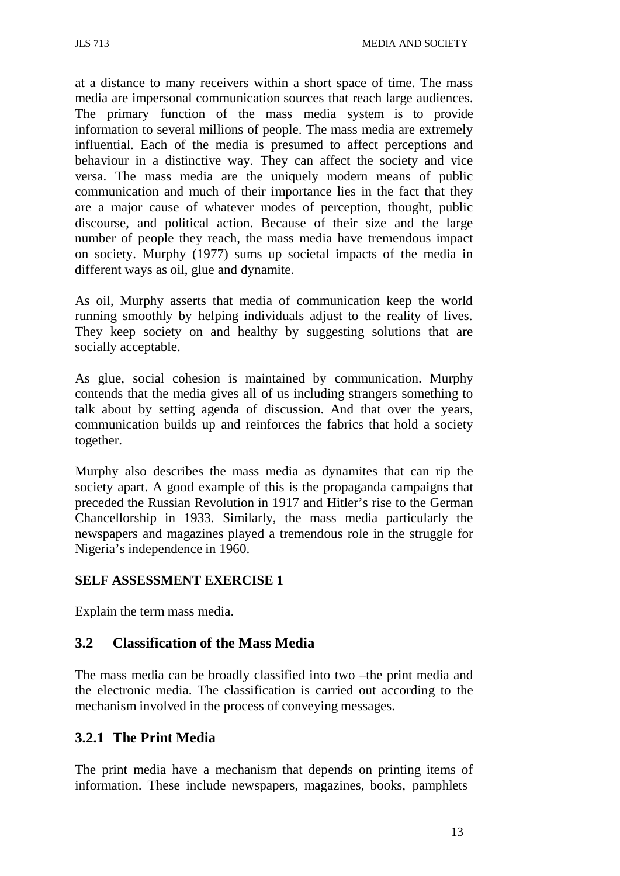at a distance to many receivers within a short space of time. The mass media are impersonal communication sources that reach large audiences. The primary function of the mass media system is to provide information to several millions of people. The mass media are extremely influential. Each of the media is presumed to affect perceptions and behaviour in a distinctive way. They can affect the society and vice versa. The mass media are the uniquely modern means of public communication and much of their importance lies in the fact that they are a major cause of whatever modes of perception, thought, public discourse, and political action. Because of their size and the large number of people they reach, the mass media have tremendous impact on society. Murphy (1977) sums up societal impacts of the media in different ways as oil, glue and dynamite.

As oil, Murphy asserts that media of communication keep the world running smoothly by helping individuals adjust to the reality of lives. They keep society on and healthy by suggesting solutions that are socially acceptable.

As glue, social cohesion is maintained by communication. Murphy contends that the media gives all of us including strangers something to talk about by setting agenda of discussion. And that over the years, communication builds up and reinforces the fabrics that hold a society together.

Murphy also describes the mass media as dynamites that can rip the society apart. A good example of this is the propaganda campaigns that preceded the Russian Revolution in 1917 and Hitler's rise to the German Chancellorship in 1933. Similarly, the mass media particularly the newspapers and magazines played a tremendous role in the struggle for Nigeria's independence in 1960.

# **SELF ASSESSMENT EXERCISE 1**

Explain the term mass media.

# **3.2 Classification of the Mass Media**

The mass media can be broadly classified into two –the print media and the electronic media. The classification is carried out according to the mechanism involved in the process of conveying messages.

# **3.2.1 The Print Media**

The print media have a mechanism that depends on printing items of information. These include newspapers, magazines, books, pamphlets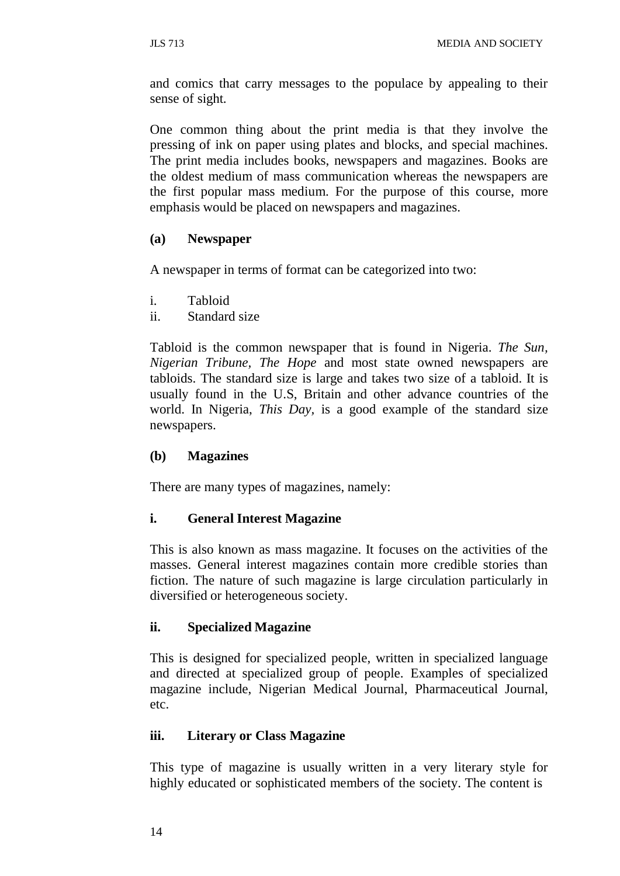and comics that carry messages to the populace by appealing to their sense of sight.

One common thing about the print media is that they involve the pressing of ink on paper using plates and blocks, and special machines. The print media includes books, newspapers and magazines. Books are the oldest medium of mass communication whereas the newspapers are the first popular mass medium. For the purpose of this course, more emphasis would be placed on newspapers and magazines.

### **(a) Newspaper**

A newspaper in terms of format can be categorized into two:

- i. Tabloid
- ii. Standard size

Tabloid is the common newspaper that is found in Nigeria. *The Sun, Nigerian Tribune, The Hope* and most state owned newspapers are tabloids. The standard size is large and takes two size of a tabloid. It is usually found in the U.S, Britain and other advance countries of the world. In Nigeria, *This Day,* is a good example of the standard size newspapers.

### **(b) Magazines**

There are many types of magazines, namely:

### **i. General Interest Magazine**

This is also known as mass magazine. It focuses on the activities of the masses. General interest magazines contain more credible stories than fiction. The nature of such magazine is large circulation particularly in diversified or heterogeneous society.

### **ii. Specialized Magazine**

This is designed for specialized people, written in specialized language and directed at specialized group of people. Examples of specialized magazine include, Nigerian Medical Journal, Pharmaceutical Journal, etc.

### **iii. Literary or Class Magazine**

This type of magazine is usually written in a very literary style for highly educated or sophisticated members of the society. The content is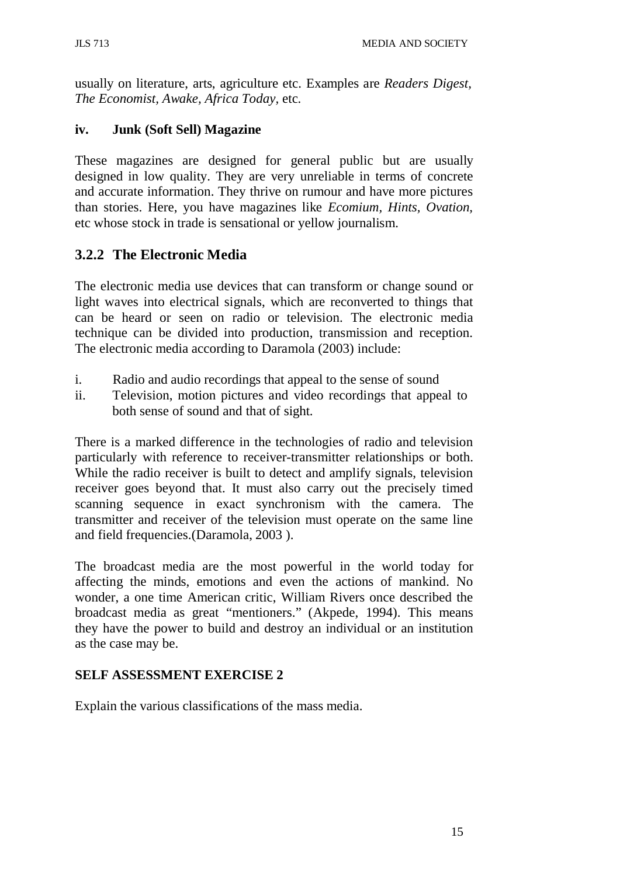usually on literature, arts, agriculture etc. Examples are *Readers Digest, The Economist, Awake, Africa Today,* etc.

# **iv. Junk (Soft Sell) Magazine**

These magazines are designed for general public but are usually designed in low quality. They are very unreliable in terms of concrete and accurate information. They thrive on rumour and have more pictures than stories. Here, you have magazines like *Ecomium, Hints, Ovation,*  etc whose stock in trade is sensational or yellow journalism.

# **3.2.2 The Electronic Media**

The electronic media use devices that can transform or change sound or light waves into electrical signals, which are reconverted to things that can be heard or seen on radio or television. The electronic media technique can be divided into production, transmission and reception. The electronic media according to Daramola (2003) include:

- i. Radio and audio recordings that appeal to the sense of sound
- ii. Television, motion pictures and video recordings that appeal to both sense of sound and that of sight.

There is a marked difference in the technologies of radio and television particularly with reference to receiver-transmitter relationships or both. While the radio receiver is built to detect and amplify signals, television receiver goes beyond that. It must also carry out the precisely timed scanning sequence in exact synchronism with the camera. The transmitter and receiver of the television must operate on the same line and field frequencies.(Daramola, 2003 ).

The broadcast media are the most powerful in the world today for affecting the minds, emotions and even the actions of mankind. No wonder, a one time American critic, William Rivers once described the broadcast media as great "mentioners." (Akpede, 1994). This means they have the power to build and destroy an individual or an institution as the case may be.

# **SELF ASSESSMENT EXERCISE 2**

Explain the various classifications of the mass media.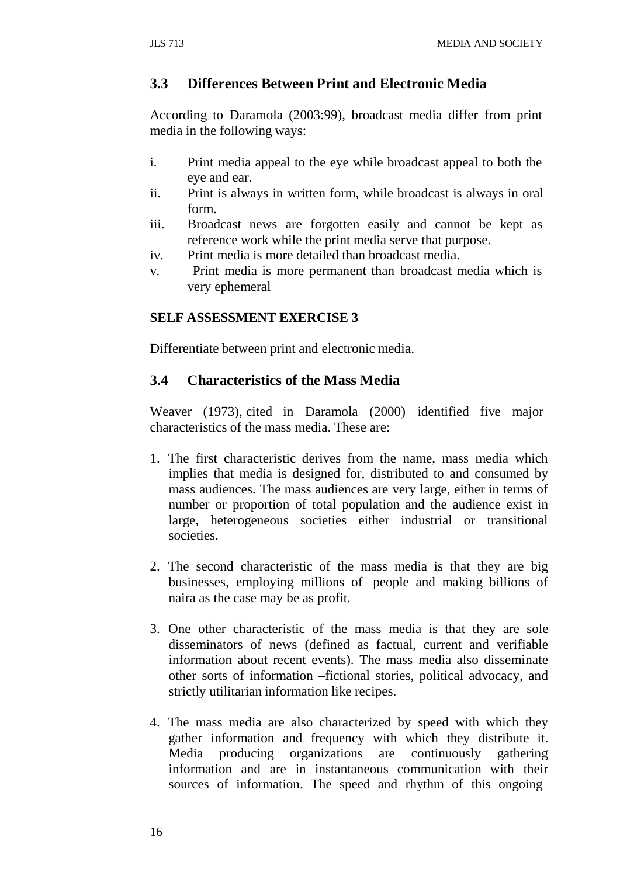# **3.3 Differences Between Print and Electronic Media**

According to Daramola (2003:99), broadcast media differ from print media in the following ways:

- i. Print media appeal to the eye while broadcast appeal to both the eye and ear.
- ii. Print is always in written form, while broadcast is always in oral form.
- iii. Broadcast news are forgotten easily and cannot be kept as reference work while the print media serve that purpose.
- iv. Print media is more detailed than broadcast media.
- v. Print media is more permanent than broadcast media which is very ephemeral

### **SELF ASSESSMENT EXERCISE 3**

Differentiate between print and electronic media.

# **3.4 Characteristics of the Mass Media**

Weaver (1973), cited in Daramola (2000) identified five major characteristics of the mass media. These are:

- 1. The first characteristic derives from the name, mass media which implies that media is designed for, distributed to and consumed by mass audiences. The mass audiences are very large, either in terms of number or proportion of total population and the audience exist in large, heterogeneous societies either industrial or transitional societies.
- 2. The second characteristic of the mass media is that they are big businesses, employing millions of people and making billions of naira as the case may be as profit.
- 3. One other characteristic of the mass media is that they are sole disseminators of news (defined as factual, current and verifiable information about recent events). The mass media also disseminate other sorts of information –fictional stories, political advocacy, and strictly utilitarian information like recipes.
- 4. The mass media are also characterized by speed with which they gather information and frequency with which they distribute it. Media producing organizations are continuously gathering information and are in instantaneous communication with their sources of information. The speed and rhythm of this ongoing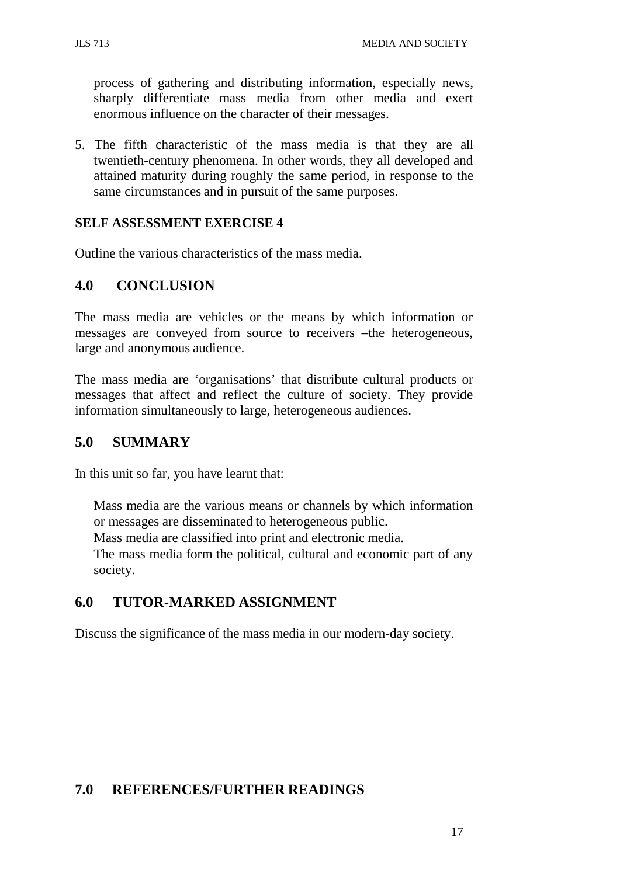process of gathering and distributing information, especially news, sharply differentiate mass media from other media and exert enormous influence on the character of their messages.

5. The fifth characteristic of the mass media is that they are all twentieth-century phenomena. In other words, they all developed and attained maturity during roughly the same period, in response to the same circumstances and in pursuit of the same purposes.

#### **SELF ASSESSMENT EXERCISE 4**

Outline the various characteristics of the mass media.

# **4.0 CONCLUSION**

The mass media are vehicles or the means by which information or messages are conveyed from source to receivers –the heterogeneous, large and anonymous audience.

The mass media are 'organisations' that distribute cultural products or messages that affect and reflect the culture of society. They provide information simultaneously to large, heterogeneous audiences.

## **5.0 SUMMARY**

In this unit so far, you have learnt that:

Mass media are the various means or channels by which information or messages are disseminated to heterogeneous public.

Mass media are classified into print and electronic media.

The mass media form the political, cultural and economic part of any society.

# **6.0 TUTOR-MARKED ASSIGNMENT**

Discuss the significance of the mass media in our modern-day society.

# **7.0 REFERENCES/FURTHER READINGS**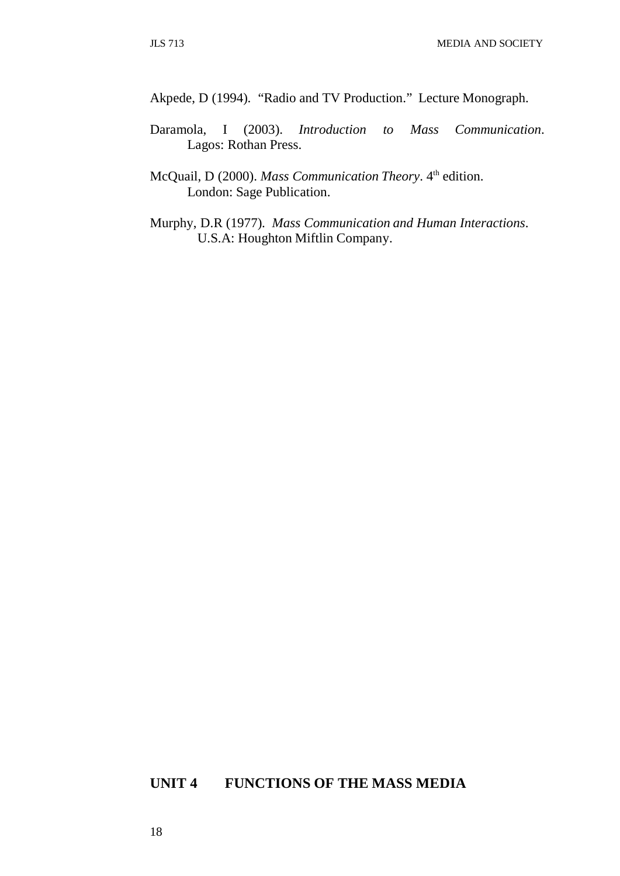Akpede, D (1994). "Radio and TV Production." Lecture Monograph.

- Daramola, I (2003). *Introduction to Mass Communication*. Lagos: Rothan Press.
- McQuail, D (2000). *Mass Communication Theory*. 4<sup>th</sup> edition. London: Sage Publication.
- Murphy, D.R (1977). *Mass Communication and Human Interactions*. U.S.A: Houghton Miftlin Company.

# **UNIT 4 FUNCTIONS OF THE MASS MEDIA**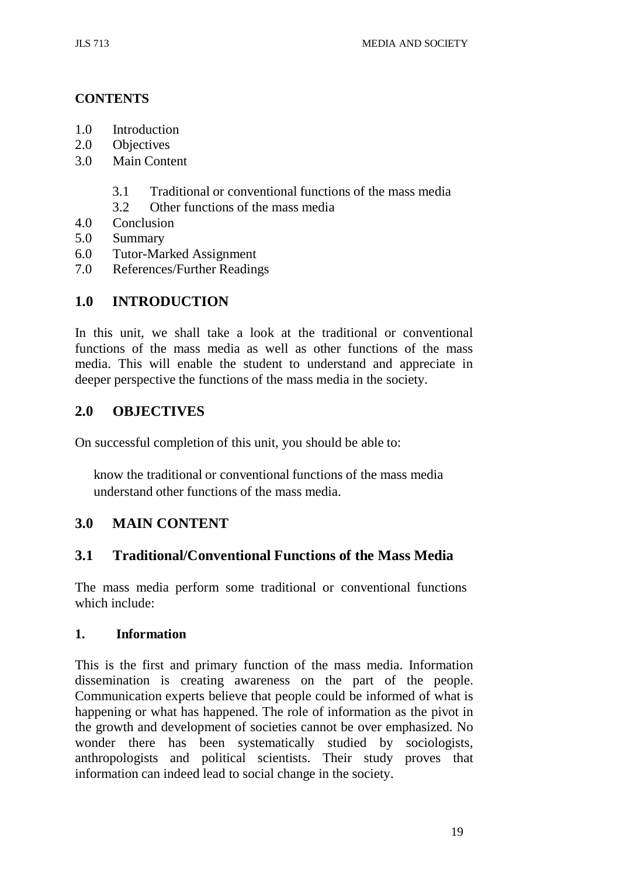# **CONTENTS**

- 1.0 Introduction
- 2.0 Objectives
- 3.0 Main Content
	- 3.1 Traditional or conventional functions of the mass media
	- 3.2 Other functions of the mass media
- 4.0 Conclusion
- 5.0 Summary
- 6.0 Tutor-Marked Assignment
- 7.0 References/Further Readings

# **1.0 INTRODUCTION**

In this unit, we shall take a look at the traditional or conventional functions of the mass media as well as other functions of the mass media. This will enable the student to understand and appreciate in deeper perspective the functions of the mass media in the society.

### **2.0 OBJECTIVES**

On successful completion of this unit, you should be able to:

know the traditional or conventional functions of the mass media understand other functions of the mass media.

### **3.0 MAIN CONTENT**

# **3.1 Traditional/Conventional Functions of the Mass Media**

The mass media perform some traditional or conventional functions which include:

#### **1. Information**

This is the first and primary function of the mass media. Information dissemination is creating awareness on the part of the people. Communication experts believe that people could be informed of what is happening or what has happened. The role of information as the pivot in the growth and development of societies cannot be over emphasized. No wonder there has been systematically studied by sociologists, anthropologists and political scientists. Their study proves that information can indeed lead to social change in the society.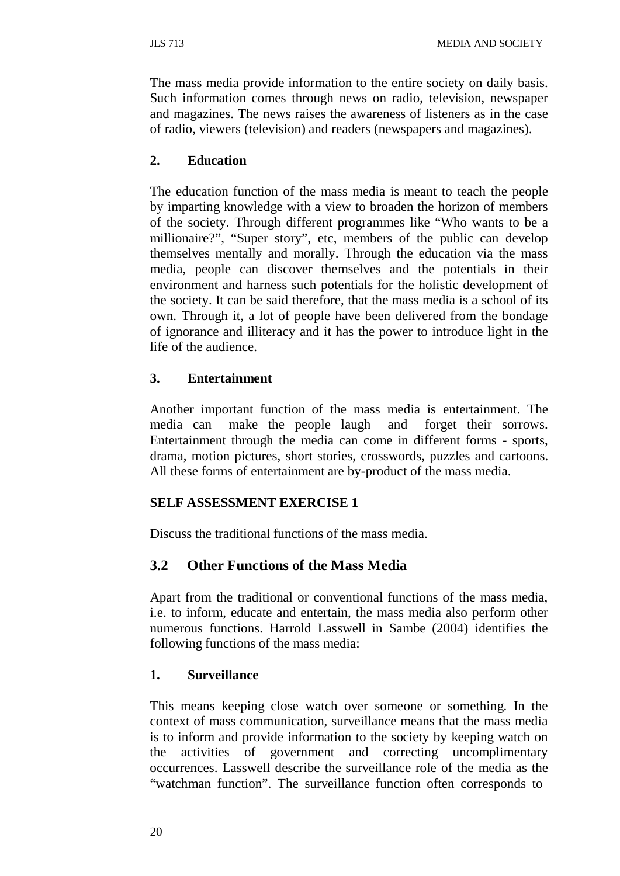The mass media provide information to the entire society on daily basis. Such information comes through news on radio, television, newspaper and magazines. The news raises the awareness of listeners as in the case of radio, viewers (television) and readers (newspapers and magazines).

# **2. Education**

The education function of the mass media is meant to teach the people by imparting knowledge with a view to broaden the horizon of members of the society. Through different programmes like "Who wants to be a millionaire?", "Super story", etc, members of the public can develop themselves mentally and morally. Through the education via the mass media, people can discover themselves and the potentials in their environment and harness such potentials for the holistic development of the society. It can be said therefore, that the mass media is a school of its own. Through it, a lot of people have been delivered from the bondage of ignorance and illiteracy and it has the power to introduce light in the life of the audience.

# **3. Entertainment**

Another important function of the mass media is entertainment. The media can make the people laugh and forget their sorrows. Entertainment through the media can come in different forms - sports, drama, motion pictures, short stories, crosswords, puzzles and cartoons. All these forms of entertainment are by-product of the mass media.

# **SELF ASSESSMENT EXERCISE 1**

Discuss the traditional functions of the mass media.

# **3.2 Other Functions of the Mass Media**

Apart from the traditional or conventional functions of the mass media, i.e. to inform, educate and entertain, the mass media also perform other numerous functions. Harrold Lasswell in Sambe (2004) identifies the following functions of the mass media:

### **1. Surveillance**

This means keeping close watch over someone or something. In the context of mass communication, surveillance means that the mass media is to inform and provide information to the society by keeping watch on the activities of government and correcting uncomplimentary occurrences. Lasswell describe the surveillance role of the media as the "watchman function". The surveillance function often corresponds to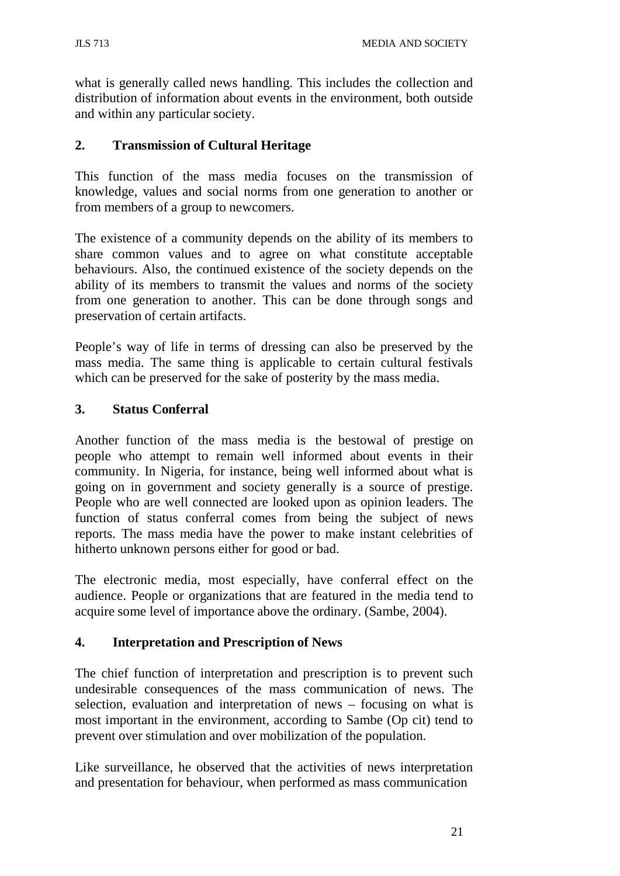what is generally called news handling. This includes the collection and distribution of information about events in the environment, both outside and within any particular society.

#### **2. Transmission of Cultural Heritage**

This function of the mass media focuses on the transmission of knowledge, values and social norms from one generation to another or from members of a group to newcomers.

The existence of a community depends on the ability of its members to share common values and to agree on what constitute acceptable behaviours. Also, the continued existence of the society depends on the ability of its members to transmit the values and norms of the society from one generation to another. This can be done through songs and preservation of certain artifacts.

People's way of life in terms of dressing can also be preserved by the mass media. The same thing is applicable to certain cultural festivals which can be preserved for the sake of posterity by the mass media.

#### **3. Status Conferral**

Another function of the mass media is the bestowal of prestige on people who attempt to remain well informed about events in their community. In Nigeria, for instance, being well informed about what is going on in government and society generally is a source of prestige. People who are well connected are looked upon as opinion leaders. The function of status conferral comes from being the subject of news reports. The mass media have the power to make instant celebrities of hitherto unknown persons either for good or bad.

The electronic media, most especially, have conferral effect on the audience. People or organizations that are featured in the media tend to acquire some level of importance above the ordinary. (Sambe, 2004).

#### **4. Interpretation and Prescription of News**

The chief function of interpretation and prescription is to prevent such undesirable consequences of the mass communication of news. The selection, evaluation and interpretation of news – focusing on what is most important in the environment, according to Sambe (Op cit) tend to prevent over stimulation and over mobilization of the population.

Like surveillance, he observed that the activities of news interpretation and presentation for behaviour, when performed as mass communication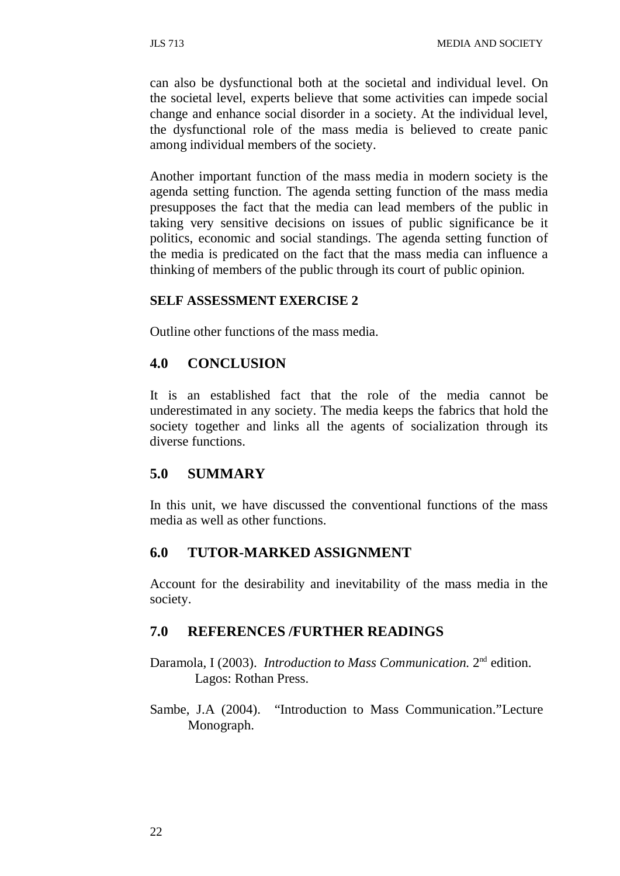can also be dysfunctional both at the societal and individual level. On the societal level, experts believe that some activities can impede social change and enhance social disorder in a society. At the individual level, the dysfunctional role of the mass media is believed to create panic among individual members of the society.

Another important function of the mass media in modern society is the agenda setting function. The agenda setting function of the mass media presupposes the fact that the media can lead members of the public in taking very sensitive decisions on issues of public significance be it politics, economic and social standings. The agenda setting function of the media is predicated on the fact that the mass media can influence a thinking of members of the public through its court of public opinion.

#### **SELF ASSESSMENT EXERCISE 2**

Outline other functions of the mass media.

#### **4.0 CONCLUSION**

It is an established fact that the role of the media cannot be underestimated in any society. The media keeps the fabrics that hold the society together and links all the agents of socialization through its diverse functions.

## **5.0 SUMMARY**

In this unit, we have discussed the conventional functions of the mass media as well as other functions.

#### **6.0 TUTOR-MARKED ASSIGNMENT**

Account for the desirability and inevitability of the mass media in the society.

#### **7.0 REFERENCES /FURTHER READINGS**

- Daramola, I (2003). *Introduction to Mass Communication.* 2nd edition. Lagos: Rothan Press.
- Sambe, J.A (2004). "Introduction to Mass Communication."Lecture Monograph.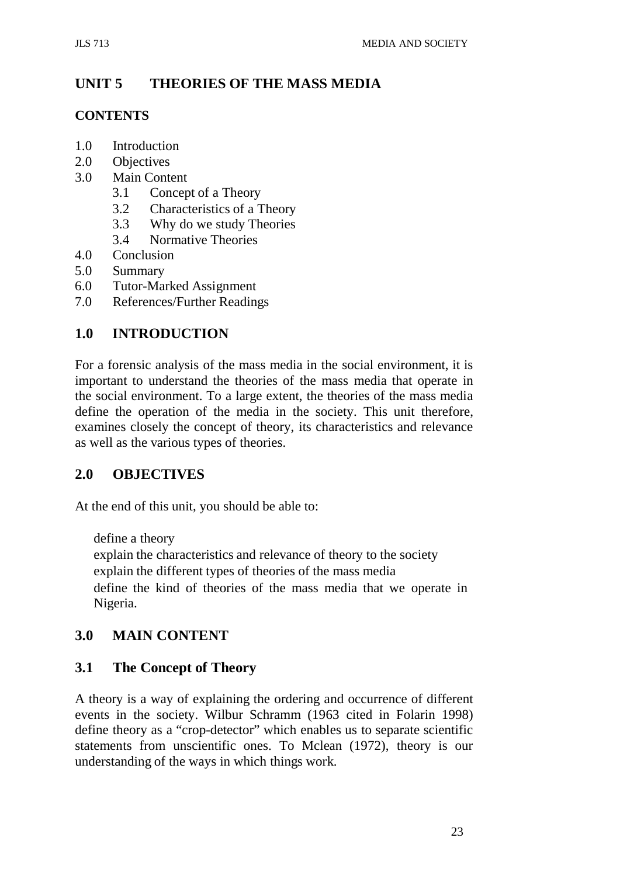# **UNIT 5 THEORIES OF THE MASS MEDIA**

## **CONTENTS**

- 1.0 Introduction
- 2.0 Objectives
- 3.0 Main Content
	- 3.1 Concept of a Theory
	- 3.2 Characteristics of a Theory
	- 3.3 Why do we study Theories
	- 3.4 Normative Theories
- 4.0 Conclusion
- 5.0 Summary
- 6.0 Tutor-Marked Assignment
- 7.0 References/Further Readings

# **1.0 INTRODUCTION**

For a forensic analysis of the mass media in the social environment, it is important to understand the theories of the mass media that operate in the social environment. To a large extent, the theories of the mass media define the operation of the media in the society. This unit therefore, examines closely the concept of theory, its characteristics and relevance as well as the various types of theories.

# **2.0 OBJECTIVES**

At the end of this unit, you should be able to:

define a theory

explain the characteristics and relevance of theory to the society explain the different types of theories of the mass media define the kind of theories of the mass media that we operate in Nigeria.

# **3.0 MAIN CONTENT**

# **3.1 The Concept of Theory**

A theory is a way of explaining the ordering and occurrence of different events in the society. Wilbur Schramm (1963 cited in Folarin 1998) define theory as a "crop-detector" which enables us to separate scientific statements from unscientific ones. To Mclean (1972), theory is our understanding of the ways in which things work.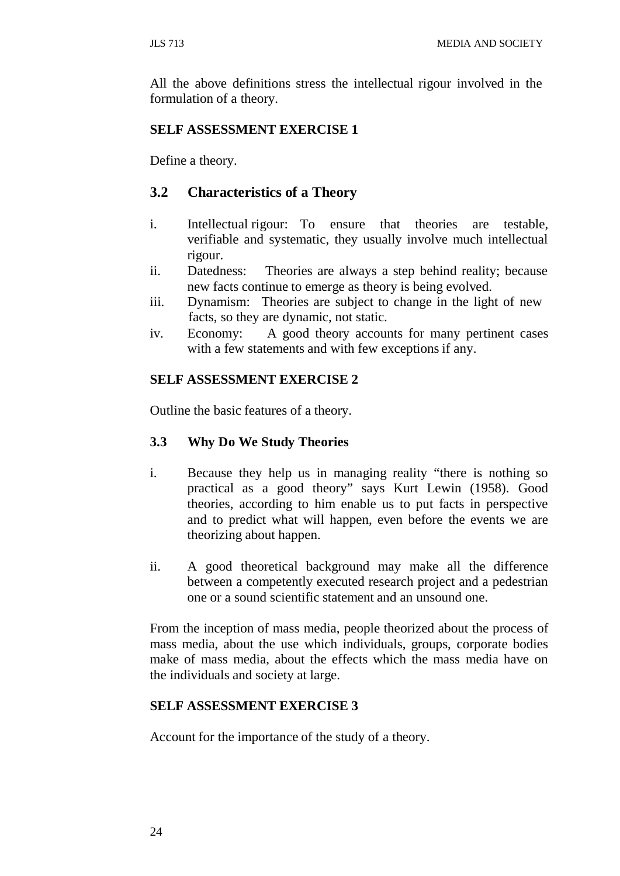All the above definitions stress the intellectual rigour involved in the formulation of a theory.

#### **SELF ASSESSMENT EXERCISE 1**

Define a theory.

## **3.2 Characteristics of a Theory**

- i. Intellectual rigour: To ensure that theories are testable, verifiable and systematic, they usually involve much intellectual rigour.
- ii. Datedness: Theories are always a step behind reality; because new facts continue to emerge as theory is being evolved.
- iii. Dynamism: Theories are subject to change in the light of new facts, so they are dynamic, not static.
- iv. Economy: A good theory accounts for many pertinent cases with a few statements and with few exceptions if any.

#### **SELF ASSESSMENT EXERCISE 2**

Outline the basic features of a theory.

#### **3.3 Why Do We Study Theories**

- i. Because they help us in managing reality "there is nothing so practical as a good theory" says Kurt Lewin (1958). Good theories, according to him enable us to put facts in perspective and to predict what will happen, even before the events we are theorizing about happen.
- ii. A good theoretical background may make all the difference between a competently executed research project and a pedestrian one or a sound scientific statement and an unsound one.

From the inception of mass media, people theorized about the process of mass media, about the use which individuals, groups, corporate bodies make of mass media, about the effects which the mass media have on the individuals and society at large.

#### **SELF ASSESSMENT EXERCISE 3**

Account for the importance of the study of a theory.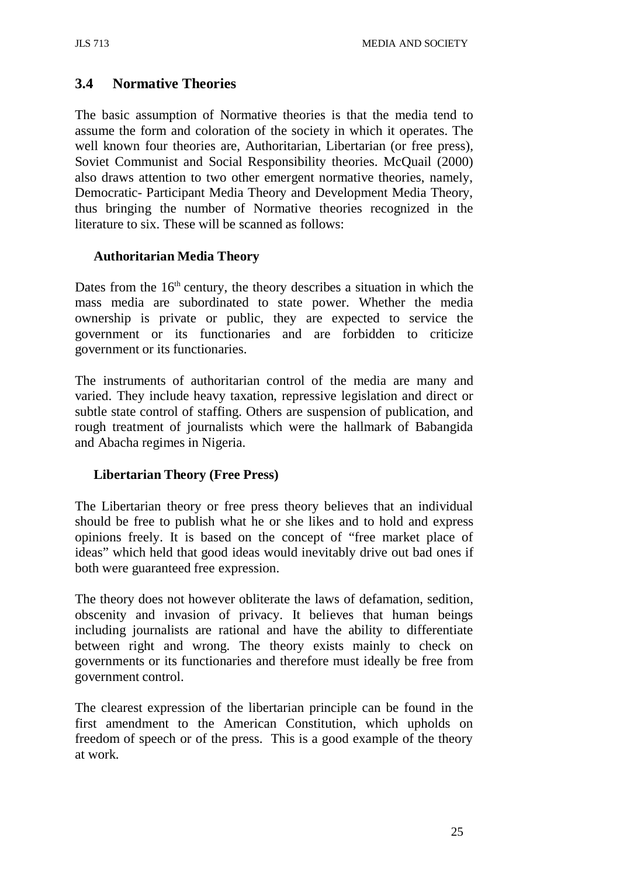# **3.4 Normative Theories**

The basic assumption of Normative theories is that the media tend to assume the form and coloration of the society in which it operates. The well known four theories are, Authoritarian, Libertarian (or free press), Soviet Communist and Social Responsibility theories. McQuail (2000) also draws attention to two other emergent normative theories, namely, Democratic- Participant Media Theory and Development Media Theory, thus bringing the number of Normative theories recognized in the literature to six. These will be scanned as follows:

## **Authoritarian Media Theory**

Dates from the  $16<sup>th</sup>$  century, the theory describes a situation in which the mass media are subordinated to state power. Whether the media ownership is private or public, they are expected to service the government or its functionaries and are forbidden to criticize government or its functionaries.

The instruments of authoritarian control of the media are many and varied. They include heavy taxation, repressive legislation and direct or subtle state control of staffing. Others are suspension of publication, and rough treatment of journalists which were the hallmark of Babangida and Abacha regimes in Nigeria.

# **Libertarian Theory (Free Press)**

The Libertarian theory or free press theory believes that an individual should be free to publish what he or she likes and to hold and express opinions freely. It is based on the concept of "free market place of ideas" which held that good ideas would inevitably drive out bad ones if both were guaranteed free expression.

The theory does not however obliterate the laws of defamation, sedition, obscenity and invasion of privacy. It believes that human beings including journalists are rational and have the ability to differentiate between right and wrong. The theory exists mainly to check on governments or its functionaries and therefore must ideally be free from government control.

The clearest expression of the libertarian principle can be found in the first amendment to the American Constitution, which upholds on freedom of speech or of the press. This is a good example of the theory at work.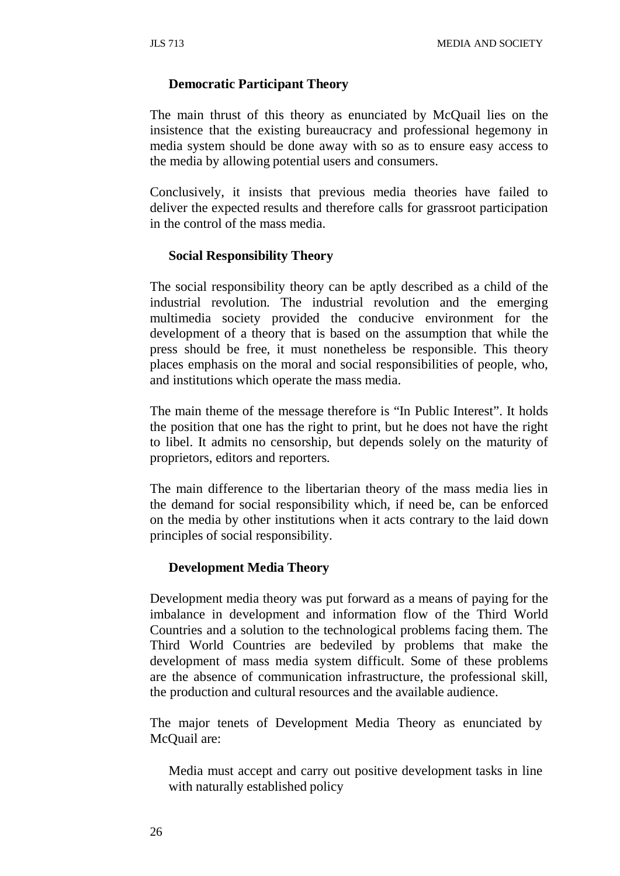#### **Democratic Participant Theory**

The main thrust of this theory as enunciated by McQuail lies on the insistence that the existing bureaucracy and professional hegemony in media system should be done away with so as to ensure easy access to the media by allowing potential users and consumers.

Conclusively, it insists that previous media theories have failed to deliver the expected results and therefore calls for grassroot participation in the control of the mass media.

#### **Social Responsibility Theory**

The social responsibility theory can be aptly described as a child of the industrial revolution. The industrial revolution and the emerging multimedia society provided the conducive environment for the development of a theory that is based on the assumption that while the press should be free, it must nonetheless be responsible. This theory places emphasis on the moral and social responsibilities of people, who, and institutions which operate the mass media.

The main theme of the message therefore is "In Public Interest". It holds the position that one has the right to print, but he does not have the right to libel. It admits no censorship, but depends solely on the maturity of proprietors, editors and reporters.

The main difference to the libertarian theory of the mass media lies in the demand for social responsibility which, if need be, can be enforced on the media by other institutions when it acts contrary to the laid down principles of social responsibility.

#### **Development Media Theory**

Development media theory was put forward as a means of paying for the imbalance in development and information flow of the Third World Countries and a solution to the technological problems facing them. The Third World Countries are bedeviled by problems that make the development of mass media system difficult. Some of these problems are the absence of communication infrastructure, the professional skill, the production and cultural resources and the available audience.

The major tenets of Development Media Theory as enunciated by McQuail are:

Media must accept and carry out positive development tasks in line with naturally established policy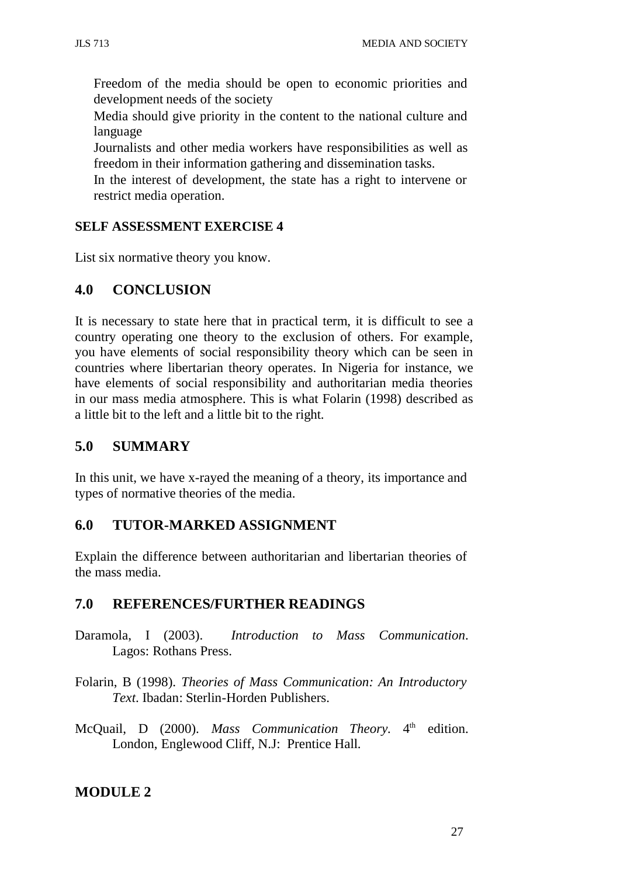Freedom of the media should be open to economic priorities and development needs of the society

Media should give priority in the content to the national culture and language

Journalists and other media workers have responsibilities as well as freedom in their information gathering and dissemination tasks.

In the interest of development, the state has a right to intervene or restrict media operation.

## **SELF ASSESSMENT EXERCISE 4**

List six normative theory you know.

# **4.0 CONCLUSION**

It is necessary to state here that in practical term, it is difficult to see a country operating one theory to the exclusion of others. For example, you have elements of social responsibility theory which can be seen in countries where libertarian theory operates. In Nigeria for instance, we have elements of social responsibility and authoritarian media theories in our mass media atmosphere. This is what Folarin (1998) described as a little bit to the left and a little bit to the right.

# **5.0 SUMMARY**

In this unit, we have x-rayed the meaning of a theory, its importance and types of normative theories of the media.

# **6.0 TUTOR-MARKED ASSIGNMENT**

Explain the difference between authoritarian and libertarian theories of the mass media.

# **7.0 REFERENCES/FURTHER READINGS**

- Daramola, I (2003). *Introduction to Mass Communication*. Lagos: Rothans Press.
- Folarin, B (1998). *Theories of Mass Communication: An Introductory Text*. Ibadan: Sterlin-Horden Publishers.
- McQuail, D (2000). *Mass Communication Theory*. 4<sup>th</sup> edition. London, Englewood Cliff, N.J: Prentice Hall.

# **MODULE 2**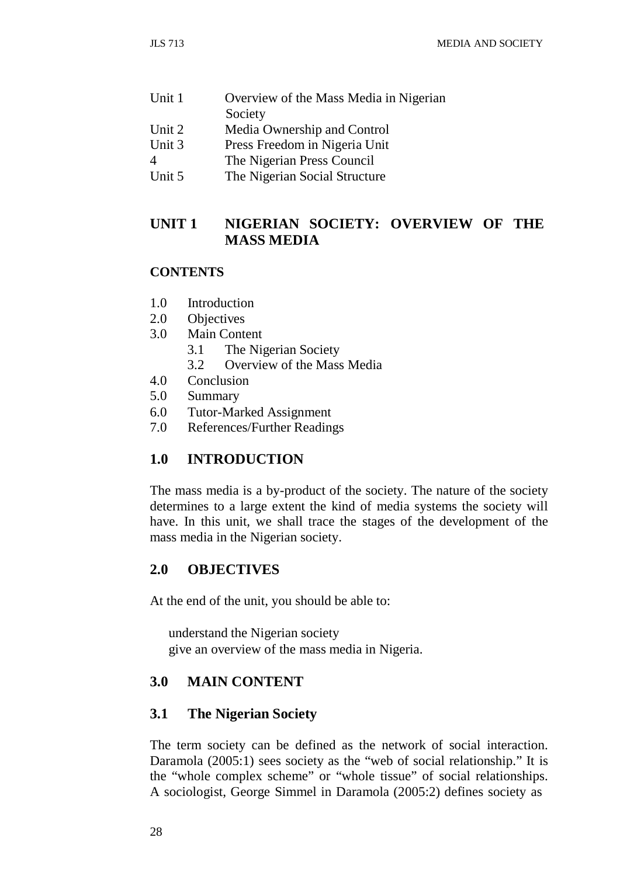| Unit 1 | Overview of the Mass Media in Nigerian |  |  |
|--------|----------------------------------------|--|--|
|        | Society                                |  |  |
| Unit 2 | Media Ownership and Control            |  |  |
| Unit 3 | Press Freedom in Nigeria Unit          |  |  |
|        | The Nigerian Press Council             |  |  |
| Unit 5 | The Nigerian Social Structure          |  |  |

**UNIT 1 NIGERIAN SOCIETY: OVERVIEW OF THE** 

#### **CONTENTS**

- 1.0 Introduction
- 2.0 Objectives
- 3.0 Main Content
	- 3.1 The Nigerian Society

**MASS MEDIA**

- 3.2 Overview of the Mass Media
- 4.0 Conclusion<br>5.0 Summary
- **Summary**
- 6.0 Tutor-Marked Assignment
- 7.0 References/Further Readings

# **1.0 INTRODUCTION**

The mass media is a by-product of the society. The nature of the society determines to a large extent the kind of media systems the society will have. In this unit, we shall trace the stages of the development of the mass media in the Nigerian society.

## **2.0 OBJECTIVES**

At the end of the unit, you should be able to:

understand the Nigerian society give an overview of the mass media in Nigeria.

# **3.0 MAIN CONTENT**

## **3.1 The Nigerian Society**

The term society can be defined as the network of social interaction. Daramola (2005:1) sees society as the "web of social relationship." It is the "whole complex scheme" or "whole tissue" of social relationships. A sociologist, George Simmel in Daramola (2005:2) defines society as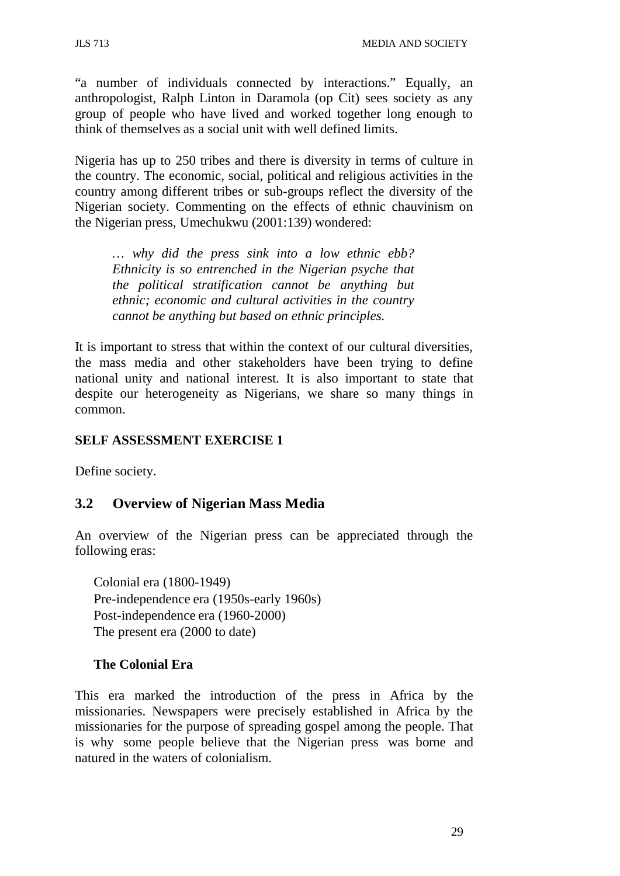"a number of individuals connected by interactions." Equally, an anthropologist, Ralph Linton in Daramola (op Cit) sees society as any group of people who have lived and worked together long enough to think of themselves as a social unit with well defined limits.

Nigeria has up to 250 tribes and there is diversity in terms of culture in the country. The economic, social, political and religious activities in the country among different tribes or sub-groups reflect the diversity of the Nigerian society. Commenting on the effects of ethnic chauvinism on the Nigerian press, Umechukwu (2001:139) wondered:

*… why did the press sink into a low ethnic ebb? Ethnicity is so entrenched in the Nigerian psyche that the political stratification cannot be anything but ethnic; economic and cultural activities in the country cannot be anything but based on ethnic principles.*

It is important to stress that within the context of our cultural diversities, the mass media and other stakeholders have been trying to define national unity and national interest. It is also important to state that despite our heterogeneity as Nigerians, we share so many things in common.

## **SELF ASSESSMENT EXERCISE 1**

Define society.

# **3.2 Overview of Nigerian Mass Media**

An overview of the Nigerian press can be appreciated through the following eras:

Colonial era (1800-1949) Pre-independence era (1950s-early 1960s) Post-independence era (1960-2000) The present era (2000 to date)

## **The Colonial Era**

This era marked the introduction of the press in Africa by the missionaries. Newspapers were precisely established in Africa by the missionaries for the purpose of spreading gospel among the people. That is why some people believe that the Nigerian press was borne and natured in the waters of colonialism.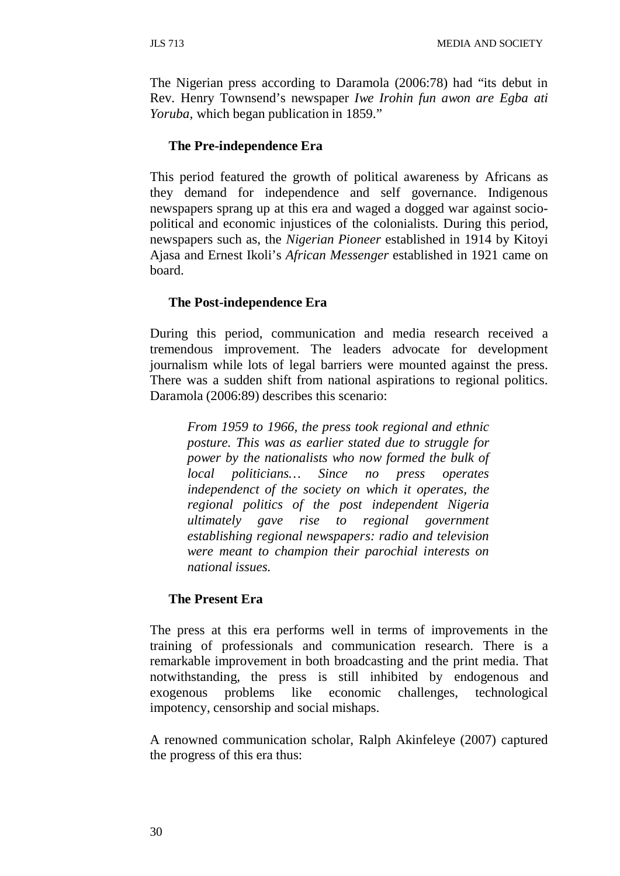The Nigerian press according to Daramola (2006:78) had "its debut in Rev. Henry Townsend's newspaper *Iwe Irohin fun awon are Egba ati Yoruba,* which began publication in 1859."

#### **The Pre-independence Era**

This period featured the growth of political awareness by Africans as they demand for independence and self governance. Indigenous newspapers sprang up at this era and waged a dogged war against sociopolitical and economic injustices of the colonialists. During this period, newspapers such as, the *Nigerian Pioneer* established in 1914 by Kitoyi Ajasa and Ernest Ikoli's *African Messenger* established in 1921 came on board.

#### **The Post-independence Era**

During this period, communication and media research received a tremendous improvement. The leaders advocate for development journalism while lots of legal barriers were mounted against the press. There was a sudden shift from national aspirations to regional politics. Daramola (2006:89) describes this scenario:

*From 1959 to 1966, the press took regional and ethnic posture. This was as earlier stated due to struggle for power by the nationalists who now formed the bulk of local politicians… Since no press operates independenct of the society on which it operates, the regional politics of the post independent Nigeria ultimately gave rise to regional government establishing regional newspapers: radio and television were meant to champion their parochial interests on national issues.*

#### **The Present Era**

The press at this era performs well in terms of improvements in the training of professionals and communication research. There is a remarkable improvement in both broadcasting and the print media. That notwithstanding, the press is still inhibited by endogenous and exogenous problems like economic challenges, technological impotency, censorship and social mishaps.

A renowned communication scholar, Ralph Akinfeleye (2007) captured the progress of this era thus: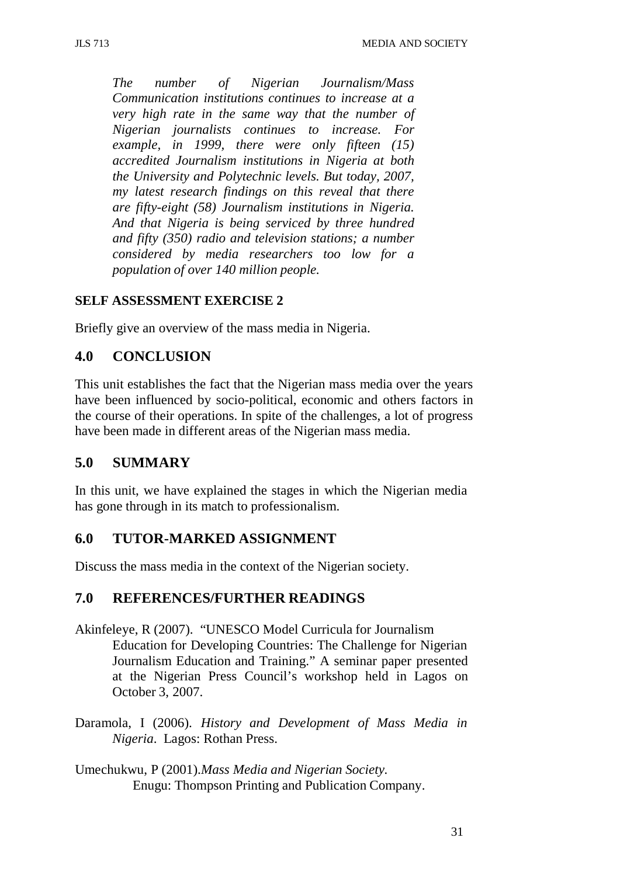*The number of Nigerian Journalism/Mass Communication institutions continues to increase at a very high rate in the same way that the number of Nigerian journalists continues to increase. For example, in 1999, there were only fifteen (15) accredited Journalism institutions in Nigeria at both the University and Polytechnic levels. But today, 2007, my latest research findings on this reveal that there are fifty-eight (58) Journalism institutions in Nigeria. And that Nigeria is being serviced by three hundred and fifty (350) radio and television stations; a number considered by media researchers too low for a population of over 140 million people.*

#### **SELF ASSESSMENT EXERCISE 2**

Briefly give an overview of the mass media in Nigeria.

# **4.0 CONCLUSION**

This unit establishes the fact that the Nigerian mass media over the years have been influenced by socio-political, economic and others factors in the course of their operations. In spite of the challenges, a lot of progress have been made in different areas of the Nigerian mass media.

## **5.0 SUMMARY**

In this unit, we have explained the stages in which the Nigerian media has gone through in its match to professionalism.

## **6.0 TUTOR-MARKED ASSIGNMENT**

Discuss the mass media in the context of the Nigerian society.

## **7.0 REFERENCES/FURTHER READINGS**

- Akinfeleye, R (2007). "UNESCO Model Curricula for Journalism Education for Developing Countries: The Challenge for Nigerian Journalism Education and Training." A seminar paper presented at the Nigerian Press Council's workshop held in Lagos on October 3, 2007.
- Daramola, I (2006). *History and Development of Mass Media in Nigeria*. Lagos: Rothan Press.
- Umechukwu, P (2001).*Mass Media and Nigerian Society.* Enugu: Thompson Printing and Publication Company.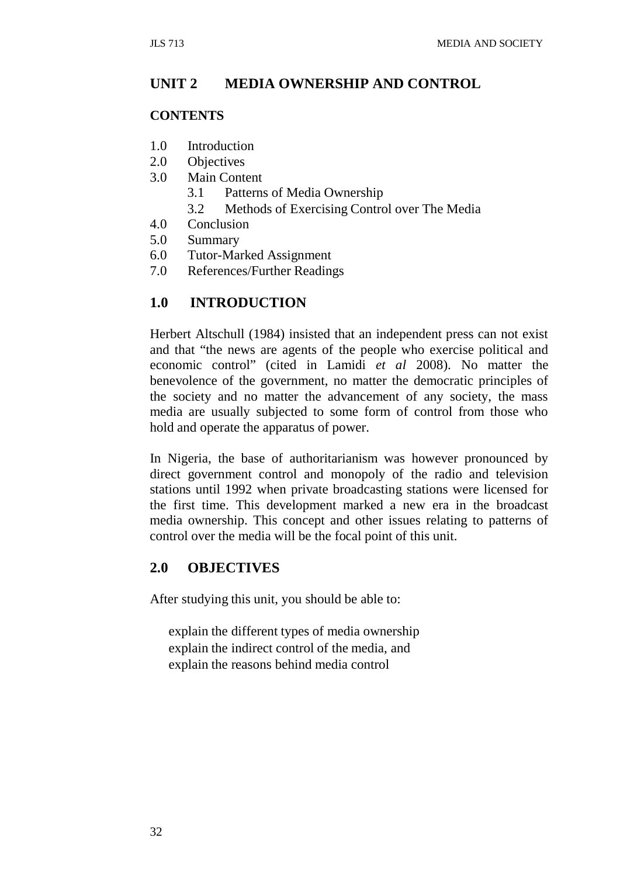## **UNIT 2 MEDIA OWNERSHIP AND CONTROL**

#### **CONTENTS**

- 1.0 Introduction
- 2.0 Objectives
- 3.0 Main Content
	- 3.1 Patterns of Media Ownership
	- 3.2 Methods of Exercising Control over The Media
- 4.0 Conclusion
- 5.0 Summary
- 6.0 Tutor-Marked Assignment
- 7.0 References/Further Readings

#### **1.0 INTRODUCTION**

Herbert Altschull (1984) insisted that an independent press can not exist and that "the news are agents of the people who exercise political and economic control" (cited in Lamidi *et al* 2008). No matter the benevolence of the government, no matter the democratic principles of the society and no matter the advancement of any society, the mass media are usually subjected to some form of control from those who hold and operate the apparatus of power.

In Nigeria, the base of authoritarianism was however pronounced by direct government control and monopoly of the radio and television stations until 1992 when private broadcasting stations were licensed for the first time. This development marked a new era in the broadcast media ownership. This concept and other issues relating to patterns of control over the media will be the focal point of this unit.

### **2.0 OBJECTIVES**

After studying this unit, you should be able to:

explain the different types of media ownership explain the indirect control of the media, and explain the reasons behind media control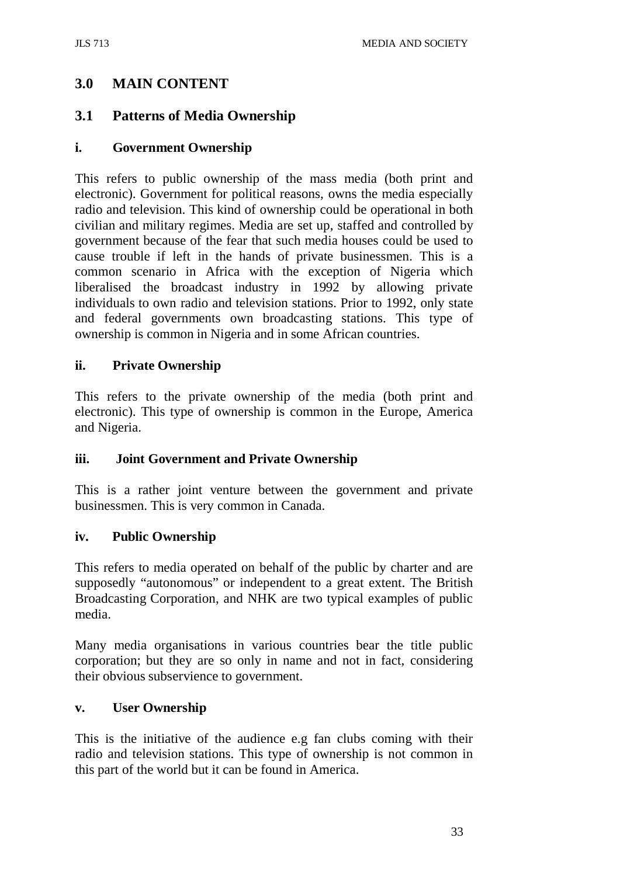## **3.0 MAIN CONTENT**

## **3.1 Patterns of Media Ownership**

#### **i. Government Ownership**

This refers to public ownership of the mass media (both print and electronic). Government for political reasons, owns the media especially radio and television. This kind of ownership could be operational in both civilian and military regimes. Media are set up, staffed and controlled by government because of the fear that such media houses could be used to cause trouble if left in the hands of private businessmen. This is a common scenario in Africa with the exception of Nigeria which liberalised the broadcast industry in 1992 by allowing private individuals to own radio and television stations. Prior to 1992, only state and federal governments own broadcasting stations. This type of ownership is common in Nigeria and in some African countries.

#### **ii. Private Ownership**

This refers to the private ownership of the media (both print and electronic). This type of ownership is common in the Europe, America and Nigeria.

#### **iii. Joint Government and Private Ownership**

This is a rather joint venture between the government and private businessmen. This is very common in Canada.

#### **iv. Public Ownership**

This refers to media operated on behalf of the public by charter and are supposedly "autonomous" or independent to a great extent. The British Broadcasting Corporation, and NHK are two typical examples of public media.

Many media organisations in various countries bear the title public corporation; but they are so only in name and not in fact, considering their obvious subservience to government.

#### **v. User Ownership**

This is the initiative of the audience e.g fan clubs coming with their radio and television stations. This type of ownership is not common in this part of the world but it can be found in America.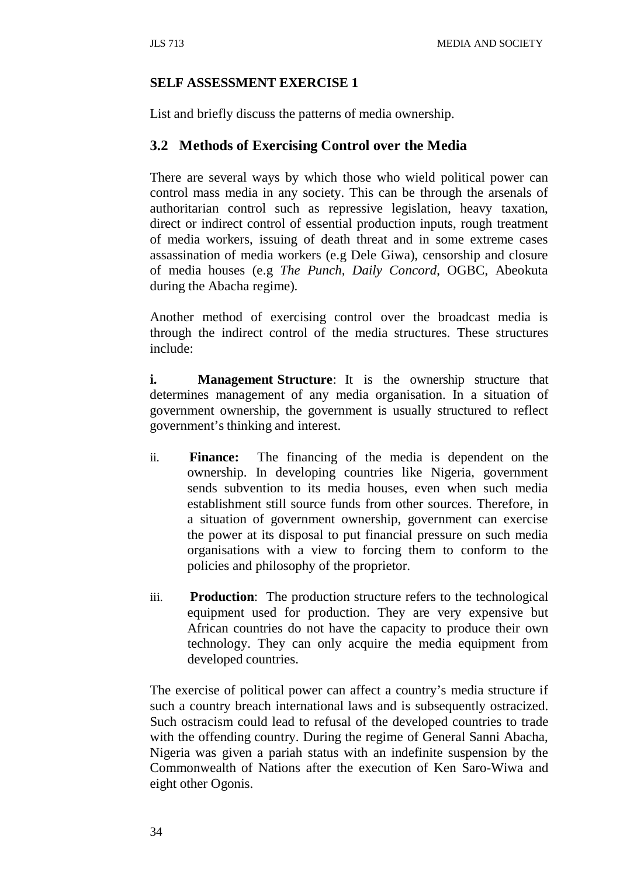#### **SELF ASSESSMENT EXERCISE 1**

List and briefly discuss the patterns of media ownership.

## **3.2 Methods of Exercising Control over the Media**

There are several ways by which those who wield political power can control mass media in any society. This can be through the arsenals of authoritarian control such as repressive legislation, heavy taxation, direct or indirect control of essential production inputs, rough treatment of media workers, issuing of death threat and in some extreme cases assassination of media workers (e.g Dele Giwa), censorship and closure of media houses (e.g *The Punch, Daily Concord*, OGBC, Abeokuta during the Abacha regime).

Another method of exercising control over the broadcast media is through the indirect control of the media structures. These structures include:

**i.** Management **Structure**: It is the ownership structure that determines management of any media organisation. In a situation of government ownership, the government is usually structured to reflect government's thinking and interest.

- ii. **Finance:** The financing of the media is dependent on the ownership. In developing countries like Nigeria, government sends subvention to its media houses, even when such media establishment still source funds from other sources. Therefore, in a situation of government ownership, government can exercise the power at its disposal to put financial pressure on such media organisations with a view to forcing them to conform to the policies and philosophy of the proprietor.
- iii. **Production**: The production structure refers to the technological equipment used for production. They are very expensive but African countries do not have the capacity to produce their own technology. They can only acquire the media equipment from developed countries.

The exercise of political power can affect a country's media structure if such a country breach international laws and is subsequently ostracized. Such ostracism could lead to refusal of the developed countries to trade with the offending country. During the regime of General Sanni Abacha, Nigeria was given a pariah status with an indefinite suspension by the Commonwealth of Nations after the execution of Ken Saro-Wiwa and eight other Ogonis.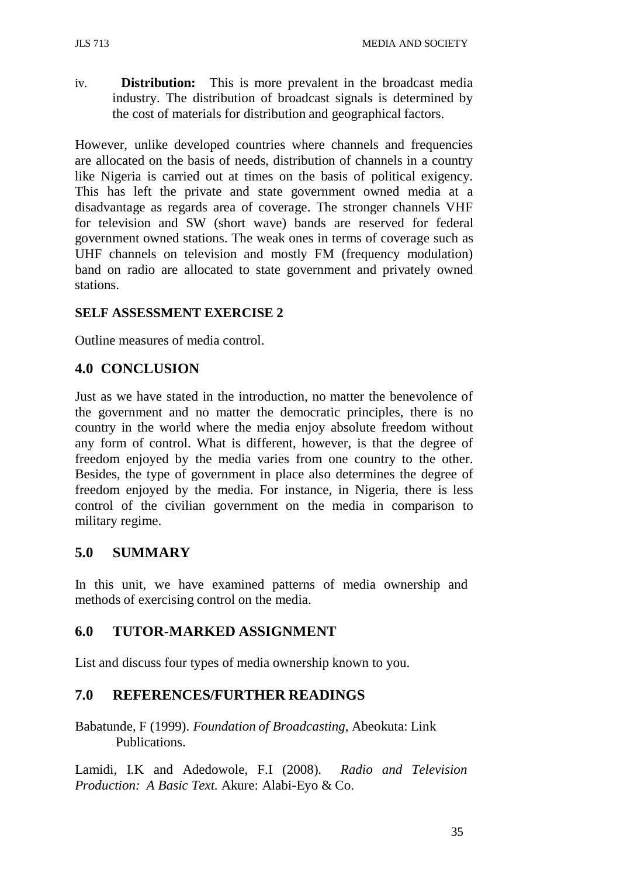iv. **Distribution:** This is more prevalent in the broadcast media industry. The distribution of broadcast signals is determined by the cost of materials for distribution and geographical factors.

However, unlike developed countries where channels and frequencies are allocated on the basis of needs, distribution of channels in a country like Nigeria is carried out at times on the basis of political exigency. This has left the private and state government owned media at a disadvantage as regards area of coverage. The stronger channels VHF for television and SW (short wave) bands are reserved for federal government owned stations. The weak ones in terms of coverage such as UHF channels on television and mostly FM (frequency modulation) band on radio are allocated to state government and privately owned stations.

## **SELF ASSESSMENT EXERCISE 2**

Outline measures of media control.

# **4.0 CONCLUSION**

Just as we have stated in the introduction, no matter the benevolence of the government and no matter the democratic principles, there is no country in the world where the media enjoy absolute freedom without any form of control. What is different, however, is that the degree of freedom enjoyed by the media varies from one country to the other. Besides, the type of government in place also determines the degree of freedom enjoyed by the media. For instance, in Nigeria, there is less control of the civilian government on the media in comparison to military regime.

# **5.0 SUMMARY**

In this unit, we have examined patterns of media ownership and methods of exercising control on the media.

# **6.0 TUTOR-MARKED ASSIGNMENT**

List and discuss four types of media ownership known to you.

# **7.0 REFERENCES/FURTHER READINGS**

Babatunde, F (1999). *Foundation of Broadcasting*, Abeokuta: Link Publications.

Lamidi, I.K and Adedowole, F.I (2008). *Radio and Television Production: A Basic Text.* Akure: Alabi-Eyo & Co.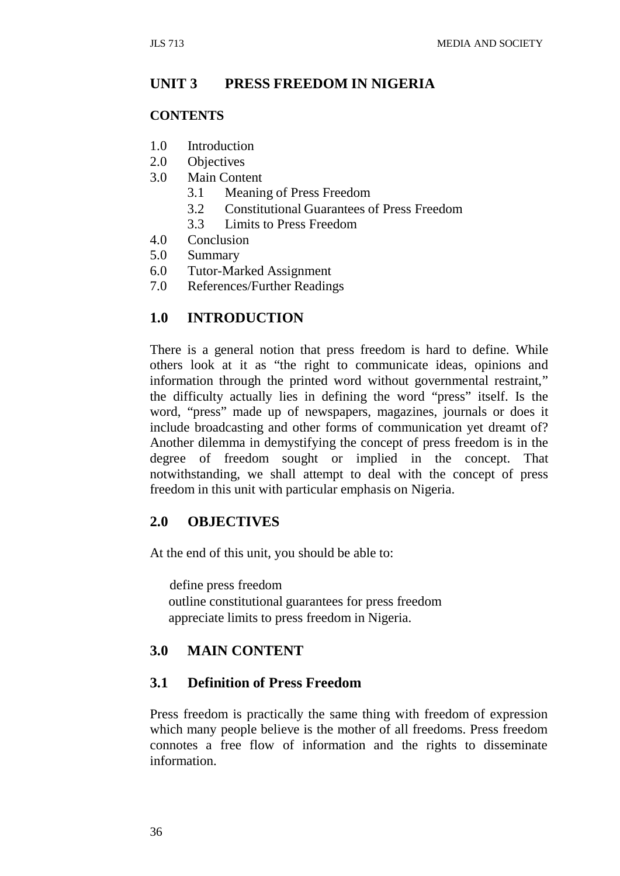## **UNIT 3 PRESS FREEDOM IN NIGERIA**

#### **CONTENTS**

- 1.0 Introduction
- 2.0 Objectives
- 3.0 Main Content
	- 3.1 Meaning of Press Freedom
	- 3.2 Constitutional Guarantees of Press Freedom
	- 3.3 Limits to Press Freedom
- 4.0 Conclusion
- 5.0 Summary
- 6.0 Tutor-Marked Assignment
- 7.0 References/Further Readings

#### **1.0 INTRODUCTION**

There is a general notion that press freedom is hard to define. While others look at it as "the right to communicate ideas, opinions and information through the printed word without governmental restraint," the difficulty actually lies in defining the word "press" itself. Is the word, "press" made up of newspapers, magazines, journals or does it include broadcasting and other forms of communication yet dreamt of? Another dilemma in demystifying the concept of press freedom is in the degree of freedom sought or implied in the concept. That notwithstanding, we shall attempt to deal with the concept of press freedom in this unit with particular emphasis on Nigeria.

## **2.0 OBJECTIVES**

At the end of this unit, you should be able to:

define press freedom outline constitutional guarantees for press freedom appreciate limits to press freedom in Nigeria.

## **3.0 MAIN CONTENT**

#### **3.1 Definition of Press Freedom**

Press freedom is practically the same thing with freedom of expression which many people believe is the mother of all freedoms. Press freedom connotes a free flow of information and the rights to disseminate information.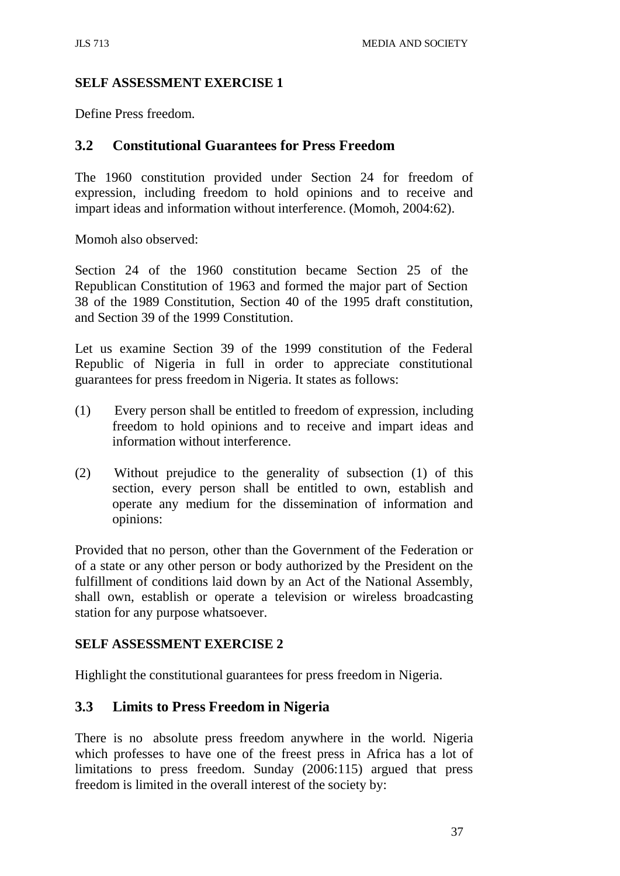## **SELF ASSESSMENT EXERCISE 1**

Define Press freedom.

## **3.2 Constitutional Guarantees for Press Freedom**

The 1960 constitution provided under Section 24 for freedom of expression, including freedom to hold opinions and to receive and impart ideas and information without interference. (Momoh, 2004:62).

Momoh also observed:

Section 24 of the 1960 constitution became Section 25 of the Republican Constitution of 1963 and formed the major part of Section 38 of the 1989 Constitution, Section 40 of the 1995 draft constitution, and Section 39 of the 1999 Constitution.

Let us examine Section 39 of the 1999 constitution of the Federal Republic of Nigeria in full in order to appreciate constitutional guarantees for press freedom in Nigeria. It states as follows:

- (1) Every person shall be entitled to freedom of expression, including freedom to hold opinions and to receive and impart ideas and information without interference.
- (2) Without prejudice to the generality of subsection (1) of this section, every person shall be entitled to own, establish and operate any medium for the dissemination of information and opinions:

Provided that no person, other than the Government of the Federation or of a state or any other person or body authorized by the President on the fulfillment of conditions laid down by an Act of the National Assembly, shall own, establish or operate a television or wireless broadcasting station for any purpose whatsoever.

## **SELF ASSESSMENT EXERCISE 2**

Highlight the constitutional guarantees for press freedom in Nigeria.

# **3.3 Limits to Press Freedom in Nigeria**

There is no absolute press freedom anywhere in the world. Nigeria which professes to have one of the freest press in Africa has a lot of limitations to press freedom. Sunday (2006:115) argued that press freedom is limited in the overall interest of the society by: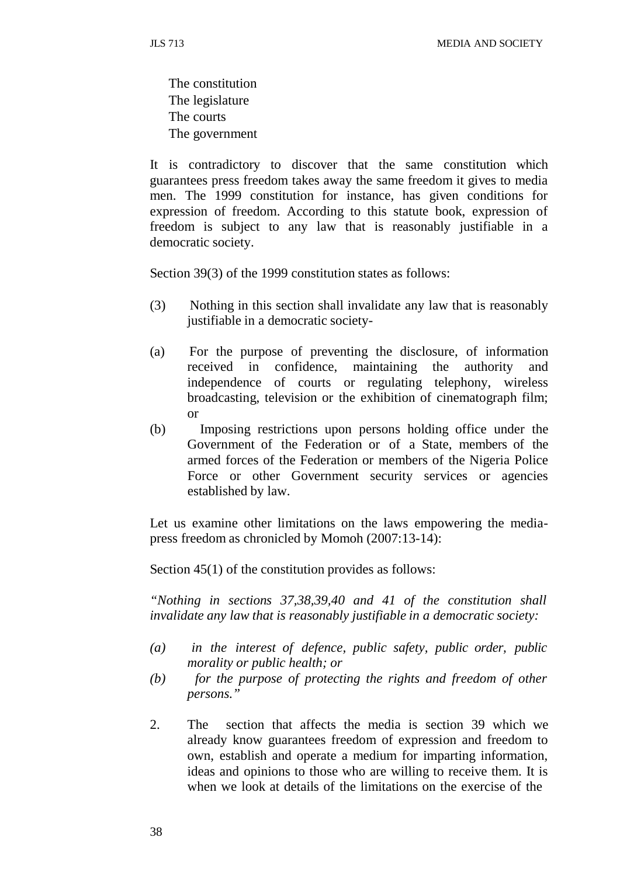The constitution The legislature The courts The government

It is contradictory to discover that the same constitution which guarantees press freedom takes away the same freedom it gives to media men. The 1999 constitution for instance, has given conditions for expression of freedom. According to this statute book, expression of freedom is subject to any law that is reasonably justifiable in a democratic society.

Section 39(3) of the 1999 constitution states as follows:

- (3) Nothing in this section shall invalidate any law that is reasonably justifiable in a democratic society-
- (a) For the purpose of preventing the disclosure, of information received in confidence, maintaining the authority and independence of courts or regulating telephony, wireless broadcasting, television or the exhibition of cinematograph film; or
- (b) Imposing restrictions upon persons holding office under the Government of the Federation or of a State, members of the armed forces of the Federation or members of the Nigeria Police Force or other Government security services or agencies established by law.

Let us examine other limitations on the laws empowering the mediapress freedom as chronicled by Momoh (2007:13-14):

Section 45(1) of the constitution provides as follows:

*"Nothing in sections 37,38,39,40 and 41 of the constitution shall invalidate any law that is reasonably justifiable in a democratic society:*

- *(a) in the interest of defence, public safety, public order, public morality or public health; or*
- *(b) for the purpose of protecting the rights and freedom of other persons."*
- 2. The section that affects the media is section 39 which we already know guarantees freedom of expression and freedom to own, establish and operate a medium for imparting information, ideas and opinions to those who are willing to receive them. It is when we look at details of the limitations on the exercise of the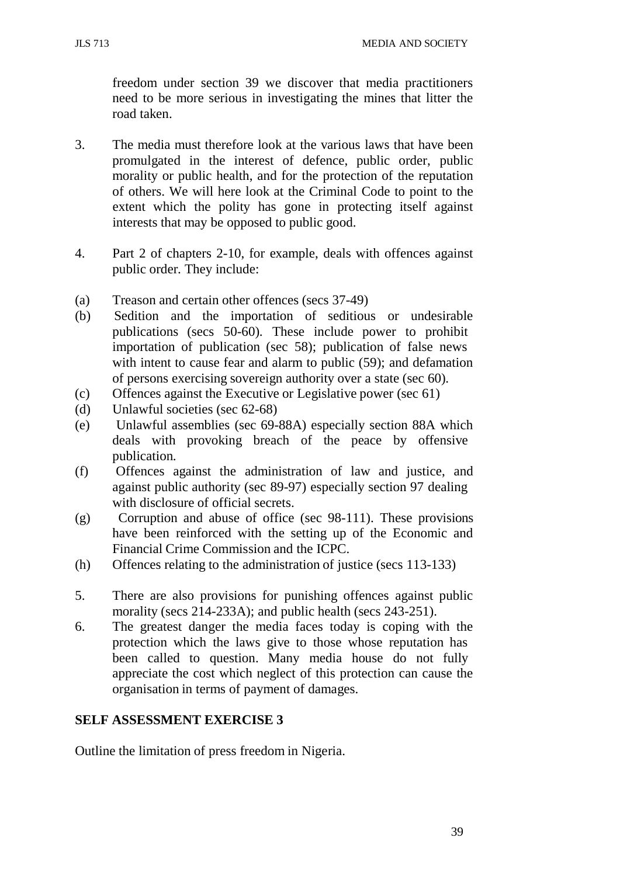JLS 713 MEDIA AND SOCIETY

freedom under section 39 we discover that media practitioners need to be more serious in investigating the mines that litter the road taken.

- 3. The media must therefore look at the various laws that have been promulgated in the interest of defence, public order, public morality or public health, and for the protection of the reputation of others. We will here look at the Criminal Code to point to the extent which the polity has gone in protecting itself against interests that may be opposed to public good.
- 4. Part 2 of chapters 2-10, for example, deals with offences against public order. They include:
- (a) Treason and certain other offences (secs 37-49)
- (b) Sedition and the importation of seditious or undesirable publications (secs 50-60). These include power to prohibit importation of publication (sec 58); publication of false news with intent to cause fear and alarm to public (59); and defamation of persons exercising sovereign authority over a state (sec 60).
- (c) Offences against the Executive or Legislative power (sec 61)
- (d) Unlawful societies (sec 62-68)
- (e) Unlawful assemblies (sec 69-88A) especially section 88A which deals with provoking breach of the peace by offensive publication.
- (f) Offences against the administration of law and justice, and against public authority (sec 89-97) especially section 97 dealing with disclosure of official secrets.
- (g) Corruption and abuse of office (sec 98-111). These provisions have been reinforced with the setting up of the Economic and Financial Crime Commission and the ICPC.
- (h) Offences relating to the administration of justice (secs 113-133)
- 5. There are also provisions for punishing offences against public morality (secs 214-233A); and public health (secs 243-251).
- 6. The greatest danger the media faces today is coping with the protection which the laws give to those whose reputation has been called to question. Many media house do not fully appreciate the cost which neglect of this protection can cause the organisation in terms of payment of damages.

#### **SELF ASSESSMENT EXERCISE 3**

Outline the limitation of press freedom in Nigeria.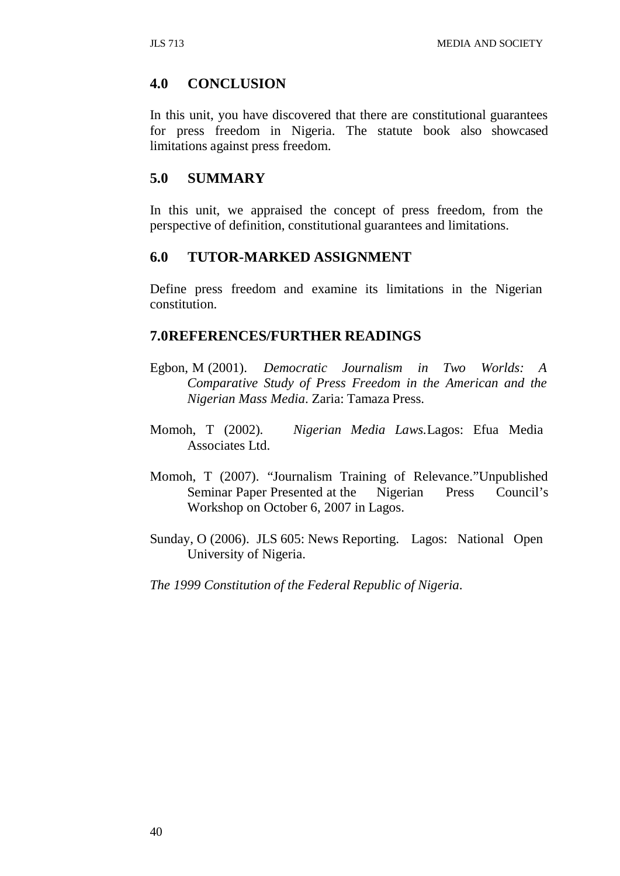## **4.0 CONCLUSION**

In this unit, you have discovered that there are constitutional guarantees for press freedom in Nigeria. The statute book also showcased limitations against press freedom.

## **5.0 SUMMARY**

In this unit, we appraised the concept of press freedom, from the perspective of definition, constitutional guarantees and limitations.

## **6.0 TUTOR-MARKED ASSIGNMENT**

Define press freedom and examine its limitations in the Nigerian constitution.

#### **7.0REFERENCES/FURTHER READINGS**

- Egbon, M (2001). *Democratic Journalism in Two Worlds: A Comparative Study of Press Freedom in the American and the Nigerian Mass Media*. Zaria: Tamaza Press.
- Momoh, T (2002). *Nigerian Media Laws.*Lagos: Efua Media Associates Ltd.
- Momoh, T (2007). "Journalism Training of Relevance."Unpublished Seminar Paper Presented at the Nigerian Press Council's Workshop on October 6, 2007 in Lagos.
- Sunday, O (2006). JLS 605: News Reporting. Lagos: National Open University of Nigeria.

*The 1999 Constitution of the Federal Republic of Nigeria*.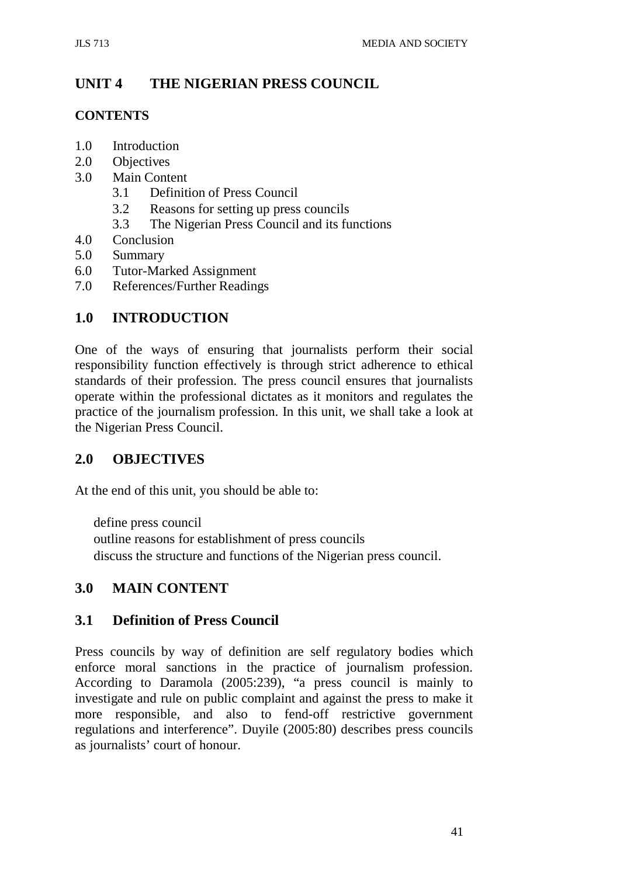# **UNIT 4 THE NIGERIAN PRESS COUNCIL**

## **CONTENTS**

- 1.0 Introduction
- 2.0 Objectives
- 3.0 Main Content
	- 3.1 Definition of Press Council
	- 3.2 Reasons for setting up press councils
	- 3.3 The Nigerian Press Council and its functions
- 4.0 Conclusion
- 5.0 Summary
- 6.0 Tutor-Marked Assignment
- 7.0 References/Further Readings

# **1.0 INTRODUCTION**

One of the ways of ensuring that journalists perform their social responsibility function effectively is through strict adherence to ethical standards of their profession. The press council ensures that journalists operate within the professional dictates as it monitors and regulates the practice of the journalism profession. In this unit, we shall take a look at the Nigerian Press Council.

# **2.0 OBJECTIVES**

At the end of this unit, you should be able to:

define press council outline reasons for establishment of press councils discuss the structure and functions of the Nigerian press council.

# **3.0 MAIN CONTENT**

# **3.1 Definition of Press Council**

Press councils by way of definition are self regulatory bodies which enforce moral sanctions in the practice of journalism profession. According to Daramola (2005:239), "a press council is mainly to investigate and rule on public complaint and against the press to make it more responsible, and also to fend-off restrictive government regulations and interference". Duyile (2005:80) describes press councils as journalists' court of honour.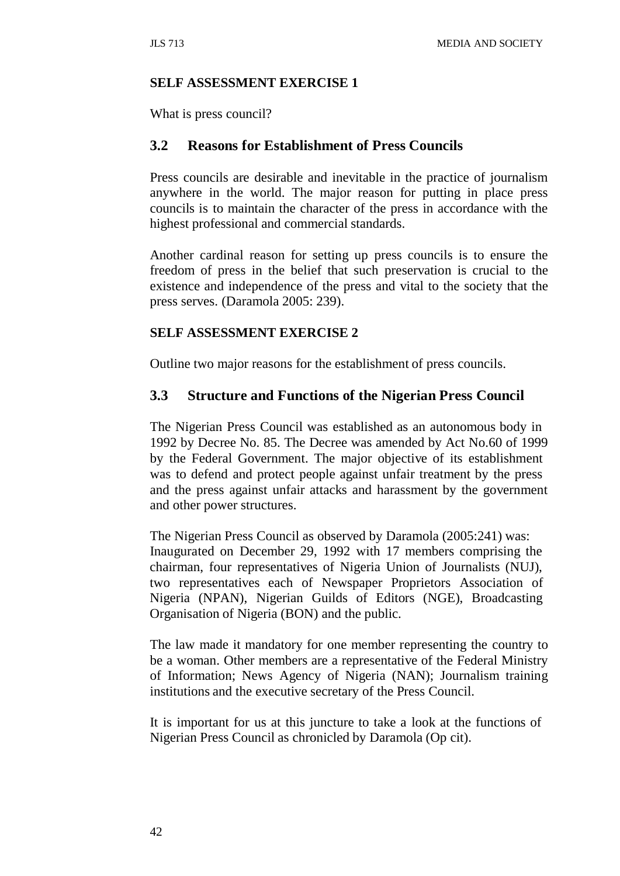#### **SELF ASSESSMENT EXERCISE 1**

What is press council?

#### **3.2 Reasons for Establishment of Press Councils**

Press councils are desirable and inevitable in the practice of journalism anywhere in the world. The major reason for putting in place press councils is to maintain the character of the press in accordance with the highest professional and commercial standards.

Another cardinal reason for setting up press councils is to ensure the freedom of press in the belief that such preservation is crucial to the existence and independence of the press and vital to the society that the press serves. (Daramola 2005: 239).

#### **SELF ASSESSMENT EXERCISE 2**

Outline two major reasons for the establishment of press councils.

#### **3.3 Structure and Functions of the Nigerian Press Council**

The Nigerian Press Council was established as an autonomous body in 1992 by Decree No. 85. The Decree was amended by Act No.60 of 1999 by the Federal Government. The major objective of its establishment was to defend and protect people against unfair treatment by the press and the press against unfair attacks and harassment by the government and other power structures.

The Nigerian Press Council as observed by Daramola (2005:241) was: Inaugurated on December 29, 1992 with 17 members comprising the chairman, four representatives of Nigeria Union of Journalists (NUJ), two representatives each of Newspaper Proprietors Association of Nigeria (NPAN), Nigerian Guilds of Editors (NGE), Broadcasting Organisation of Nigeria (BON) and the public.

The law made it mandatory for one member representing the country to be a woman. Other members are a representative of the Federal Ministry of Information; News Agency of Nigeria (NAN); Journalism training institutions and the executive secretary of the Press Council.

It is important for us at this juncture to take a look at the functions of Nigerian Press Council as chronicled by Daramola (Op cit).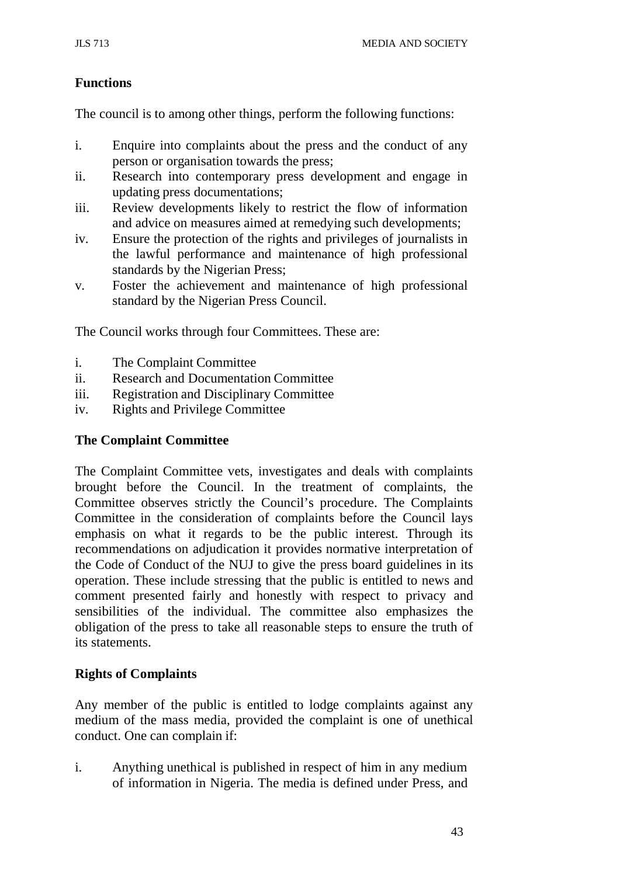## **Functions**

The council is to among other things, perform the following functions:

- i. Enquire into complaints about the press and the conduct of any person or organisation towards the press;
- ii. Research into contemporary press development and engage in updating press documentations;
- iii. Review developments likely to restrict the flow of information and advice on measures aimed at remedying such developments;
- iv. Ensure the protection of the rights and privileges of journalists in the lawful performance and maintenance of high professional standards by the Nigerian Press;
- v. Foster the achievement and maintenance of high professional standard by the Nigerian Press Council.

The Council works through four Committees. These are:

- i. The Complaint Committee
- ii. Research and Documentation Committee
- iii. Registration and Disciplinary Committee
- iv. Rights and Privilege Committee

#### **The Complaint Committee**

The Complaint Committee vets, investigates and deals with complaints brought before the Council. In the treatment of complaints, the Committee observes strictly the Council's procedure. The Complaints Committee in the consideration of complaints before the Council lays emphasis on what it regards to be the public interest. Through its recommendations on adjudication it provides normative interpretation of the Code of Conduct of the NUJ to give the press board guidelines in its operation. These include stressing that the public is entitled to news and comment presented fairly and honestly with respect to privacy and sensibilities of the individual. The committee also emphasizes the obligation of the press to take all reasonable steps to ensure the truth of its statements.

#### **Rights of Complaints**

Any member of the public is entitled to lodge complaints against any medium of the mass media, provided the complaint is one of unethical conduct. One can complain if:

i. Anything unethical is published in respect of him in any medium of information in Nigeria. The media is defined under Press, and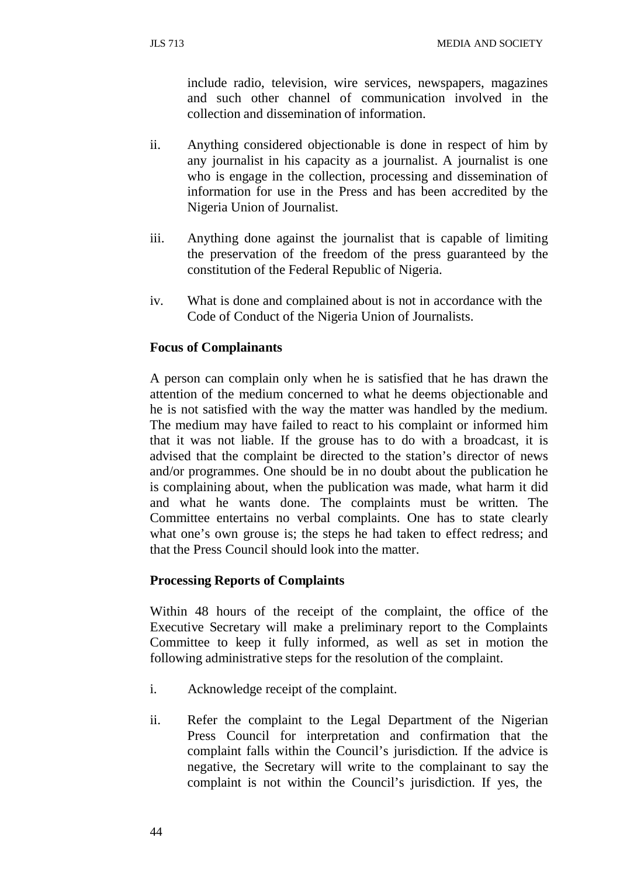include radio, television, wire services, newspapers, magazines and such other channel of communication involved in the collection and dissemination of information.

- ii. Anything considered objectionable is done in respect of him by any journalist in his capacity as a journalist. A journalist is one who is engage in the collection, processing and dissemination of information for use in the Press and has been accredited by the Nigeria Union of Journalist.
- iii. Anything done against the journalist that is capable of limiting the preservation of the freedom of the press guaranteed by the constitution of the Federal Republic of Nigeria.
- iv. What is done and complained about is not in accordance with the Code of Conduct of the Nigeria Union of Journalists.

#### **Focus of Complainants**

A person can complain only when he is satisfied that he has drawn the attention of the medium concerned to what he deems objectionable and he is not satisfied with the way the matter was handled by the medium. The medium may have failed to react to his complaint or informed him that it was not liable. If the grouse has to do with a broadcast, it is advised that the complaint be directed to the station's director of news and/or programmes. One should be in no doubt about the publication he is complaining about, when the publication was made, what harm it did and what he wants done. The complaints must be written. The Committee entertains no verbal complaints. One has to state clearly what one's own grouse is; the steps he had taken to effect redress; and that the Press Council should look into the matter.

#### **Processing Reports of Complaints**

Within 48 hours of the receipt of the complaint, the office of the Executive Secretary will make a preliminary report to the Complaints Committee to keep it fully informed, as well as set in motion the following administrative steps for the resolution of the complaint.

- i. Acknowledge receipt of the complaint.
- ii. Refer the complaint to the Legal Department of the Nigerian Press Council for interpretation and confirmation that the complaint falls within the Council's jurisdiction. If the advice is negative, the Secretary will write to the complainant to say the complaint is not within the Council's jurisdiction. If yes, the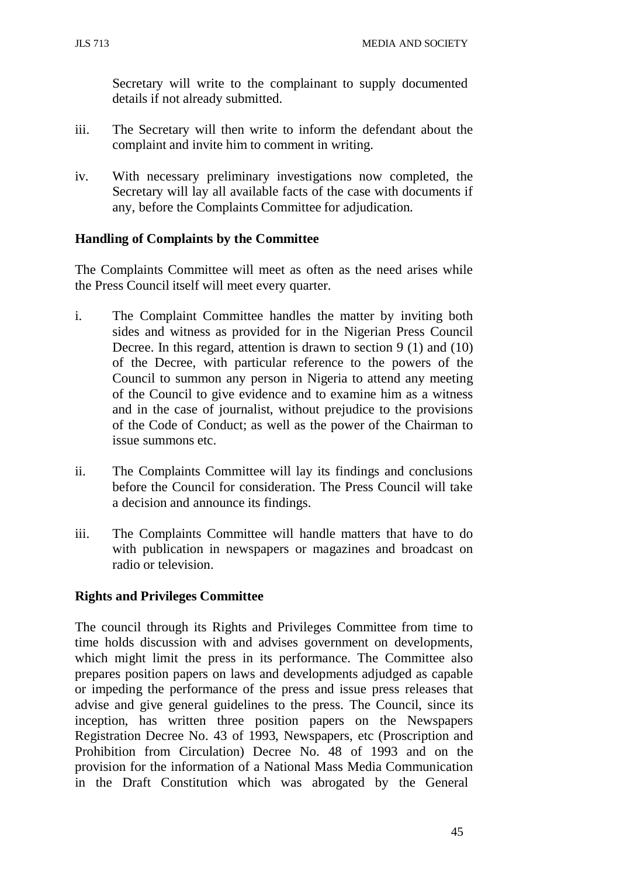Secretary will write to the complainant to supply documented details if not already submitted.

- iii. The Secretary will then write to inform the defendant about the complaint and invite him to comment in writing.
- iv. With necessary preliminary investigations now completed, the Secretary will lay all available facts of the case with documents if any, before the Complaints Committee for adjudication.

#### **Handling of Complaints by the Committee**

The Complaints Committee will meet as often as the need arises while the Press Council itself will meet every quarter.

- i. The Complaint Committee handles the matter by inviting both sides and witness as provided for in the Nigerian Press Council Decree. In this regard, attention is drawn to section 9 (1) and (10) of the Decree, with particular reference to the powers of the Council to summon any person in Nigeria to attend any meeting of the Council to give evidence and to examine him as a witness and in the case of journalist, without prejudice to the provisions of the Code of Conduct; as well as the power of the Chairman to issue summons etc.
- ii. The Complaints Committee will lay its findings and conclusions before the Council for consideration. The Press Council will take a decision and announce its findings.
- iii. The Complaints Committee will handle matters that have to do with publication in newspapers or magazines and broadcast on radio or television.

## **Rights and Privileges Committee**

The council through its Rights and Privileges Committee from time to time holds discussion with and advises government on developments, which might limit the press in its performance. The Committee also prepares position papers on laws and developments adjudged as capable or impeding the performance of the press and issue press releases that advise and give general guidelines to the press. The Council, since its inception, has written three position papers on the Newspapers Registration Decree No. 43 of 1993, Newspapers, etc (Proscription and Prohibition from Circulation) Decree No. 48 of 1993 and on the provision for the information of a National Mass Media Communication in the Draft Constitution which was abrogated by the General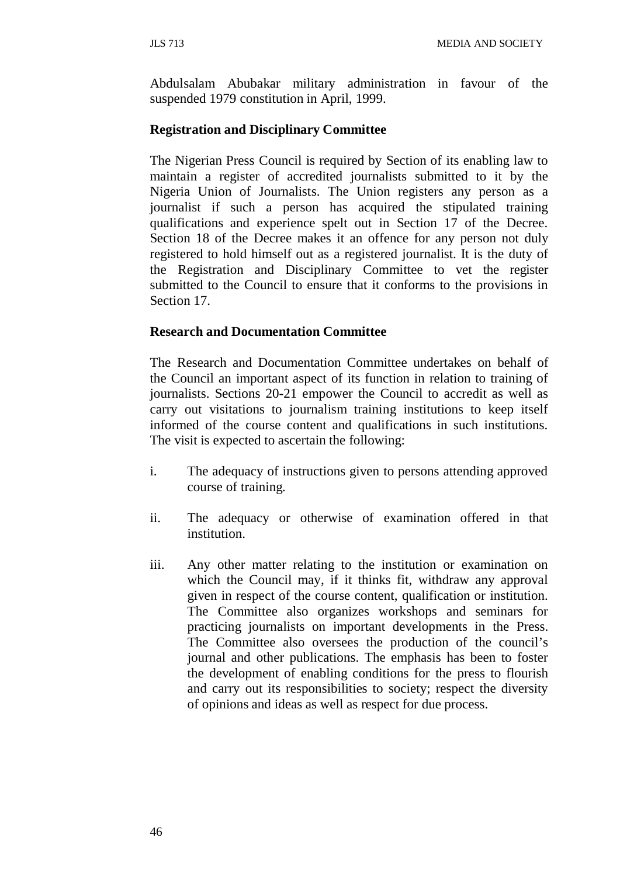Abdulsalam Abubakar military administration in favour of the suspended 1979 constitution in April, 1999.

## **Registration and Disciplinary Committee**

The Nigerian Press Council is required by Section of its enabling law to maintain a register of accredited journalists submitted to it by the Nigeria Union of Journalists. The Union registers any person as a journalist if such a person has acquired the stipulated training qualifications and experience spelt out in Section 17 of the Decree. Section 18 of the Decree makes it an offence for any person not duly registered to hold himself out as a registered journalist. It is the duty of the Registration and Disciplinary Committee to vet the register submitted to the Council to ensure that it conforms to the provisions in Section 17.

#### **Research and Documentation Committee**

The Research and Documentation Committee undertakes on behalf of the Council an important aspect of its function in relation to training of journalists. Sections 20-21 empower the Council to accredit as well as carry out visitations to journalism training institutions to keep itself informed of the course content and qualifications in such institutions. The visit is expected to ascertain the following:

- i. The adequacy of instructions given to persons attending approved course of training.
- ii. The adequacy or otherwise of examination offered in that institution.
- iii. Any other matter relating to the institution or examination on which the Council may, if it thinks fit, withdraw any approval given in respect of the course content, qualification or institution. The Committee also organizes workshops and seminars for practicing journalists on important developments in the Press. The Committee also oversees the production of the council's journal and other publications. The emphasis has been to foster the development of enabling conditions for the press to flourish and carry out its responsibilities to society; respect the diversity of opinions and ideas as well as respect for due process.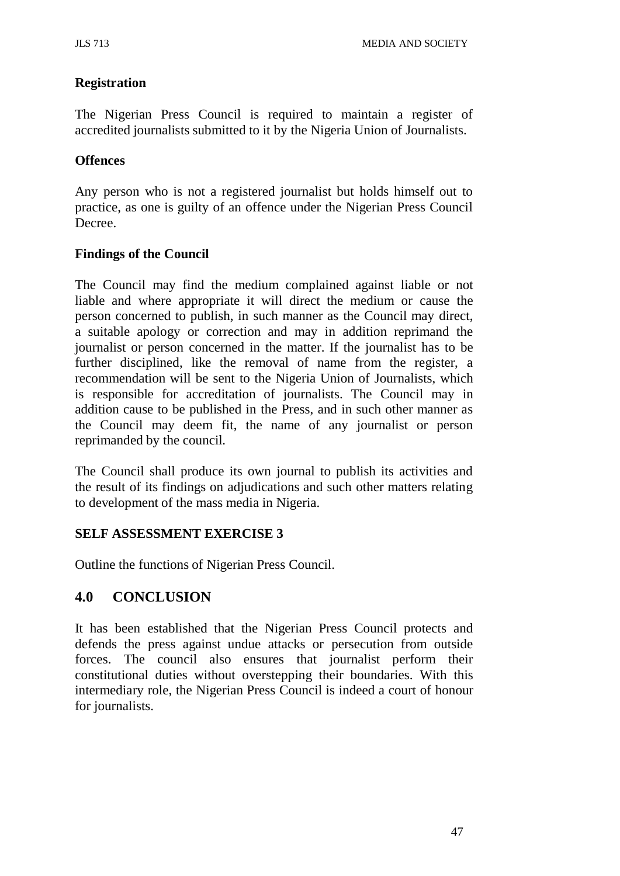## **Registration**

The Nigerian Press Council is required to maintain a register of accredited journalists submitted to it by the Nigeria Union of Journalists.

## **Offences**

Any person who is not a registered journalist but holds himself out to practice, as one is guilty of an offence under the Nigerian Press Council Decree.

## **Findings of the Council**

The Council may find the medium complained against liable or not liable and where appropriate it will direct the medium or cause the person concerned to publish, in such manner as the Council may direct, a suitable apology or correction and may in addition reprimand the journalist or person concerned in the matter. If the journalist has to be further disciplined, like the removal of name from the register, a recommendation will be sent to the Nigeria Union of Journalists, which is responsible for accreditation of journalists. The Council may in addition cause to be published in the Press, and in such other manner as the Council may deem fit, the name of any journalist or person reprimanded by the council.

The Council shall produce its own journal to publish its activities and the result of its findings on adjudications and such other matters relating to development of the mass media in Nigeria.

## **SELF ASSESSMENT EXERCISE 3**

Outline the functions of Nigerian Press Council.

# **4.0 CONCLUSION**

It has been established that the Nigerian Press Council protects and defends the press against undue attacks or persecution from outside forces. The council also ensures that journalist perform their constitutional duties without overstepping their boundaries. With this intermediary role, the Nigerian Press Council is indeed a court of honour for journalists.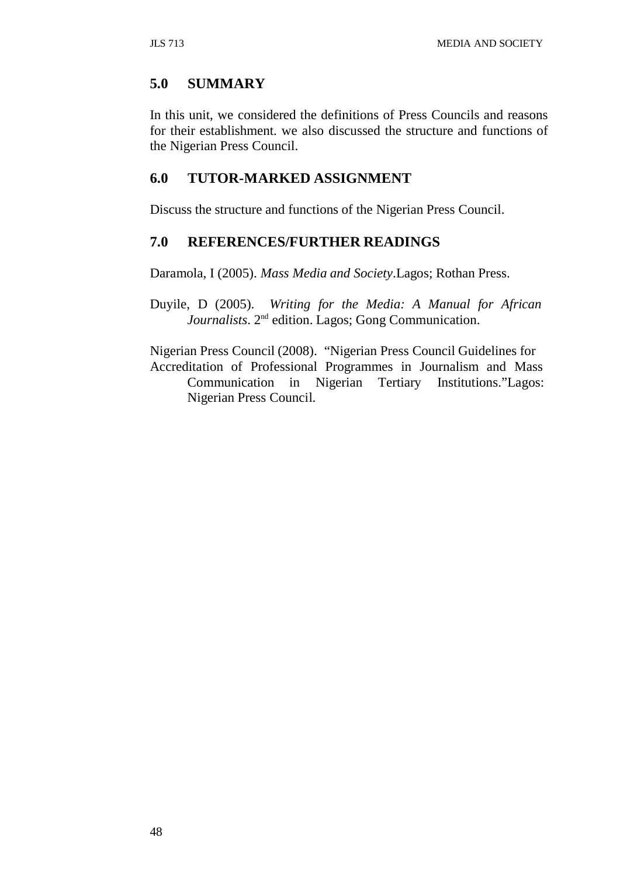## **5.0 SUMMARY**

In this unit, we considered the definitions of Press Councils and reasons for their establishment. we also discussed the structure and functions of the Nigerian Press Council.

## **6.0 TUTOR-MARKED ASSIGNMENT**

Discuss the structure and functions of the Nigerian Press Council.

#### **7.0 REFERENCES/FURTHER READINGS**

Daramola, I (2005). *Mass Media and Society*.Lagos; Rothan Press.

Duyile, D (2005). *Writing for the Media: A Manual for African Journalists*. 2nd edition. Lagos; Gong Communication.

Nigerian Press Council (2008). "Nigerian Press Council Guidelines for Accreditation of Professional Programmes in Journalism and Mass Communication in Nigerian Tertiary Institutions."Lagos: Nigerian Press Council.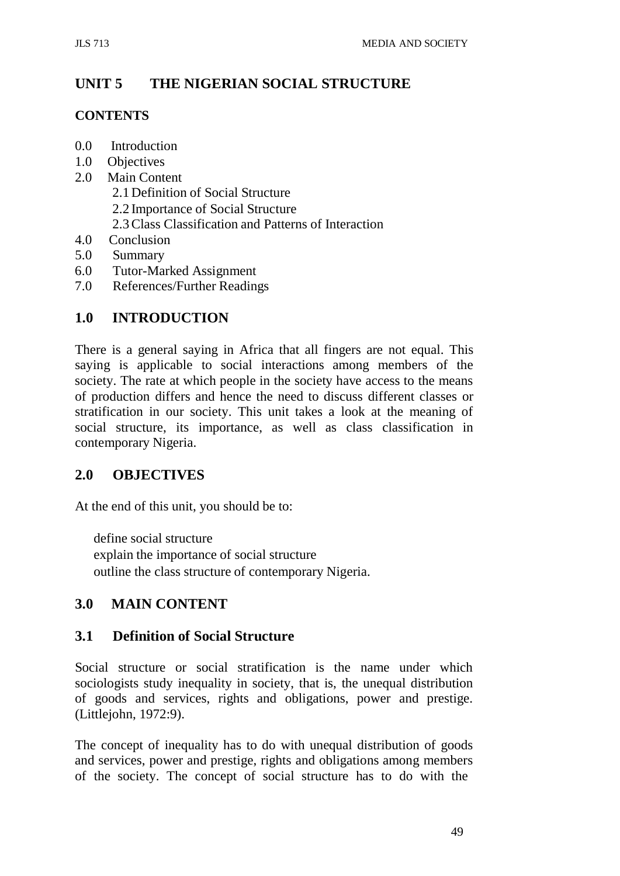# **UNIT 5 THE NIGERIAN SOCIAL STRUCTURE**

#### **CONTENTS**

- 0.0 Introduction
- 1.0 Objectives
- 2.0 Main Content
	- 2.1 Definition of Social Structure
	- 2.2 Importance of Social Structure
	- 2.3Class Classification and Patterns of Interaction
- 4.0 Conclusion
- 5.0 Summary
- 6.0 Tutor-Marked Assignment
- 7.0 References/Further Readings

## **1.0 INTRODUCTION**

There is a general saying in Africa that all fingers are not equal. This saying is applicable to social interactions among members of the society. The rate at which people in the society have access to the means of production differs and hence the need to discuss different classes or stratification in our society. This unit takes a look at the meaning of social structure, its importance, as well as class classification in contemporary Nigeria.

## **2.0 OBJECTIVES**

At the end of this unit, you should be to:

define social structure explain the importance of social structure outline the class structure of contemporary Nigeria.

# **3.0 MAIN CONTENT**

## **3.1 Definition of Social Structure**

Social structure or social stratification is the name under which sociologists study inequality in society, that is, the unequal distribution of goods and services, rights and obligations, power and prestige. (Littlejohn, 1972:9).

The concept of inequality has to do with unequal distribution of goods and services, power and prestige, rights and obligations among members of the society. The concept of social structure has to do with the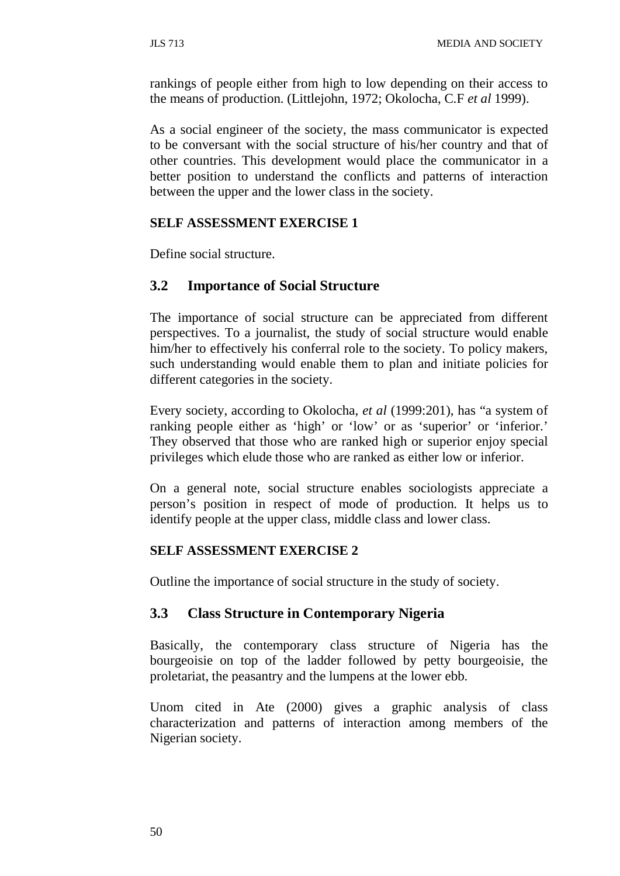rankings of people either from high to low depending on their access to the means of production. (Littlejohn, 1972; Okolocha, C.F *et al* 1999).

As a social engineer of the society, the mass communicator is expected to be conversant with the social structure of his/her country and that of other countries. This development would place the communicator in a better position to understand the conflicts and patterns of interaction between the upper and the lower class in the society.

#### **SELF ASSESSMENT EXERCISE 1**

Define social structure.

## **3.2 Importance of Social Structure**

The importance of social structure can be appreciated from different perspectives. To a journalist, the study of social structure would enable him/her to effectively his conferral role to the society. To policy makers, such understanding would enable them to plan and initiate policies for different categories in the society.

Every society, according to Okolocha, *et al* (1999:201), has "a system of ranking people either as 'high' or 'low' or as 'superior' or 'inferior.' They observed that those who are ranked high or superior enjoy special privileges which elude those who are ranked as either low or inferior.

On a general note, social structure enables sociologists appreciate a person's position in respect of mode of production. It helps us to identify people at the upper class, middle class and lower class.

#### **SELF ASSESSMENT EXERCISE 2**

Outline the importance of social structure in the study of society.

## **3.3 Class Structure in Contemporary Nigeria**

Basically, the contemporary class structure of Nigeria has the bourgeoisie on top of the ladder followed by petty bourgeoisie, the proletariat, the peasantry and the lumpens at the lower ebb.

Unom cited in Ate (2000) gives a graphic analysis of class characterization and patterns of interaction among members of the Nigerian society.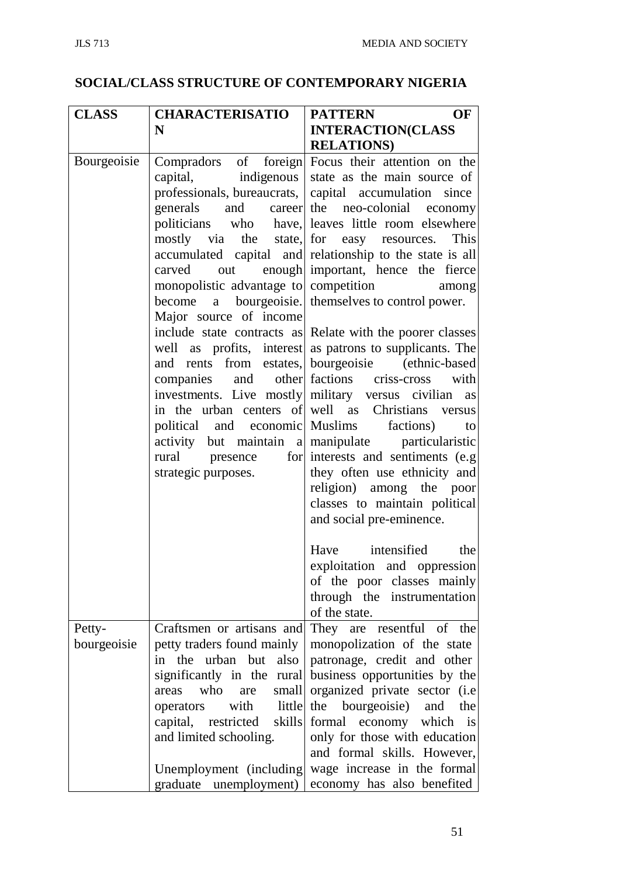# **SOCIAL/CLASS STRUCTURE OF CONTEMPORARY NIGERIA**

| <b>CLASS</b>          | <b>CHARACTERISATIO</b>                                                                                                                                                                                                                                                  | <b>PATTERN</b><br>OF                                                                                                                                                                                                                                                                                                                                                                                                                                                                                                                                                                                                                                                                                                                                                                                                                                                                                                                                                                                                                                                                                           |
|-----------------------|-------------------------------------------------------------------------------------------------------------------------------------------------------------------------------------------------------------------------------------------------------------------------|----------------------------------------------------------------------------------------------------------------------------------------------------------------------------------------------------------------------------------------------------------------------------------------------------------------------------------------------------------------------------------------------------------------------------------------------------------------------------------------------------------------------------------------------------------------------------------------------------------------------------------------------------------------------------------------------------------------------------------------------------------------------------------------------------------------------------------------------------------------------------------------------------------------------------------------------------------------------------------------------------------------------------------------------------------------------------------------------------------------|
|                       | N                                                                                                                                                                                                                                                                       | <b>INTERACTION(CLASS</b>                                                                                                                                                                                                                                                                                                                                                                                                                                                                                                                                                                                                                                                                                                                                                                                                                                                                                                                                                                                                                                                                                       |
|                       |                                                                                                                                                                                                                                                                         | <b>RELATIONS</b> )                                                                                                                                                                                                                                                                                                                                                                                                                                                                                                                                                                                                                                                                                                                                                                                                                                                                                                                                                                                                                                                                                             |
| Bourgeoisie           | generals<br>carved<br>out<br>monopolistic advantage to competition<br>Major source of income<br>companies<br>investments. Live mostly military versus civilian<br>political and economic Muslims factions)<br>rural presence<br>strategic purposes.                     | Compradors of foreign Focus their attention on the<br>capital, indigenous state as the main source of<br>professionals, bureaucrats, capital accumulation since<br>and career the neo-colonial economy<br>politicians who have, leaves little room elsewhere<br>mostly via the state, for easy resources. This<br>accumulated capital and relationship to the state is all<br>enough important, hence the fierce<br>among<br>become a bourgeoisie. themselves to control power.<br>include state contracts as Relate with the poorer classes<br>well as profits, interest as patrons to supplicants. The<br>and rents from estates, bourgeoisie (ethnic-based<br>and other factions criss-cross with<br>as<br>in the urban centers of well as Christians versus<br>to<br>activity but maintain a manipulate particularistic<br>for interests and sentiments (e.g)<br>they often use ethnicity and<br>religion) among the poor<br>classes to maintain political<br>and social pre-eminence.<br>Have intensified the<br>exploitation and oppression<br>of the poor classes mainly<br>through the instrumentation |
|                       |                                                                                                                                                                                                                                                                         | of the state.                                                                                                                                                                                                                                                                                                                                                                                                                                                                                                                                                                                                                                                                                                                                                                                                                                                                                                                                                                                                                                                                                                  |
| Petty-<br>bourgeoisie | Craftsmen or artisans and<br>petty traders found mainly<br>also<br>in the urban but<br>significantly in the rural<br>who<br>small<br>are<br>areas<br>with<br>little<br>operators<br>capital, restricted<br>skills<br>and limited schooling.<br>Unemployment (including) | They are resentful of the<br>monopolization of the state<br>patronage, credit and other<br>business opportunities by the<br>organized private sector (i.e<br>the bourgeoisie) and<br>the<br>formal economy which is<br>only for those with education<br>and formal skills. However,<br>wage increase in the formal                                                                                                                                                                                                                                                                                                                                                                                                                                                                                                                                                                                                                                                                                                                                                                                             |
|                       | graduate unemployment)                                                                                                                                                                                                                                                  | economy has also benefited                                                                                                                                                                                                                                                                                                                                                                                                                                                                                                                                                                                                                                                                                                                                                                                                                                                                                                                                                                                                                                                                                     |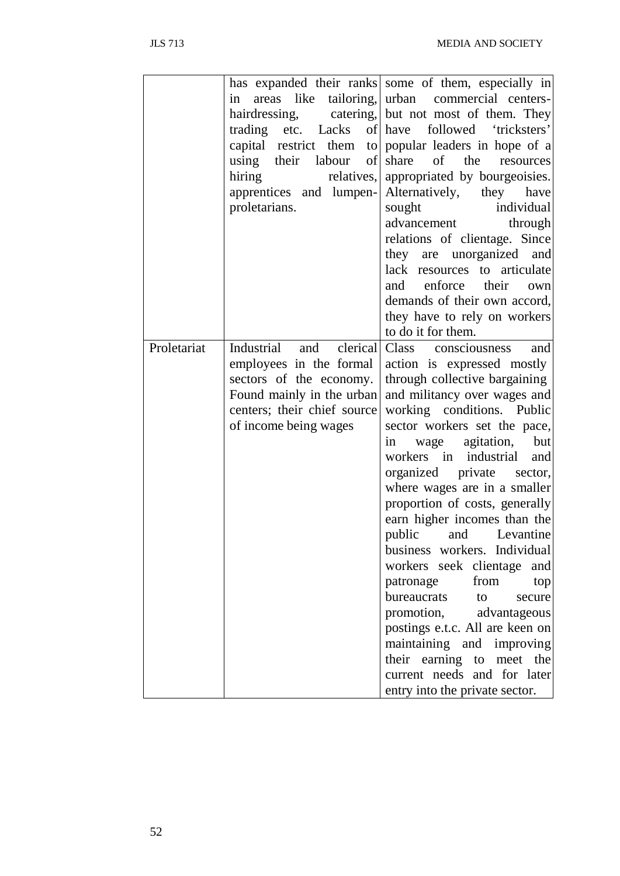|             |                             | has expanded their ranks some of them, especially in  |  |  |
|-------------|-----------------------------|-------------------------------------------------------|--|--|
|             | areas like<br>in            | tailoring, urban commercial centers-                  |  |  |
|             |                             | hairdressing, catering, but not most of them. They    |  |  |
|             |                             | trading etc. Lacks of have followed 'tricksters'      |  |  |
|             |                             | capital restrict them to popular leaders in hope of a |  |  |
|             | using their labour of       | of the<br>share<br>resources                          |  |  |
|             | hiring<br>relatives,        | appropriated by bourgeoisies.                         |  |  |
|             | apprentices and lumpen-     | Alternatively,<br>they have                           |  |  |
|             | proletarians.               | sought<br>individual                                  |  |  |
|             |                             | advancement<br>through                                |  |  |
|             |                             | relations of clientage. Since                         |  |  |
|             |                             | they are unorganized and                              |  |  |
|             |                             | lack resources to articulate                          |  |  |
|             |                             | and<br>enforce<br>their<br>own                        |  |  |
|             |                             | demands of their own accord,                          |  |  |
|             |                             | they have to rely on workers                          |  |  |
|             |                             | to do it for them.                                    |  |  |
| Proletariat | Industrial<br>and clerical  | Class consciousness<br>and                            |  |  |
|             | employees in the formal     | action is expressed mostly                            |  |  |
|             | sectors of the economy.     | through collective bargaining                         |  |  |
|             | Found mainly in the urban   | and militancy over wages and                          |  |  |
|             | centers; their chief source | working conditions. Public                            |  |  |
|             | of income being wages       | sector workers set the pace,                          |  |  |
|             |                             | wage agitation,<br>but<br>1n                          |  |  |
|             |                             | workers in industrial<br>and                          |  |  |
|             |                             | organized private sector,                             |  |  |
|             |                             | where wages are in a smaller                          |  |  |
|             |                             | proportion of costs, generally                        |  |  |
|             |                             | earn higher incomes than the                          |  |  |
|             |                             | public<br>Levantine<br>and                            |  |  |
|             |                             | business workers. Individual                          |  |  |
|             |                             | workers seek clientage and                            |  |  |
|             |                             | from<br>patronage<br>top                              |  |  |
|             |                             | bureaucrats to<br>secure                              |  |  |
|             |                             | promotion, advantageous                               |  |  |
|             |                             | postings e.t.c. All are keen on                       |  |  |
|             |                             | maintaining and improving                             |  |  |
|             |                             | their earning to meet the                             |  |  |
|             |                             | current needs and for later                           |  |  |
|             |                             | entry into the private sector.                        |  |  |
|             |                             |                                                       |  |  |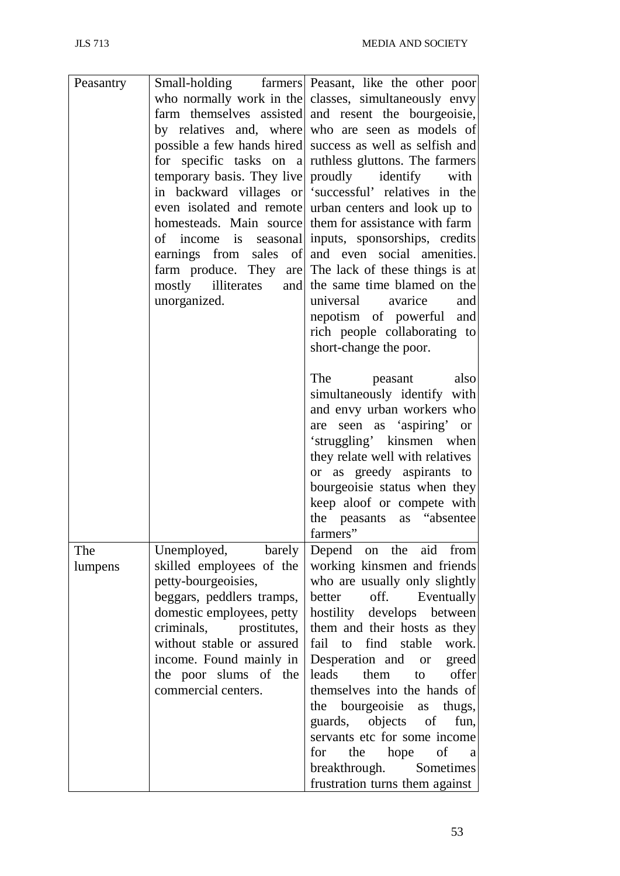| Peasantry |                           | Small-holding farmers Peasant, like the other poor        |
|-----------|---------------------------|-----------------------------------------------------------|
|           |                           | who normally work in the classes, simultaneously envy     |
|           |                           | farm themselves assisted and resent the bourgeoisie,      |
|           |                           | by relatives and, where who are seen as models of         |
|           |                           | possible a few hands hired success as well as selfish and |
|           |                           | for specific tasks on a ruthless gluttons. The farmers    |
|           |                           | temporary basis. They live proudly identify with          |
|           |                           | in backward villages or successful' relatives in the      |
|           |                           | even isolated and remote urban centers and look up to     |
|           |                           | homesteads. Main source them for assistance with farm     |
|           |                           | of income is seasonal inputs, sponsorships, credits       |
|           |                           | earnings from sales of and even social amenities.         |
|           |                           | farm produce. They are The lack of these things is at     |
|           |                           | mostly illiterates and the same time blamed on the        |
|           | unorganized.              | universal avarice and                                     |
|           |                           |                                                           |
|           |                           | nepotism of powerful and                                  |
|           |                           | rich people collaborating to                              |
|           |                           | short-change the poor.                                    |
|           |                           | also<br>The<br>peasant                                    |
|           |                           |                                                           |
|           |                           | simultaneously identify with                              |
|           |                           | and envy urban workers who                                |
|           |                           | are seen as 'aspiring' or                                 |
|           |                           | 'struggling' kinsmen when                                 |
|           |                           | they relate well with relatives                           |
|           |                           | or as greedy aspirants to                                 |
|           |                           | bourgeoisie status when they                              |
|           |                           | keep aloof or compete with                                |
|           |                           | the peasants as "absentee                                 |
|           |                           | farmers"                                                  |
| The       |                           | Unemployed, barely Depend on the aid from                 |
| lumpens   | skilled employees of the  | working kinsmen and friends                               |
|           | petty-bourgeoisies,       | who are usually only slightly                             |
|           | beggars, peddlers tramps, | off.<br>better<br>Eventually                              |
|           | domestic employees, petty | hostility develops between                                |
|           | criminals, prostitutes,   | them and their hosts as they                              |
|           | without stable or assured | fail to find stable<br>work.                              |
|           | income. Found mainly in   |                                                           |
|           |                           | Desperation and or greed<br>them to offer<br>leads        |
|           | the poor slums of the     |                                                           |
|           | commercial centers.       | themselves into the hands of                              |
|           |                           | the bourgeoisie as thugs,                                 |
|           |                           | guards, objects of<br>fun,                                |
|           |                           | servants etc for some income                              |
|           |                           | the hope of<br>for<br>$\mathbf a$                         |
|           |                           | breakthrough. Sometimes                                   |
|           |                           | frustration turns them against                            |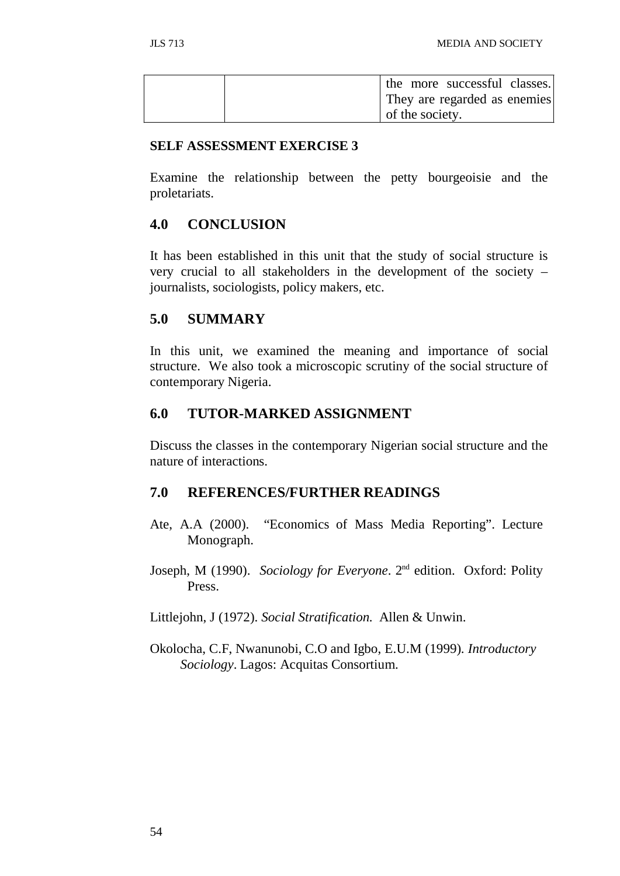|  |                 | the more successful classes. |  |
|--|-----------------|------------------------------|--|
|  |                 | They are regarded as enemies |  |
|  | of the society. |                              |  |

#### **SELF ASSESSMENT EXERCISE 3**

Examine the relationship between the petty bourgeoisie and the proletariats.

## **4.0 CONCLUSION**

It has been established in this unit that the study of social structure is very crucial to all stakeholders in the development of the society – journalists, sociologists, policy makers, etc.

## **5.0 SUMMARY**

In this unit, we examined the meaning and importance of social structure. We also took a microscopic scrutiny of the social structure of contemporary Nigeria.

## **6.0 TUTOR-MARKED ASSIGNMENT**

Discuss the classes in the contemporary Nigerian social structure and the nature of interactions.

## **7.0 REFERENCES/FURTHER READINGS**

- Ate, A.A (2000). "Economics of Mass Media Reporting". Lecture Monograph.
- Joseph, M (1990). *Sociology for Everyone*. 2nd edition. Oxford: Polity Press.

Littlejohn, J (1972). *Social Stratification.* Allen & Unwin.

Okolocha, C.F, Nwanunobi, C.O and Igbo, E.U.M (1999). *Introductory Sociology*. Lagos: Acquitas Consortium.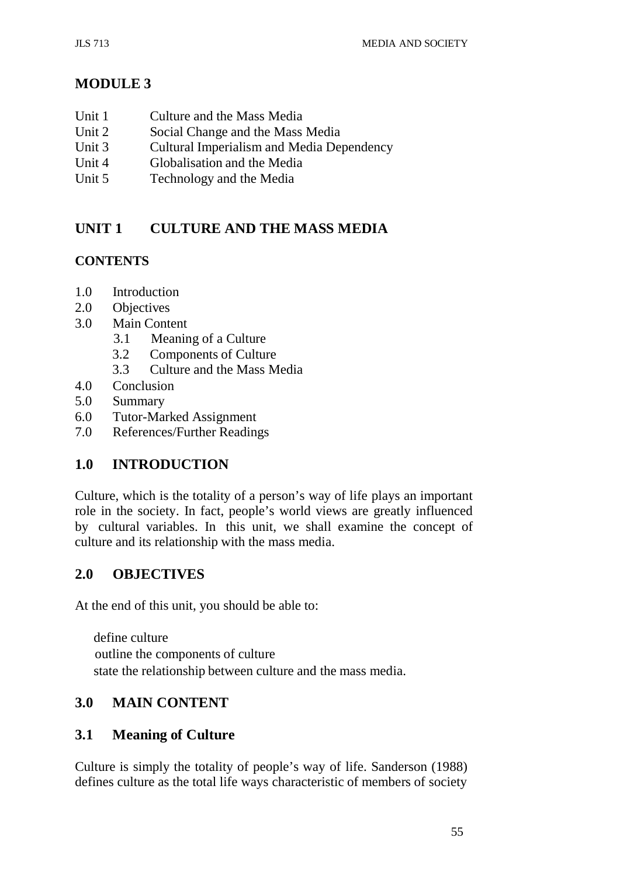# **MODULE 3**

- Unit 1 Culture and the Mass Media
- Unit 2 Social Change and the Mass Media<br>Unit 3 Cultural Imperialism and Media Dep
- Cultural Imperialism and Media Dependency
- Unit 4 Globalisation and the Media
- Unit 5 Technology and the Media

# **UNIT 1 CULTURE AND THE MASS MEDIA**

# **CONTENTS**

- 1.0 Introduction
- 2.0 Objectives
- 3.0 Main Content
	- 3.1 Meaning of a Culture
	- 3.2 Components of Culture
	- 3.3 Culture and the Mass Media
- 4.0 Conclusion
- 5.0 Summary
- 6.0 Tutor-Marked Assignment
- 7.0 References/Further Readings

# **1.0 INTRODUCTION**

Culture, which is the totality of a person's way of life plays an important role in the society. In fact, people's world views are greatly influenced by cultural variables. In this unit, we shall examine the concept of culture and its relationship with the mass media.

# **2.0 OBJECTIVES**

At the end of this unit, you should be able to:

define culture outline the components of culture state the relationship between culture and the mass media.

# **3.0 MAIN CONTENT**

# **3.1 Meaning of Culture**

Culture is simply the totality of people's way of life. Sanderson (1988) defines culture as the total life ways characteristic of members of society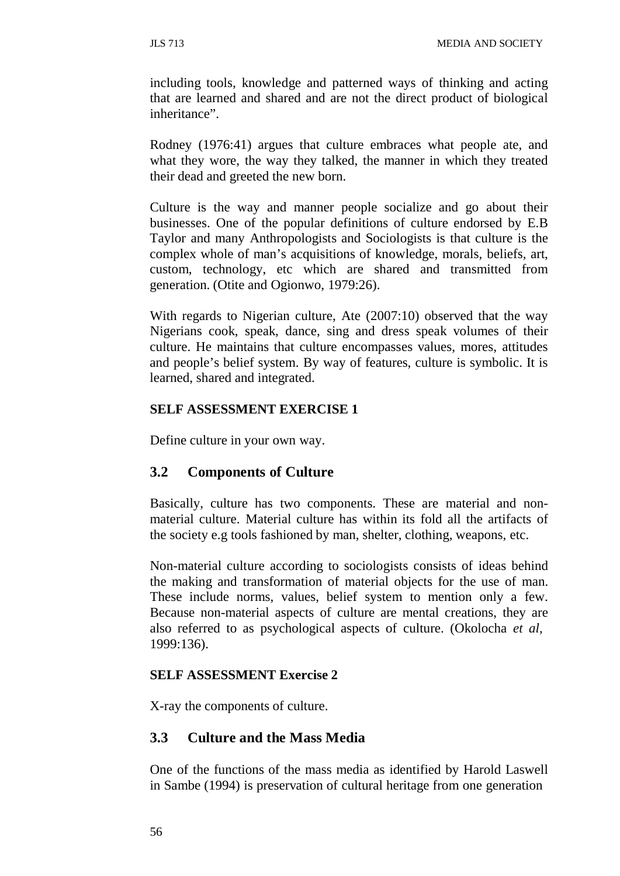including tools, knowledge and patterned ways of thinking and acting that are learned and shared and are not the direct product of biological inheritance".

Rodney (1976:41) argues that culture embraces what people ate, and what they wore, the way they talked, the manner in which they treated their dead and greeted the new born.

Culture is the way and manner people socialize and go about their businesses. One of the popular definitions of culture endorsed by E.B Taylor and many Anthropologists and Sociologists is that culture is the complex whole of man's acquisitions of knowledge, morals, beliefs, art, custom, technology, etc which are shared and transmitted from generation. (Otite and Ogionwo, 1979:26).

With regards to Nigerian culture, Ate (2007:10) observed that the way Nigerians cook, speak, dance, sing and dress speak volumes of their culture. He maintains that culture encompasses values, mores, attitudes and people's belief system. By way of features, culture is symbolic. It is learned, shared and integrated.

## **SELF ASSESSMENT EXERCISE 1**

Define culture in your own way.

# **3.2 Components of Culture**

Basically, culture has two components. These are material and nonmaterial culture. Material culture has within its fold all the artifacts of the society e.g tools fashioned by man, shelter, clothing, weapons, etc.

Non-material culture according to sociologists consists of ideas behind the making and transformation of material objects for the use of man. These include norms, values, belief system to mention only a few. Because non-material aspects of culture are mental creations, they are also referred to as psychological aspects of culture. (Okolocha *et al*, 1999:136).

## **SELF ASSESSMENT Exercise 2**

X-ray the components of culture.

## **3.3 Culture and the Mass Media**

One of the functions of the mass media as identified by Harold Laswell in Sambe (1994) is preservation of cultural heritage from one generation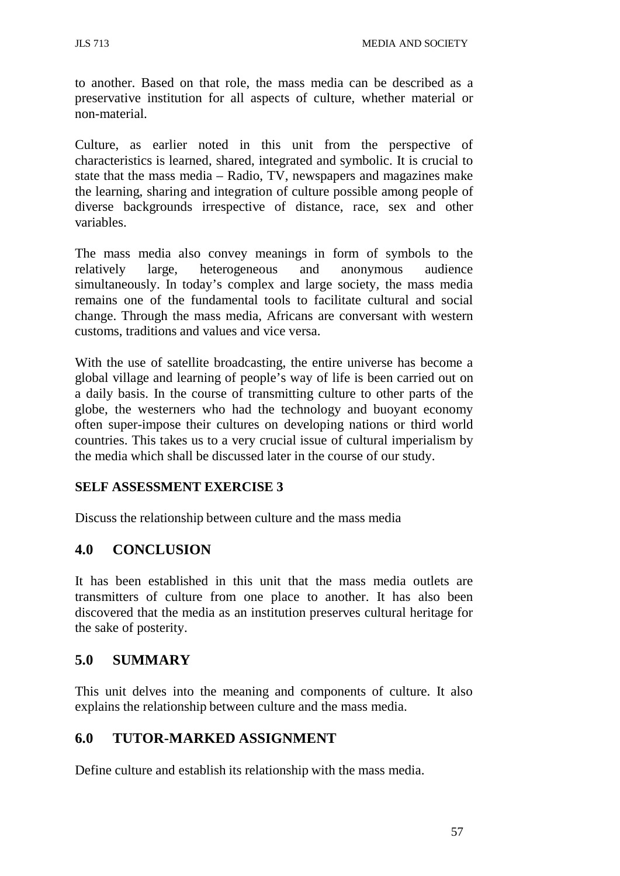to another. Based on that role, the mass media can be described as a preservative institution for all aspects of culture, whether material or non-material.

Culture, as earlier noted in this unit from the perspective of characteristics is learned, shared, integrated and symbolic. It is crucial to state that the mass media – Radio, TV, newspapers and magazines make the learning, sharing and integration of culture possible among people of diverse backgrounds irrespective of distance, race, sex and other variables.

The mass media also convey meanings in form of symbols to the relatively large, heterogeneous and anonymous audience simultaneously. In today's complex and large society, the mass media remains one of the fundamental tools to facilitate cultural and social change. Through the mass media, Africans are conversant with western customs, traditions and values and vice versa.

With the use of satellite broadcasting, the entire universe has become a global village and learning of people's way of life is been carried out on a daily basis. In the course of transmitting culture to other parts of the globe, the westerners who had the technology and buoyant economy often super-impose their cultures on developing nations or third world countries. This takes us to a very crucial issue of cultural imperialism by the media which shall be discussed later in the course of our study.

## **SELF ASSESSMENT EXERCISE 3**

Discuss the relationship between culture and the mass media

## **4.0 CONCLUSION**

It has been established in this unit that the mass media outlets are transmitters of culture from one place to another. It has also been discovered that the media as an institution preserves cultural heritage for the sake of posterity.

## **5.0 SUMMARY**

This unit delves into the meaning and components of culture. It also explains the relationship between culture and the mass media.

## **6.0 TUTOR-MARKED ASSIGNMENT**

Define culture and establish its relationship with the mass media.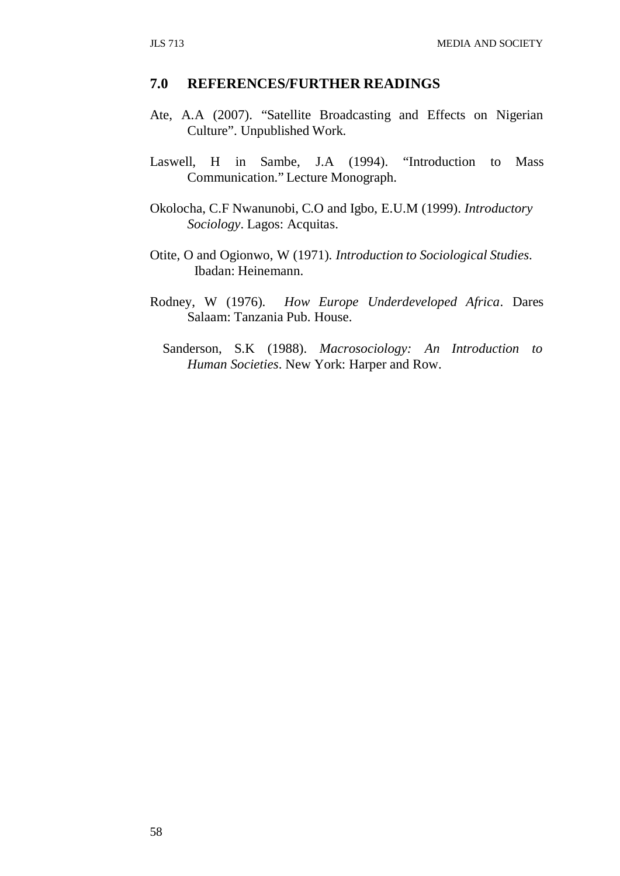#### **7.0 REFERENCES/FURTHER READINGS**

- Ate, A.A (2007). "Satellite Broadcasting and Effects on Nigerian Culture". Unpublished Work.
- Laswell, H in Sambe, J.A (1994). "Introduction to Mass Communication." Lecture Monograph.
- Okolocha, C.F Nwanunobi, C.O and Igbo, E.U.M (1999). *Introductory Sociology*. Lagos: Acquitas.
- Otite, O and Ogionwo, W (1971). *Introduction to Sociological Studies*. Ibadan: Heinemann.
- Rodney, W (1976). *How Europe Underdeveloped Africa*. Dares Salaam: Tanzania Pub. House.
	- Sanderson, S.K (1988). *Macrosociology: An Introduction to Human Societies*. New York: Harper and Row.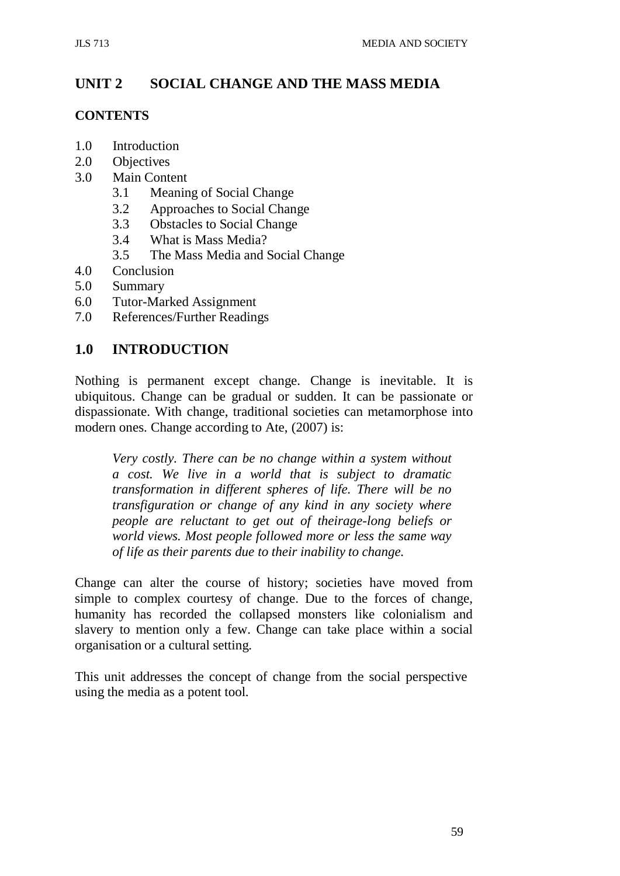# **UNIT 2 SOCIAL CHANGE AND THE MASS MEDIA**

#### **CONTENTS**

- 1.0 Introduction
- 2.0 Objectives
- 3.0 Main Content
	- 3.1 Meaning of Social Change
	- 3.2 Approaches to Social Change
	- 3.3 Obstacles to Social Change
	- 3.4 What is Mass Media?
	- 3.5 The Mass Media and Social Change
- 4.0 Conclusion
- 5.0 Summary
- 6.0 Tutor-Marked Assignment
- 7.0 References/Further Readings

## **1.0 INTRODUCTION**

Nothing is permanent except change. Change is inevitable. It is ubiquitous. Change can be gradual or sudden. It can be passionate or dispassionate. With change, traditional societies can metamorphose into modern ones. Change according to Ate, (2007) is:

*Very costly. There can be no change within a system without a cost. We live in a world that is subject to dramatic transformation in different spheres of life. There will be no transfiguration or change of any kind in any society where people are reluctant to get out of theirage-long beliefs or world views. Most people followed more or less the same way of life as their parents due to their inability to change.*

Change can alter the course of history; societies have moved from simple to complex courtesy of change. Due to the forces of change, humanity has recorded the collapsed monsters like colonialism and slavery to mention only a few. Change can take place within a social organisation or a cultural setting.

This unit addresses the concept of change from the social perspective using the media as a potent tool.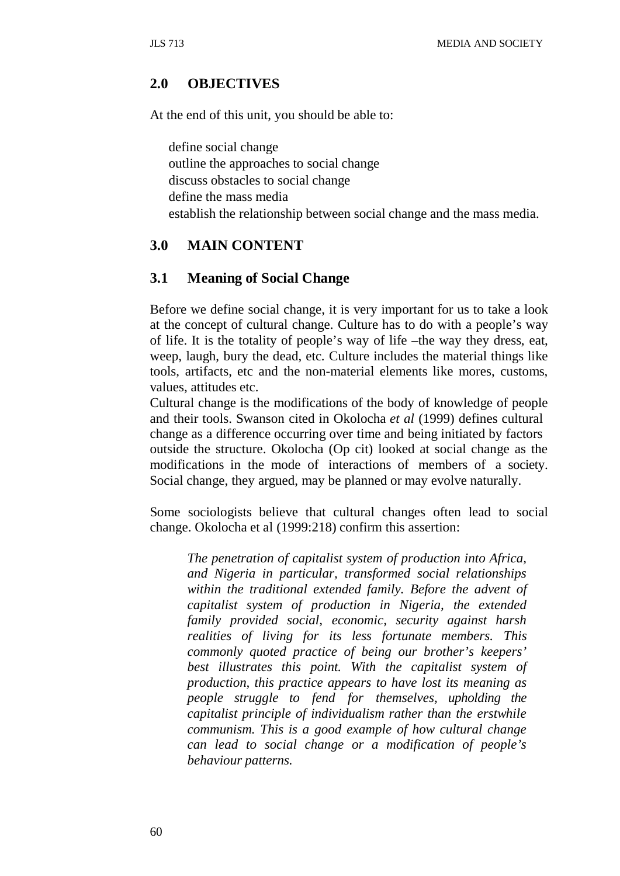## **2.0 OBJECTIVES**

At the end of this unit, you should be able to:

define social change outline the approaches to social change discuss obstacles to social change define the mass media establish the relationship between social change and the mass media.

## **3.0 MAIN CONTENT**

### **3.1 Meaning of Social Change**

Before we define social change, it is very important for us to take a look at the concept of cultural change. Culture has to do with a people's way of life. It is the totality of people's way of life –the way they dress, eat, weep, laugh, bury the dead, etc. Culture includes the material things like tools, artifacts, etc and the non-material elements like mores, customs, values, attitudes etc.

Cultural change is the modifications of the body of knowledge of people and their tools. Swanson cited in Okolocha *et al* (1999) defines cultural change as a difference occurring over time and being initiated by factors outside the structure. Okolocha (Op cit) looked at social change as the modifications in the mode of interactions of members of a society. Social change, they argued, may be planned or may evolve naturally.

Some sociologists believe that cultural changes often lead to social change. Okolocha et al (1999:218) confirm this assertion:

*The penetration of capitalist system of production into Africa, and Nigeria in particular, transformed social relationships within the traditional extended family. Before the advent of capitalist system of production in Nigeria, the extended family provided social, economic, security against harsh realities of living for its less fortunate members. This commonly quoted practice of being our brother's keepers' best illustrates this point. With the capitalist system of production, this practice appears to have lost its meaning as people struggle to fend for themselves, upholding the capitalist principle of individualism rather than the erstwhile communism. This is a good example of how cultural change can lead to social change or a modification of people's behaviour patterns.*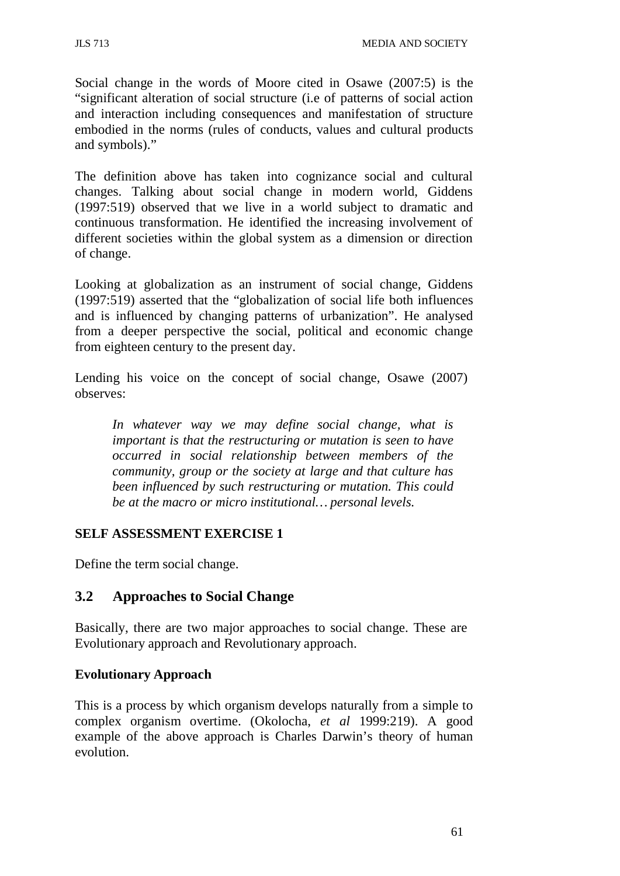Social change in the words of Moore cited in Osawe (2007:5) is the "significant alteration of social structure (i.e of patterns of social action and interaction including consequences and manifestation of structure embodied in the norms (rules of conducts, values and cultural products and symbols)."

The definition above has taken into cognizance social and cultural changes. Talking about social change in modern world, Giddens (1997:519) observed that we live in a world subject to dramatic and continuous transformation. He identified the increasing involvement of different societies within the global system as a dimension or direction of change.

Looking at globalization as an instrument of social change, Giddens (1997:519) asserted that the "globalization of social life both influences and is influenced by changing patterns of urbanization". He analysed from a deeper perspective the social, political and economic change from eighteen century to the present day.

Lending his voice on the concept of social change, Osawe (2007) observes:

*In whatever way we may define social change, what is important is that the restructuring or mutation is seen to have occurred in social relationship between members of the community, group or the society at large and that culture has been influenced by such restructuring or mutation. This could be at the macro or micro institutional… personal levels.*

## **SELF ASSESSMENT EXERCISE 1**

Define the term social change.

## **3.2 Approaches to Social Change**

Basically, there are two major approaches to social change. These are Evolutionary approach and Revolutionary approach.

## **Evolutionary Approach**

This is a process by which organism develops naturally from a simple to complex organism overtime. (Okolocha, *et al* 1999:219). A good example of the above approach is Charles Darwin's theory of human evolution.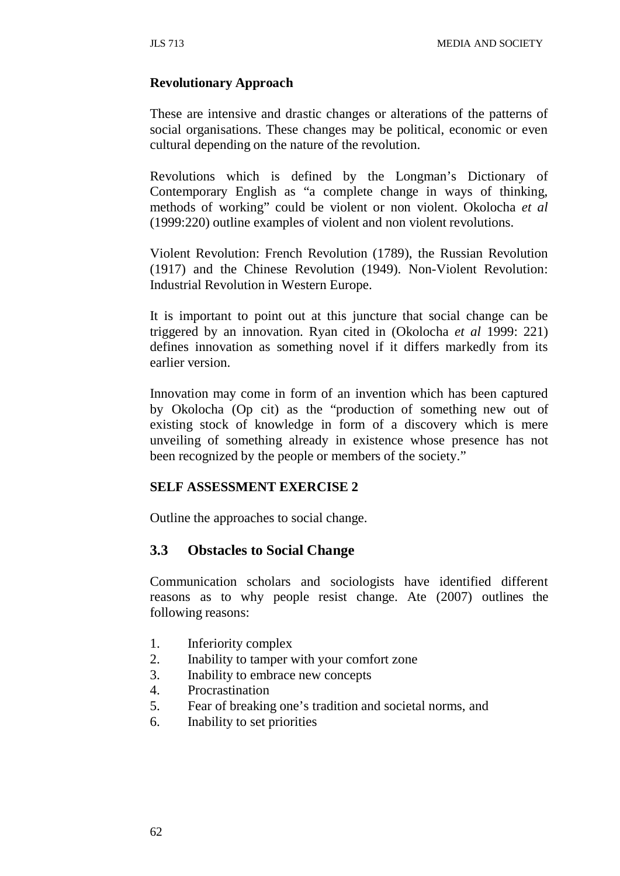#### **Revolutionary Approach**

These are intensive and drastic changes or alterations of the patterns of social organisations. These changes may be political, economic or even cultural depending on the nature of the revolution.

Revolutions which is defined by the Longman's Dictionary of Contemporary English as "a complete change in ways of thinking, methods of working" could be violent or non violent. Okolocha *et al*  (1999:220) outline examples of violent and non violent revolutions.

Violent Revolution: French Revolution (1789), the Russian Revolution (1917) and the Chinese Revolution (1949). Non-Violent Revolution: Industrial Revolution in Western Europe.

It is important to point out at this juncture that social change can be triggered by an innovation. Ryan cited in (Okolocha *et al* 1999: 221) defines innovation as something novel if it differs markedly from its earlier version.

Innovation may come in form of an invention which has been captured by Okolocha (Op cit) as the "production of something new out of existing stock of knowledge in form of a discovery which is mere unveiling of something already in existence whose presence has not been recognized by the people or members of the society."

#### **SELF ASSESSMENT EXERCISE 2**

Outline the approaches to social change.

## **3.3 Obstacles to Social Change**

Communication scholars and sociologists have identified different reasons as to why people resist change. Ate (2007) outlines the following reasons:

- 1. Inferiority complex
- 2. Inability to tamper with your comfort zone
- 3. Inability to embrace new concepts
- 4. Procrastination
- 5. Fear of breaking one's tradition and societal norms, and
- 6. Inability to set priorities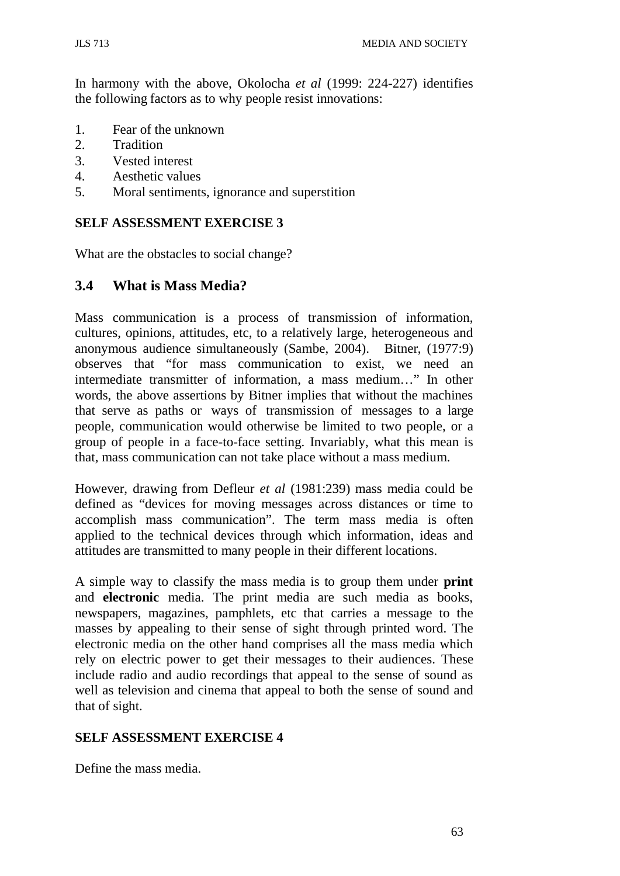In harmony with the above, Okolocha *et al* (1999: 224-227) identifies the following factors as to why people resist innovations:

- 1. Fear of the unknown
- 2. Tradition
- 3. Vested interest
- 4. Aesthetic values
- 5. Moral sentiments, ignorance and superstition

## **SELF ASSESSMENT EXERCISE 3**

What are the obstacles to social change?

## **3.4 What is Mass Media?**

Mass communication is a process of transmission of information, cultures, opinions, attitudes, etc, to a relatively large, heterogeneous and anonymous audience simultaneously (Sambe, 2004). Bitner, (1977:9) observes that "for mass communication to exist, we need an intermediate transmitter of information, a mass medium…" In other words, the above assertions by Bitner implies that without the machines that serve as paths or ways of transmission of messages to a large people, communication would otherwise be limited to two people, or a group of people in a face-to-face setting. Invariably, what this mean is that, mass communication can not take place without a mass medium.

However, drawing from Defleur *et al* (1981:239) mass media could be defined as "devices for moving messages across distances or time to accomplish mass communication". The term mass media is often applied to the technical devices through which information, ideas and attitudes are transmitted to many people in their different locations.

A simple way to classify the mass media is to group them under **print**  and **electronic** media. The print media are such media as books, newspapers, magazines, pamphlets, etc that carries a message to the masses by appealing to their sense of sight through printed word. The electronic media on the other hand comprises all the mass media which rely on electric power to get their messages to their audiences. These include radio and audio recordings that appeal to the sense of sound as well as television and cinema that appeal to both the sense of sound and that of sight.

## **SELF ASSESSMENT EXERCISE 4**

Define the mass media.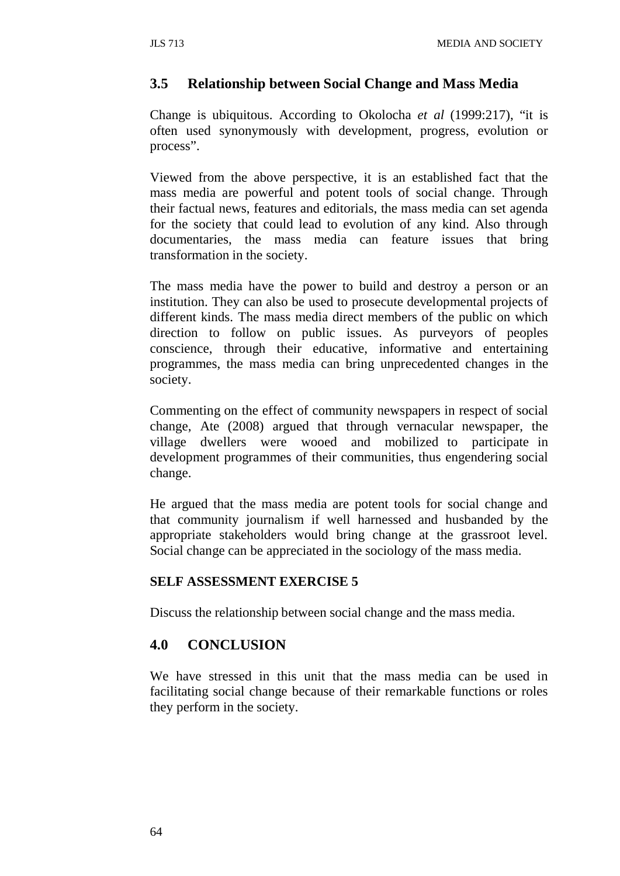## **3.5 Relationship between Social Change and Mass Media**

Change is ubiquitous. According to Okolocha *et al* (1999:217), "it is often used synonymously with development, progress, evolution or process".

Viewed from the above perspective, it is an established fact that the mass media are powerful and potent tools of social change. Through their factual news, features and editorials, the mass media can set agenda for the society that could lead to evolution of any kind. Also through documentaries, the mass media can feature issues that bring transformation in the society.

The mass media have the power to build and destroy a person or an institution. They can also be used to prosecute developmental projects of different kinds. The mass media direct members of the public on which direction to follow on public issues. As purveyors of peoples conscience, through their educative, informative and entertaining programmes, the mass media can bring unprecedented changes in the society.

Commenting on the effect of community newspapers in respect of social change, Ate (2008) argued that through vernacular newspaper, the village dwellers were wooed and mobilized to participate in development programmes of their communities, thus engendering social change.

He argued that the mass media are potent tools for social change and that community journalism if well harnessed and husbanded by the appropriate stakeholders would bring change at the grassroot level. Social change can be appreciated in the sociology of the mass media.

#### **SELF ASSESSMENT EXERCISE 5**

Discuss the relationship between social change and the mass media.

## **4.0 CONCLUSION**

We have stressed in this unit that the mass media can be used in facilitating social change because of their remarkable functions or roles they perform in the society.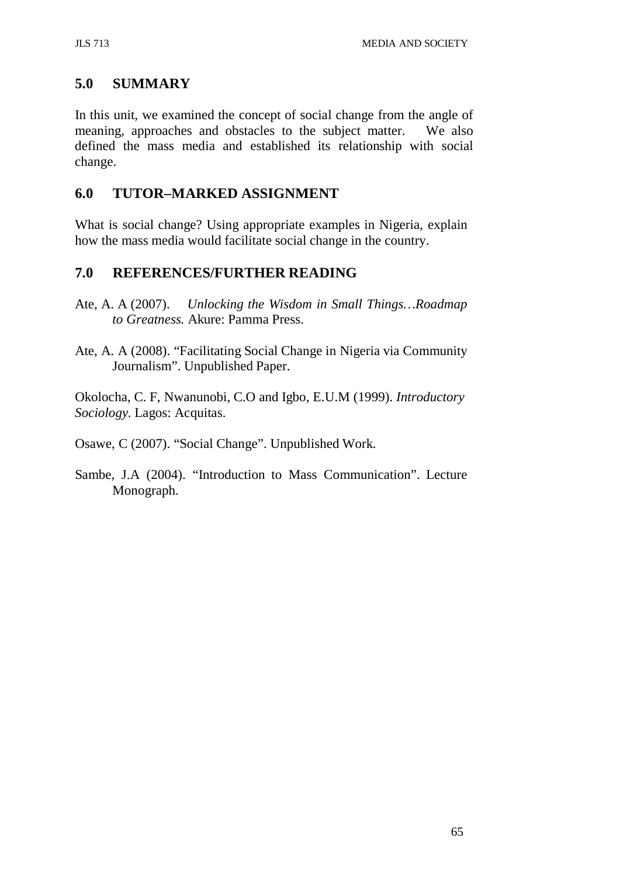## **5.0 SUMMARY**

In this unit, we examined the concept of social change from the angle of meaning, approaches and obstacles to the subject matter. We also defined the mass media and established its relationship with social change.

## **6.0 TUTOR–MARKED ASSIGNMENT**

What is social change? Using appropriate examples in Nigeria, explain how the mass media would facilitate social change in the country.

# **7.0 REFERENCES/FURTHER READING**

- Ate, A. A (2007). *Unlocking the Wisdom in Small Things…Roadmap to Greatness.* Akure: Pamma Press.
- Ate, A. A (2008). "Facilitating Social Change in Nigeria via Community Journalism". Unpublished Paper.

Okolocha, C. F, Nwanunobi, C.O and Igbo, E.U.M (1999). *Introductory Sociology.* Lagos: Acquitas.

Osawe, C (2007). "Social Change". Unpublished Work.

Sambe, J.A (2004). "Introduction to Mass Communication". Lecture Monograph.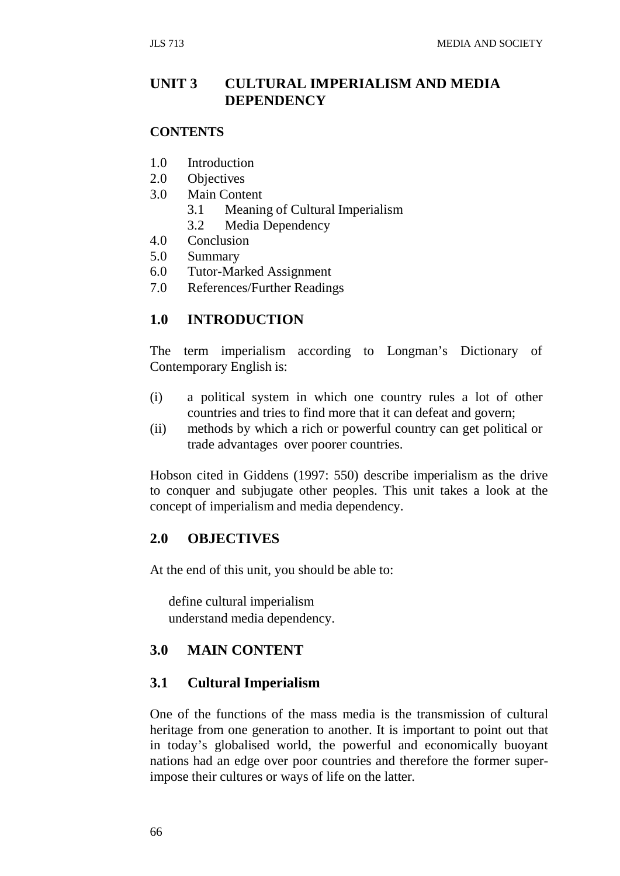## **UNIT 3 CULTURAL IMPERIALISM AND MEDIA DEPENDENCY**

#### **CONTENTS**

- 1.0 Introduction
- 2.0 Objectives
- 3.0 Main Content
	- 3.1 Meaning of Cultural Imperialism
	- 3.2 Media Dependency
- 4.0 Conclusion
- 5.0 Summary
- 6.0 Tutor-Marked Assignment
- 7.0 References/Further Readings

## **1.0 INTRODUCTION**

The term imperialism according to Longman's Dictionary of Contemporary English is:

- (i) a political system in which one country rules a lot of other countries and tries to find more that it can defeat and govern;
- (ii) methods by which a rich or powerful country can get political or trade advantages over poorer countries.

Hobson cited in Giddens (1997: 550) describe imperialism as the drive to conquer and subjugate other peoples. This unit takes a look at the concept of imperialism and media dependency.

## **2.0 OBJECTIVES**

At the end of this unit, you should be able to:

define cultural imperialism understand media dependency.

## **3.0 MAIN CONTENT**

## **3.1 Cultural Imperialism**

One of the functions of the mass media is the transmission of cultural heritage from one generation to another. It is important to point out that in today's globalised world, the powerful and economically buoyant nations had an edge over poor countries and therefore the former superimpose their cultures or ways of life on the latter.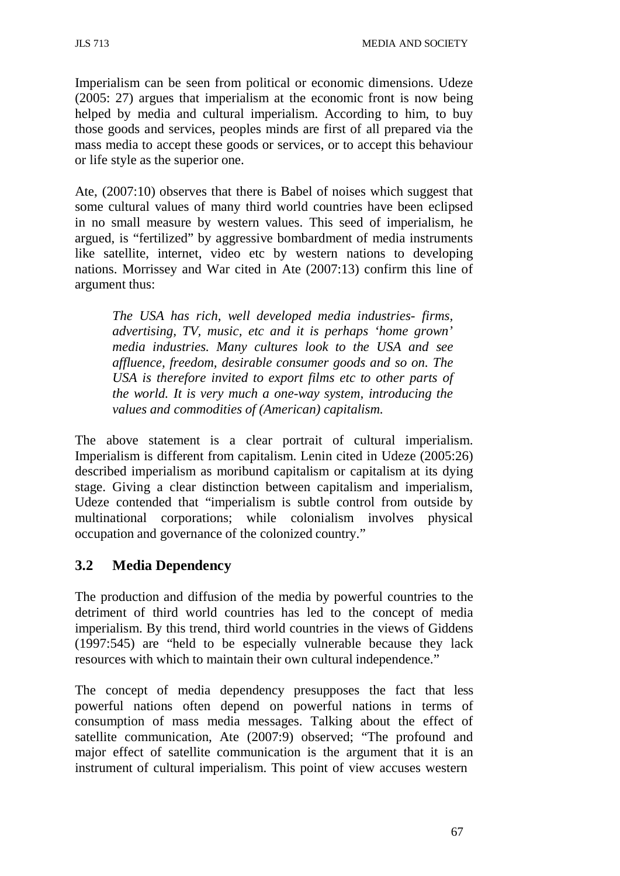Imperialism can be seen from political or economic dimensions. Udeze (2005: 27) argues that imperialism at the economic front is now being helped by media and cultural imperialism. According to him, to buy those goods and services, peoples minds are first of all prepared via the mass media to accept these goods or services, or to accept this behaviour or life style as the superior one.

Ate, (2007:10) observes that there is Babel of noises which suggest that some cultural values of many third world countries have been eclipsed in no small measure by western values. This seed of imperialism, he argued, is "fertilized" by aggressive bombardment of media instruments like satellite, internet, video etc by western nations to developing nations. Morrissey and War cited in Ate (2007:13) confirm this line of argument thus:

*The USA has rich, well developed media industries- firms, advertising, TV, music, etc and it is perhaps 'home grown' media industries. Many cultures look to the USA and see affluence, freedom, desirable consumer goods and so on. The USA is therefore invited to export films etc to other parts of the world. It is very much a one-way system, introducing the values and commodities of (American) capitalism.*

The above statement is a clear portrait of cultural imperialism. Imperialism is different from capitalism. Lenin cited in Udeze (2005:26) described imperialism as moribund capitalism or capitalism at its dying stage. Giving a clear distinction between capitalism and imperialism, Udeze contended that "imperialism is subtle control from outside by multinational corporations; while colonialism involves physical occupation and governance of the colonized country."

# **3.2 Media Dependency**

The production and diffusion of the media by powerful countries to the detriment of third world countries has led to the concept of media imperialism. By this trend, third world countries in the views of Giddens (1997:545) are "held to be especially vulnerable because they lack resources with which to maintain their own cultural independence."

The concept of media dependency presupposes the fact that less powerful nations often depend on powerful nations in terms of consumption of mass media messages. Talking about the effect of satellite communication, Ate (2007:9) observed; "The profound and major effect of satellite communication is the argument that it is an instrument of cultural imperialism. This point of view accuses western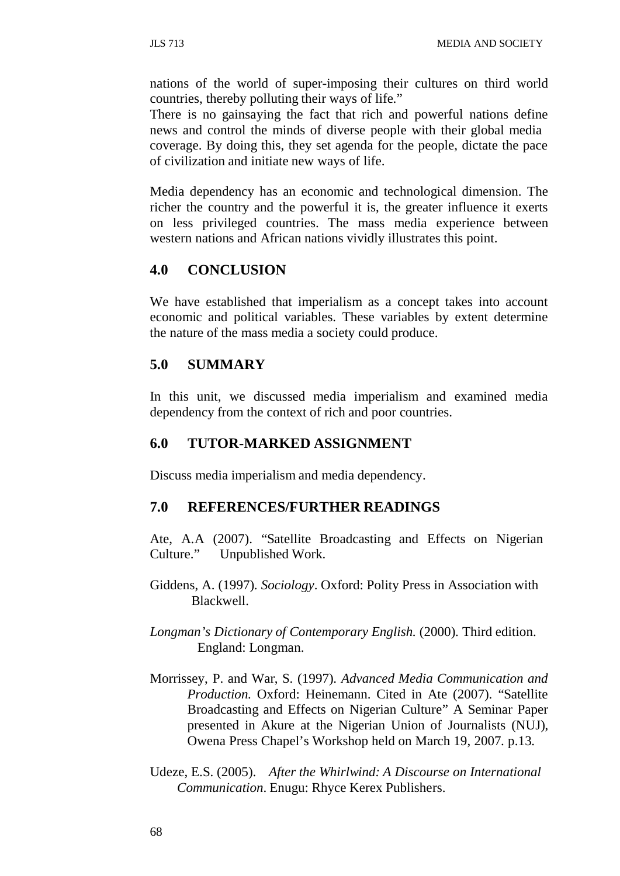nations of the world of super-imposing their cultures on third world countries, thereby polluting their ways of life."

There is no gainsaying the fact that rich and powerful nations define news and control the minds of diverse people with their global media coverage. By doing this, they set agenda for the people, dictate the pace of civilization and initiate new ways of life.

Media dependency has an economic and technological dimension. The richer the country and the powerful it is, the greater influence it exerts on less privileged countries. The mass media experience between western nations and African nations vividly illustrates this point.

### **4.0 CONCLUSION**

We have established that imperialism as a concept takes into account economic and political variables. These variables by extent determine the nature of the mass media a society could produce.

## **5.0 SUMMARY**

In this unit, we discussed media imperialism and examined media dependency from the context of rich and poor countries.

#### **6.0 TUTOR-MARKED ASSIGNMENT**

Discuss media imperialism and media dependency.

#### **7.0 REFERENCES/FURTHER READINGS**

Ate, A.A (2007). "Satellite Broadcasting and Effects on Nigerian Culture." Unpublished Work.

- Giddens, A. (1997). *Sociology*. Oxford: Polity Press in Association with Blackwell.
- *Longman's Dictionary of Contemporary English.* (2000). Third edition. England: Longman.
- Morrissey, P. and War, S. (1997). *Advanced Media Communication and Production.* Oxford: Heinemann. Cited in Ate (2007). "Satellite Broadcasting and Effects on Nigerian Culture" A Seminar Paper presented in Akure at the Nigerian Union of Journalists (NUJ), Owena Press Chapel's Workshop held on March 19, 2007. p.13.
- Udeze, E.S. (2005). *After the Whirlwind: A Discourse on International Communication*. Enugu: Rhyce Kerex Publishers.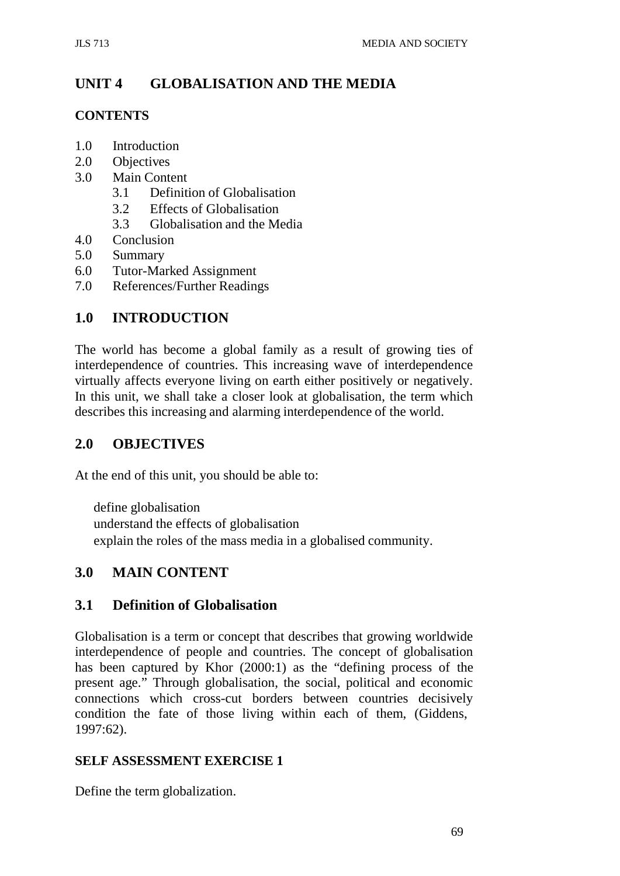# **UNIT 4 GLOBALISATION AND THE MEDIA**

## **CONTENTS**

- 1.0 Introduction
- 2.0 Objectives
- 3.0 Main Content
	- 3.1 Definition of Globalisation
	- 3.2 Effects of Globalisation
	- 3.3 Globalisation and the Media
- 4.0 Conclusion
- 5.0 Summary
- 6.0 Tutor-Marked Assignment
- 7.0 References/Further Readings

# **1.0 INTRODUCTION**

The world has become a global family as a result of growing ties of interdependence of countries. This increasing wave of interdependence virtually affects everyone living on earth either positively or negatively. In this unit, we shall take a closer look at globalisation, the term which describes this increasing and alarming interdependence of the world.

## **2.0 OBJECTIVES**

At the end of this unit, you should be able to:

define globalisation understand the effects of globalisation explain the roles of the mass media in a globalised community.

## **3.0 MAIN CONTENT**

## **3.1 Definition of Globalisation**

Globalisation is a term or concept that describes that growing worldwide interdependence of people and countries. The concept of globalisation has been captured by Khor (2000:1) as the "defining process of the present age." Through globalisation, the social, political and economic connections which cross-cut borders between countries decisively condition the fate of those living within each of them, (Giddens, 1997:62).

## **SELF ASSESSMENT EXERCISE 1**

Define the term globalization.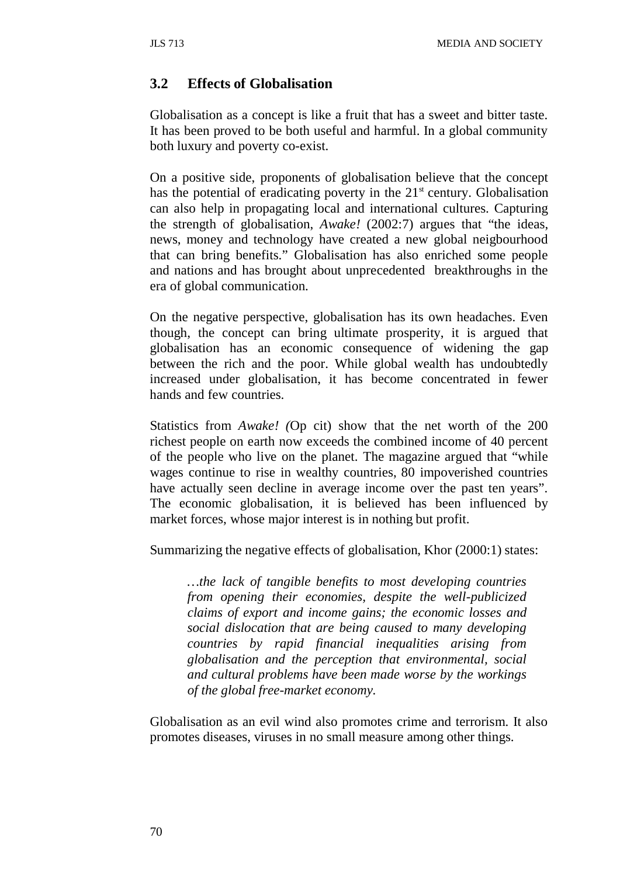## **3.2 Effects of Globalisation**

Globalisation as a concept is like a fruit that has a sweet and bitter taste. It has been proved to be both useful and harmful. In a global community both luxury and poverty co-exist.

On a positive side, proponents of globalisation believe that the concept has the potential of eradicating poverty in the  $21<sup>st</sup>$  century. Globalisation can also help in propagating local and international cultures. Capturing the strength of globalisation, *Awake!* (2002:7) argues that "the ideas, news, money and technology have created a new global neigbourhood that can bring benefits." Globalisation has also enriched some people and nations and has brought about unprecedented breakthroughs in the era of global communication.

On the negative perspective, globalisation has its own headaches. Even though, the concept can bring ultimate prosperity, it is argued that globalisation has an economic consequence of widening the gap between the rich and the poor. While global wealth has undoubtedly increased under globalisation, it has become concentrated in fewer hands and few countries.

Statistics from *Awake! (*Op cit) show that the net worth of the 200 richest people on earth now exceeds the combined income of 40 percent of the people who live on the planet. The magazine argued that "while wages continue to rise in wealthy countries, 80 impoverished countries have actually seen decline in average income over the past ten years". The economic globalisation, it is believed has been influenced by market forces, whose major interest is in nothing but profit.

Summarizing the negative effects of globalisation, Khor (2000:1) states:

*…the lack of tangible benefits to most developing countries from opening their economies, despite the well-publicized claims of export and income gains; the economic losses and social dislocation that are being caused to many developing countries by rapid financial inequalities arising from globalisation and the perception that environmental, social and cultural problems have been made worse by the workings of the global free-market economy.*

Globalisation as an evil wind also promotes crime and terrorism. It also promotes diseases, viruses in no small measure among other things.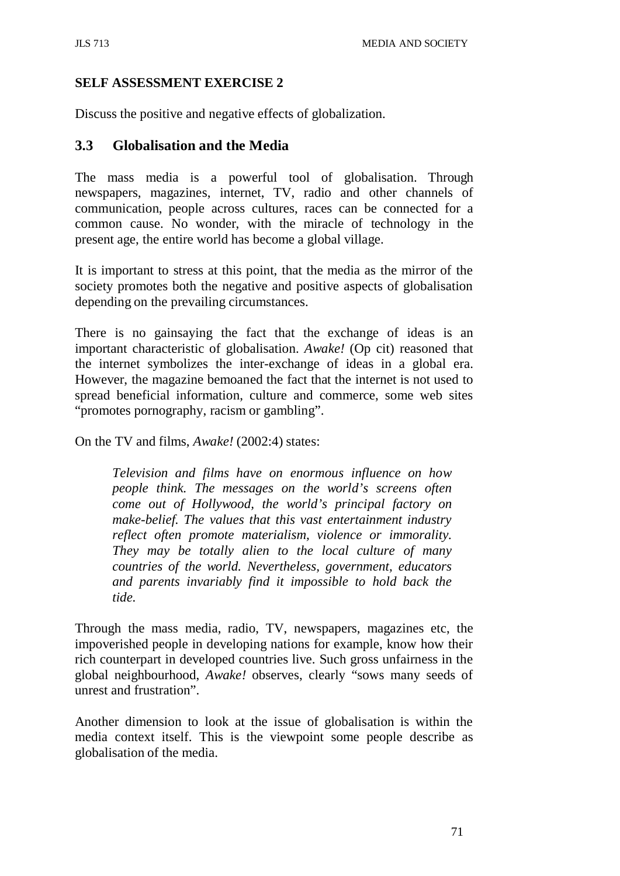## **SELF ASSESSMENT EXERCISE 2**

Discuss the positive and negative effects of globalization.

## **3.3 Globalisation and the Media**

The mass media is a powerful tool of globalisation. Through newspapers, magazines, internet, TV, radio and other channels of communication, people across cultures, races can be connected for a common cause. No wonder, with the miracle of technology in the present age, the entire world has become a global village.

It is important to stress at this point, that the media as the mirror of the society promotes both the negative and positive aspects of globalisation depending on the prevailing circumstances.

There is no gainsaying the fact that the exchange of ideas is an important characteristic of globalisation. *Awake!* (Op cit) reasoned that the internet symbolizes the inter-exchange of ideas in a global era. However, the magazine bemoaned the fact that the internet is not used to spread beneficial information, culture and commerce, some web sites "promotes pornography, racism or gambling".

On the TV and films, *Awake!* (2002:4) states:

*Television and films have on enormous influence on how people think. The messages on the world's screens often come out of Hollywood, the world's principal factory on make-belief. The values that this vast entertainment industry reflect often promote materialism, violence or immorality. They may be totally alien to the local culture of many countries of the world. Nevertheless, government, educators and parents invariably find it impossible to hold back the tide.*

Through the mass media, radio, TV, newspapers, magazines etc, the impoverished people in developing nations for example, know how their rich counterpart in developed countries live. Such gross unfairness in the global neighbourhood, *Awake!* observes, clearly "sows many seeds of unrest and frustration".

Another dimension to look at the issue of globalisation is within the media context itself. This is the viewpoint some people describe as globalisation of the media.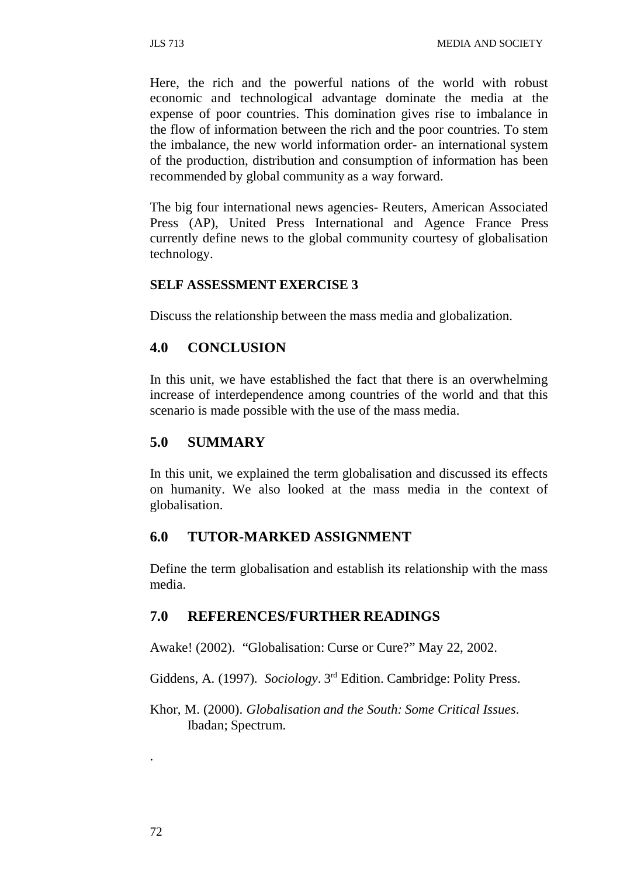Here, the rich and the powerful nations of the world with robust economic and technological advantage dominate the media at the expense of poor countries. This domination gives rise to imbalance in the flow of information between the rich and the poor countries. To stem the imbalance, the new world information order- an international system of the production, distribution and consumption of information has been recommended by global community as a way forward.

The big four international news agencies- Reuters, American Associated Press (AP), United Press International and Agence France Press currently define news to the global community courtesy of globalisation technology.

#### **SELF ASSESSMENT EXERCISE 3**

Discuss the relationship between the mass media and globalization.

### **4.0 CONCLUSION**

In this unit, we have established the fact that there is an overwhelming increase of interdependence among countries of the world and that this scenario is made possible with the use of the mass media.

#### **5.0 SUMMARY**

In this unit, we explained the term globalisation and discussed its effects on humanity. We also looked at the mass media in the context of globalisation.

### **6.0 TUTOR-MARKED ASSIGNMENT**

Define the term globalisation and establish its relationship with the mass media.

### **7.0 REFERENCES/FURTHER READINGS**

Awake! (2002). "Globalisation: Curse or Cure?" May 22, 2002.

Giddens, A. (1997). *Sociology*. 3rd Edition. Cambridge: Polity Press.

Khor, M. (2000). *Globalisation and the South: Some Critical Issues*. Ibadan; Spectrum.

.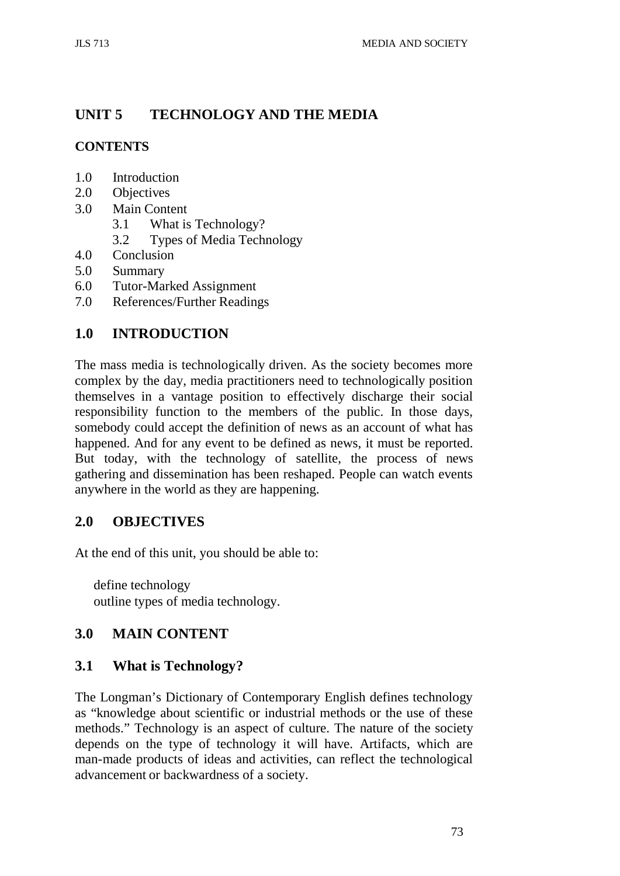# **UNIT 5 TECHNOLOGY AND THE MEDIA**

## **CONTENTS**

- 1.0 Introduction<br>2.0 Objectives
- **Objectives**
- 3.0 Main Content
	- 3.1 What is Technology?
	- 3.2 Types of Media Technology
- 4.0 Conclusion
- 5.0 Summary
- 6.0 Tutor-Marked Assignment
- 7.0 References/Further Readings

# **1.0 INTRODUCTION**

The mass media is technologically driven. As the society becomes more complex by the day, media practitioners need to technologically position themselves in a vantage position to effectively discharge their social responsibility function to the members of the public. In those days, somebody could accept the definition of news as an account of what has happened. And for any event to be defined as news, it must be reported. But today, with the technology of satellite, the process of news gathering and dissemination has been reshaped. People can watch events anywhere in the world as they are happening.

## **2.0 OBJECTIVES**

At the end of this unit, you should be able to:

define technology outline types of media technology.

## **3.0 MAIN CONTENT**

## **3.1 What is Technology?**

The Longman's Dictionary of Contemporary English defines technology as "knowledge about scientific or industrial methods or the use of these methods." Technology is an aspect of culture. The nature of the society depends on the type of technology it will have. Artifacts, which are man-made products of ideas and activities, can reflect the technological advancement or backwardness of a society.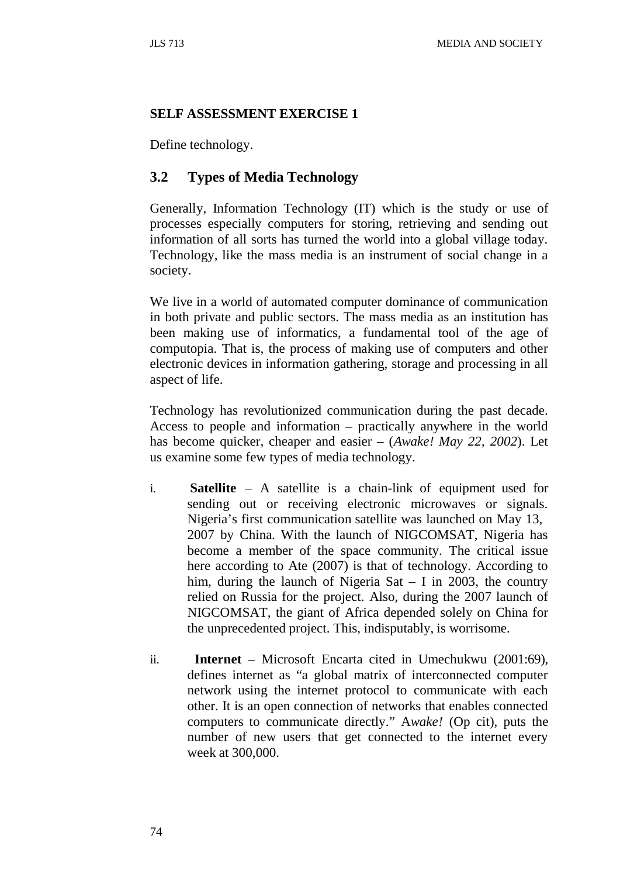#### **SELF ASSESSMENT EXERCISE 1**

Define technology.

## **3.2 Types of Media Technology**

Generally, Information Technology (IT) which is the study or use of processes especially computers for storing, retrieving and sending out information of all sorts has turned the world into a global village today. Technology, like the mass media is an instrument of social change in a society.

We live in a world of automated computer dominance of communication in both private and public sectors. The mass media as an institution has been making use of informatics, a fundamental tool of the age of computopia. That is, the process of making use of computers and other electronic devices in information gathering, storage and processing in all aspect of life.

Technology has revolutionized communication during the past decade. Access to people and information – practically anywhere in the world has become quicker, cheaper and easier – (*Awake! May 22, 2002*). Let us examine some few types of media technology.

- i. **Satellite**  A satellite is a chain-link of equipment used for sending out or receiving electronic microwaves or signals. Nigeria's first communication satellite was launched on May 13, 2007 by China. With the launch of NIGCOMSAT, Nigeria has become a member of the space community. The critical issue here according to Ate (2007) is that of technology. According to him, during the launch of Nigeria Sat – I in 2003, the country relied on Russia for the project. Also, during the 2007 launch of NIGCOMSAT, the giant of Africa depended solely on China for the unprecedented project. This, indisputably, is worrisome.
- ii. **Internet** Microsoft Encarta cited in Umechukwu (2001:69), defines internet as "a global matrix of interconnected computer network using the internet protocol to communicate with each other. It is an open connection of networks that enables connected computers to communicate directly." A*wake!* (Op cit), puts the number of new users that get connected to the internet every week at 300,000.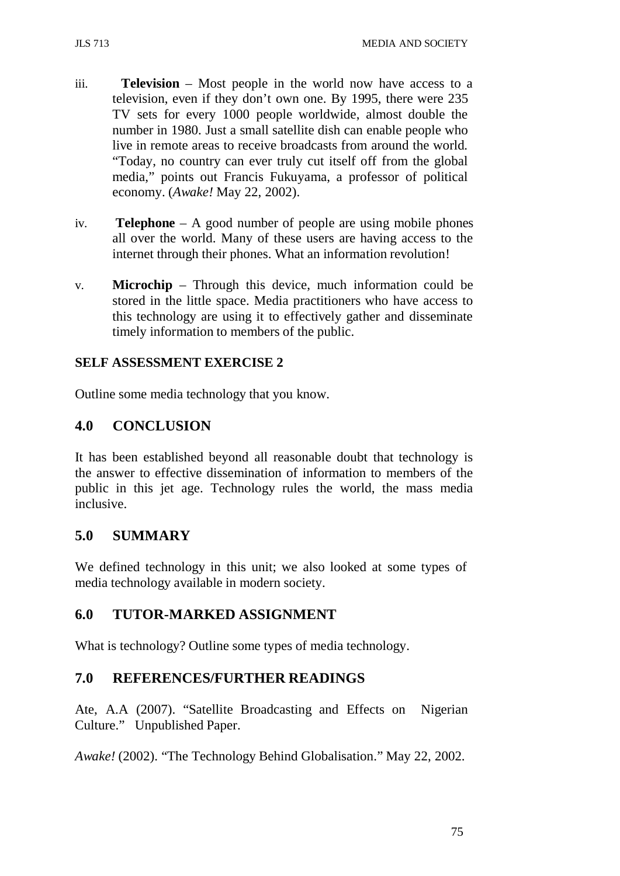- iii. **Television**  Most people in the world now have access to a television, even if they don't own one. By 1995, there were 235 TV sets for every 1000 people worldwide, almost double the number in 1980. Just a small satellite dish can enable people who live in remote areas to receive broadcasts from around the world. "Today, no country can ever truly cut itself off from the global media," points out Francis Fukuyama, a professor of political economy. (*Awake!* May 22, 2002).
- iv. **Telephone** A good number of people are using mobile phones all over the world. Many of these users are having access to the internet through their phones. What an information revolution!
- v. **Microchip** Through this device, much information could be stored in the little space. Media practitioners who have access to this technology are using it to effectively gather and disseminate timely information to members of the public.

## **SELF ASSESSMENT EXERCISE 2**

Outline some media technology that you know.

## **4.0 CONCLUSION**

It has been established beyond all reasonable doubt that technology is the answer to effective dissemination of information to members of the public in this jet age. Technology rules the world, the mass media inclusive.

## **5.0 SUMMARY**

We defined technology in this unit; we also looked at some types of media technology available in modern society.

## **6.0 TUTOR-MARKED ASSIGNMENT**

What is technology? Outline some types of media technology.

## **7.0 REFERENCES/FURTHER READINGS**

Ate, A.A (2007). "Satellite Broadcasting and Effects on Nigerian Culture." Unpublished Paper.

*Awake!* (2002). "The Technology Behind Globalisation." May 22, 2002.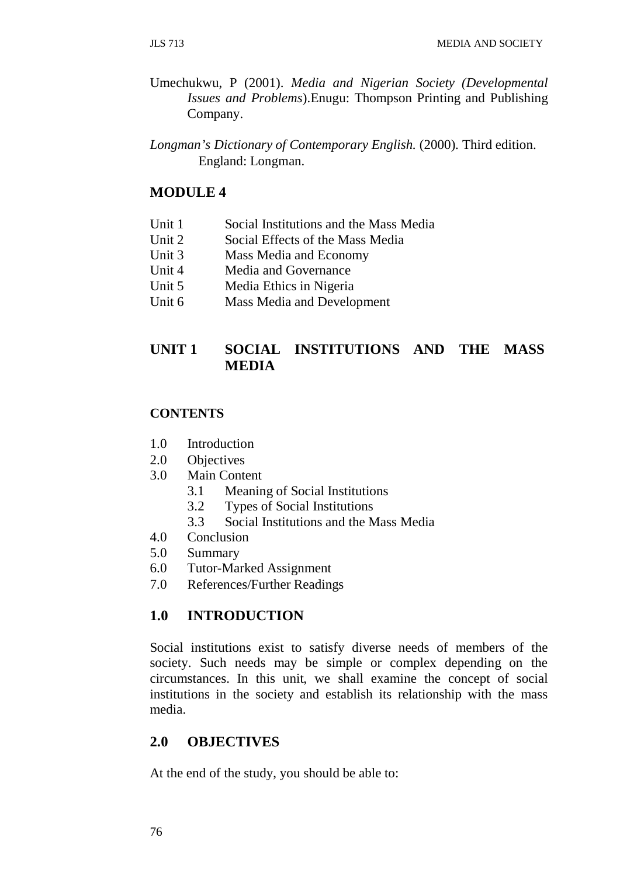- Umechukwu, P (2001). *Media and Nigerian Society (Developmental Issues and Problems*).Enugu: Thompson Printing and Publishing Company.
- *Longman's Dictionary of Contemporary English.* (2000). Third edition. England: Longman.

### **MODULE 4**

- Unit 1 Social Institutions and the Mass Media
- Unit 2 Social Effects of the Mass Media
- Unit 3 Mass Media and Economy
- Unit 4 Media and Governance
- Unit 5 Media Ethics in Nigeria
- Unit 6 Mass Media and Development

## **UNIT 1 SOCIAL INSTITUTIONS AND THE MASS MEDIA**

### **CONTENTS**

- 1.0 Introduction
- 2.0 Objectives
- 3.0 Main Content
	- 3.1 Meaning of Social Institutions
	- 3.2 Types of Social Institutions
	- 3.3 Social Institutions and the Mass Media
- 4.0 Conclusion
- 5.0 Summary
- 6.0 Tutor-Marked Assignment
- 7.0 References/Further Readings

## **1.0 INTRODUCTION**

Social institutions exist to satisfy diverse needs of members of the society. Such needs may be simple or complex depending on the circumstances. In this unit, we shall examine the concept of social institutions in the society and establish its relationship with the mass media.

## **2.0 OBJECTIVES**

At the end of the study, you should be able to: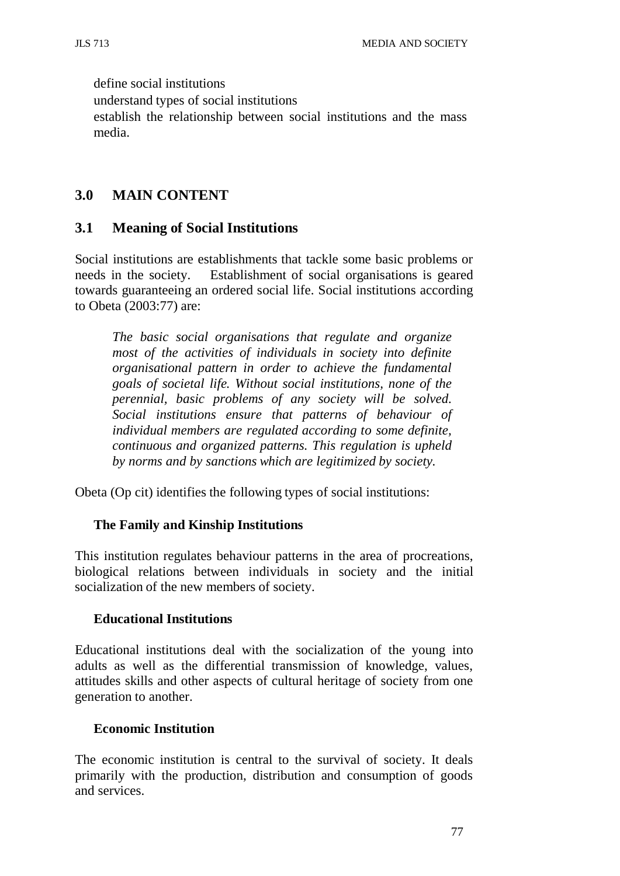define social institutions understand types of social institutions establish the relationship between social institutions and the mass media.

## **3.0 MAIN CONTENT**

## **3.1 Meaning of Social Institutions**

Social institutions are establishments that tackle some basic problems or needs in the society. Establishment of social organisations is geared towards guaranteeing an ordered social life. Social institutions according to Obeta (2003:77) are:

*The basic social organisations that regulate and organize most of the activities of individuals in society into definite organisational pattern in order to achieve the fundamental goals of societal life. Without social institutions, none of the perennial, basic problems of any society will be solved. Social institutions ensure that patterns of behaviour of individual members are regulated according to some definite, continuous and organized patterns. This regulation is upheld by norms and by sanctions which are legitimized by society.*

Obeta (Op cit) identifies the following types of social institutions:

## **The Family and Kinship Institutions**

This institution regulates behaviour patterns in the area of procreations, biological relations between individuals in society and the initial socialization of the new members of society.

#### **Educational Institutions**

Educational institutions deal with the socialization of the young into adults as well as the differential transmission of knowledge, values, attitudes skills and other aspects of cultural heritage of society from one generation to another.

#### **Economic Institution**

The economic institution is central to the survival of society. It deals primarily with the production, distribution and consumption of goods and services.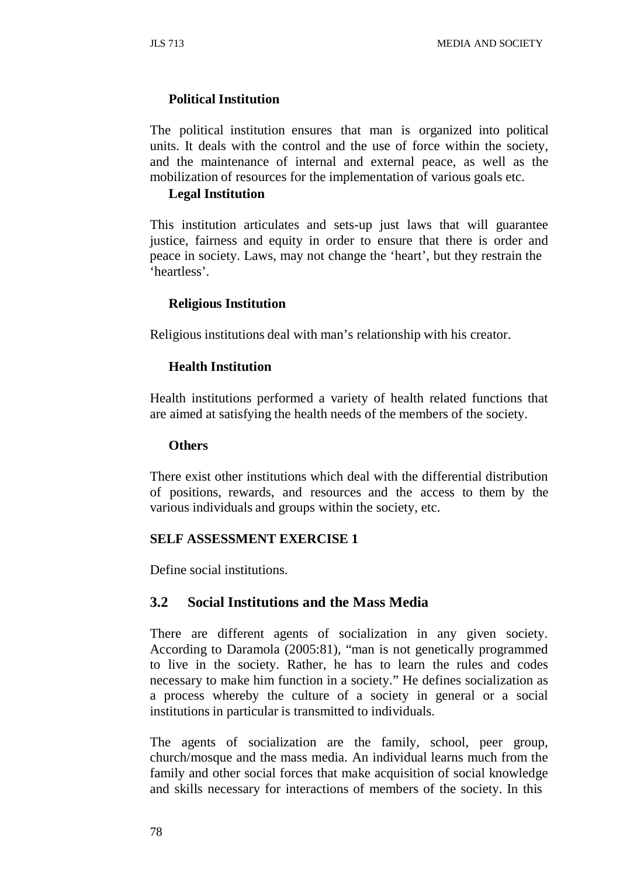## **Political Institution**

The political institution ensures that man is organized into political units. It deals with the control and the use of force within the society, and the maintenance of internal and external peace, as well as the mobilization of resources for the implementation of various goals etc.

#### **Legal Institution**

This institution articulates and sets-up just laws that will guarantee justice, fairness and equity in order to ensure that there is order and peace in society. Laws, may not change the 'heart', but they restrain the 'heartless'.

#### **Religious Institution**

Religious institutions deal with man's relationship with his creator.

#### **Health Institution**

Health institutions performed a variety of health related functions that are aimed at satisfying the health needs of the members of the society.

#### **Others**

There exist other institutions which deal with the differential distribution of positions, rewards, and resources and the access to them by the various individuals and groups within the society, etc.

#### **SELF ASSESSMENT EXERCISE 1**

Define social institutions.

## **3.2 Social Institutions and the Mass Media**

There are different agents of socialization in any given society. According to Daramola (2005:81), "man is not genetically programmed to live in the society. Rather, he has to learn the rules and codes necessary to make him function in a society." He defines socialization as a process whereby the culture of a society in general or a social institutions in particular is transmitted to individuals.

The agents of socialization are the family, school, peer group, church/mosque and the mass media. An individual learns much from the family and other social forces that make acquisition of social knowledge and skills necessary for interactions of members of the society. In this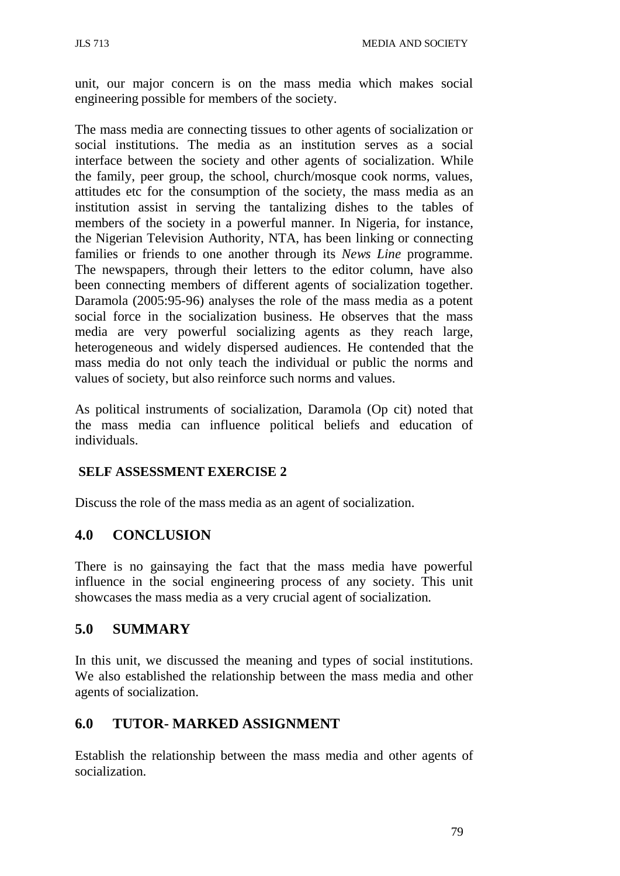unit, our major concern is on the mass media which makes social engineering possible for members of the society.

The mass media are connecting tissues to other agents of socialization or social institutions. The media as an institution serves as a social interface between the society and other agents of socialization. While the family, peer group, the school, church/mosque cook norms, values, attitudes etc for the consumption of the society, the mass media as an institution assist in serving the tantalizing dishes to the tables of members of the society in a powerful manner. In Nigeria, for instance, the Nigerian Television Authority, NTA, has been linking or connecting families or friends to one another through its *News Line* programme. The newspapers, through their letters to the editor column, have also been connecting members of different agents of socialization together. Daramola (2005:95-96) analyses the role of the mass media as a potent social force in the socialization business. He observes that the mass media are very powerful socializing agents as they reach large, heterogeneous and widely dispersed audiences. He contended that the mass media do not only teach the individual or public the norms and values of society, but also reinforce such norms and values.

As political instruments of socialization, Daramola (Op cit) noted that the mass media can influence political beliefs and education of individuals.

## **SELF ASSESSMENT EXERCISE 2**

Discuss the role of the mass media as an agent of socialization.

## **4.0 CONCLUSION**

There is no gainsaying the fact that the mass media have powerful influence in the social engineering process of any society. This unit showcases the mass media as a very crucial agent of socialization.

## **5.0 SUMMARY**

In this unit, we discussed the meaning and types of social institutions. We also established the relationship between the mass media and other agents of socialization.

## **6.0 TUTOR- MARKED ASSIGNMENT**

Establish the relationship between the mass media and other agents of socialization.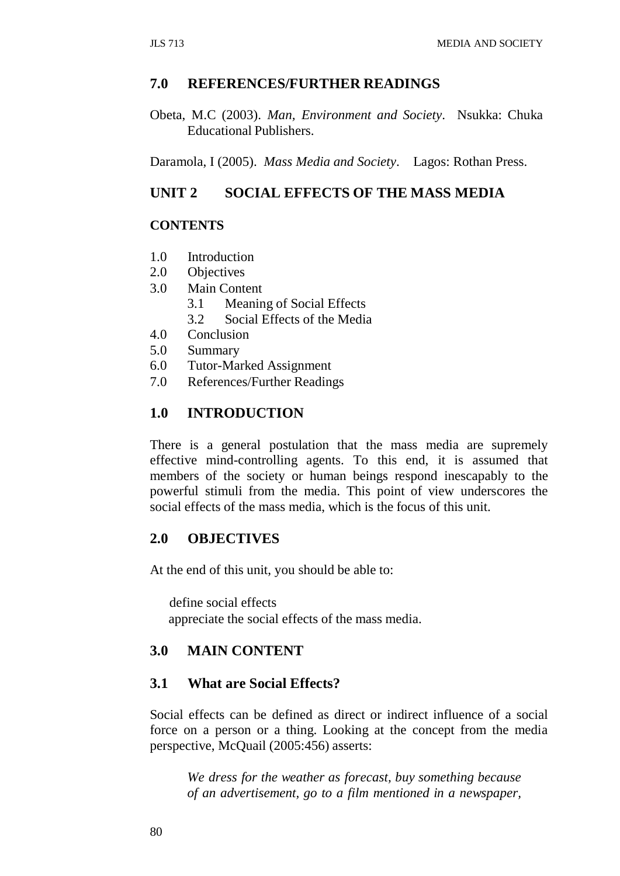### **7.0 REFERENCES/FURTHER READINGS**

Obeta, M.C (2003). *Man, Environment and Society*. Nsukka: Chuka Educational Publishers.

Daramola, I (2005). *Mass Media and Society*. Lagos: Rothan Press.

## **UNIT 2 SOCIAL EFFECTS OF THE MASS MEDIA**

## **CONTENTS**

- 1.0 Introduction
- 2.0 Objectives
- 3.0 Main Content
	- 3.1 Meaning of Social Effects
	- 3.2 Social Effects of the Media
- 4.0 Conclusion
- 5.0 Summary
- 6.0 Tutor-Marked Assignment
- 7.0 References/Further Readings

## **1.0 INTRODUCTION**

There is a general postulation that the mass media are supremely effective mind-controlling agents. To this end, it is assumed that members of the society or human beings respond inescapably to the powerful stimuli from the media. This point of view underscores the social effects of the mass media, which is the focus of this unit.

## **2.0 OBJECTIVES**

At the end of this unit, you should be able to:

define social effects appreciate the social effects of the mass media.

#### **3.0 MAIN CONTENT**

## **3.1 What are Social Effects?**

Social effects can be defined as direct or indirect influence of a social force on a person or a thing. Looking at the concept from the media perspective, McQuail (2005:456) asserts:

*We dress for the weather as forecast, buy something because of an advertisement, go to a film mentioned in a newspaper,*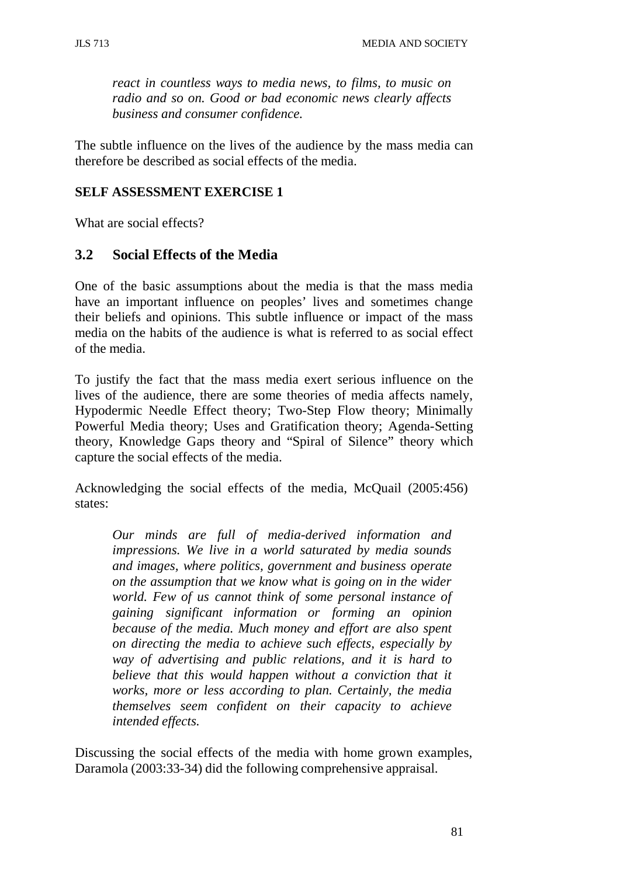*react in countless ways to media news, to films, to music on radio and so on. Good or bad economic news clearly affects business and consumer confidence.*

The subtle influence on the lives of the audience by the mass media can therefore be described as social effects of the media.

#### **SELF ASSESSMENT EXERCISE 1**

What are social effects?

### **3.2 Social Effects of the Media**

One of the basic assumptions about the media is that the mass media have an important influence on peoples' lives and sometimes change their beliefs and opinions. This subtle influence or impact of the mass media on the habits of the audience is what is referred to as social effect of the media.

To justify the fact that the mass media exert serious influence on the lives of the audience, there are some theories of media affects namely, Hypodermic Needle Effect theory; Two-Step Flow theory; Minimally Powerful Media theory; Uses and Gratification theory; Agenda-Setting theory, Knowledge Gaps theory and "Spiral of Silence" theory which capture the social effects of the media.

Acknowledging the social effects of the media, McQuail (2005:456) states:

*Our minds are full of media-derived information and impressions. We live in a world saturated by media sounds and images, where politics, government and business operate on the assumption that we know what is going on in the wider world. Few of us cannot think of some personal instance of gaining significant information or forming an opinion because of the media. Much money and effort are also spent on directing the media to achieve such effects, especially by way of advertising and public relations, and it is hard to believe that this would happen without a conviction that it works, more or less according to plan. Certainly, the media themselves seem confident on their capacity to achieve intended effects.*

Discussing the social effects of the media with home grown examples, Daramola (2003:33-34) did the following comprehensive appraisal.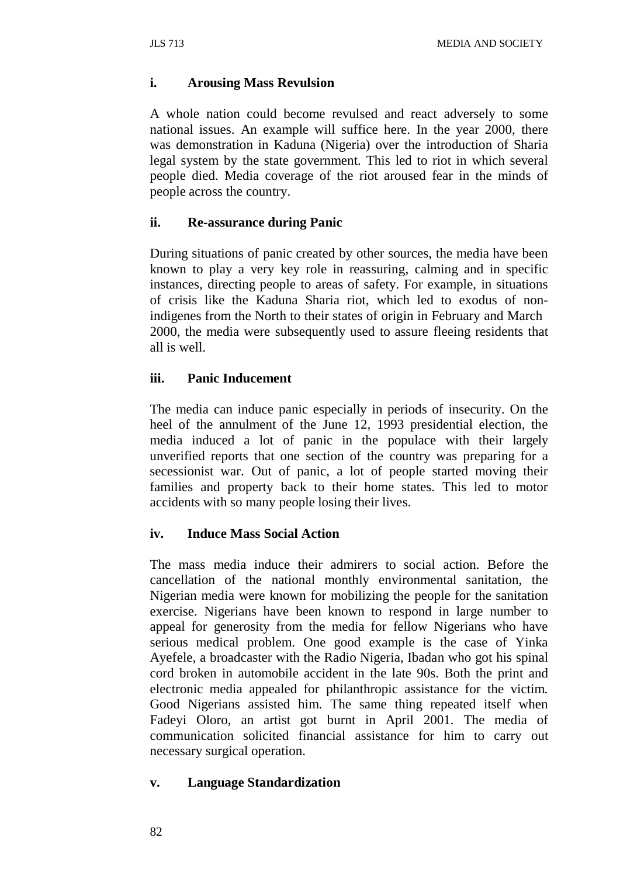#### **i. Arousing Mass Revulsion**

A whole nation could become revulsed and react adversely to some national issues. An example will suffice here. In the year 2000, there was demonstration in Kaduna (Nigeria) over the introduction of Sharia legal system by the state government. This led to riot in which several people died. Media coverage of the riot aroused fear in the minds of people across the country.

#### **ii. Re-assurance during Panic**

During situations of panic created by other sources, the media have been known to play a very key role in reassuring, calming and in specific instances, directing people to areas of safety. For example, in situations of crisis like the Kaduna Sharia riot, which led to exodus of nonindigenes from the North to their states of origin in February and March 2000, the media were subsequently used to assure fleeing residents that all is well.

### **iii. Panic Inducement**

The media can induce panic especially in periods of insecurity. On the heel of the annulment of the June 12, 1993 presidential election, the media induced a lot of panic in the populace with their largely unverified reports that one section of the country was preparing for a secessionist war. Out of panic, a lot of people started moving their families and property back to their home states. This led to motor accidents with so many people losing their lives.

## **iv. Induce Mass Social Action**

The mass media induce their admirers to social action. Before the cancellation of the national monthly environmental sanitation, the Nigerian media were known for mobilizing the people for the sanitation exercise. Nigerians have been known to respond in large number to appeal for generosity from the media for fellow Nigerians who have serious medical problem. One good example is the case of Yinka Ayefele, a broadcaster with the Radio Nigeria, Ibadan who got his spinal cord broken in automobile accident in the late 90s. Both the print and electronic media appealed for philanthropic assistance for the victim. Good Nigerians assisted him. The same thing repeated itself when Fadeyi Oloro, an artist got burnt in April 2001. The media of communication solicited financial assistance for him to carry out necessary surgical operation.

#### **v. Language Standardization**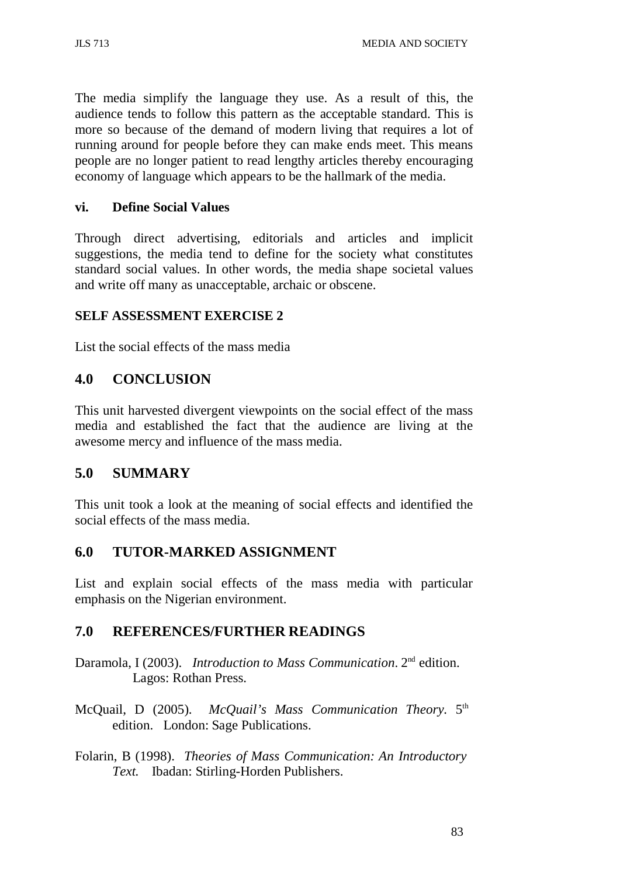The media simplify the language they use. As a result of this, the audience tends to follow this pattern as the acceptable standard. This is more so because of the demand of modern living that requires a lot of running around for people before they can make ends meet. This means people are no longer patient to read lengthy articles thereby encouraging economy of language which appears to be the hallmark of the media.

### **vi. Define Social Values**

Through direct advertising, editorials and articles and implicit suggestions, the media tend to define for the society what constitutes standard social values. In other words, the media shape societal values and write off many as unacceptable, archaic or obscene.

### **SELF ASSESSMENT EXERCISE 2**

List the social effects of the mass media

## **4.0 CONCLUSION**

This unit harvested divergent viewpoints on the social effect of the mass media and established the fact that the audience are living at the awesome mercy and influence of the mass media.

## **5.0 SUMMARY**

This unit took a look at the meaning of social effects and identified the social effects of the mass media.

## **6.0 TUTOR-MARKED ASSIGNMENT**

List and explain social effects of the mass media with particular emphasis on the Nigerian environment.

## **7.0 REFERENCES/FURTHER READINGS**

- Daramola, I (2003). *Introduction to Mass Communication*. 2nd edition. Lagos: Rothan Press.
- McQuail, D (2005). *McQuail's Mass Communication Theory.* 5th edition. London: Sage Publications.
- Folarin, B (1998). *Theories of Mass Communication: An Introductory Text.* Ibadan: Stirling-Horden Publishers.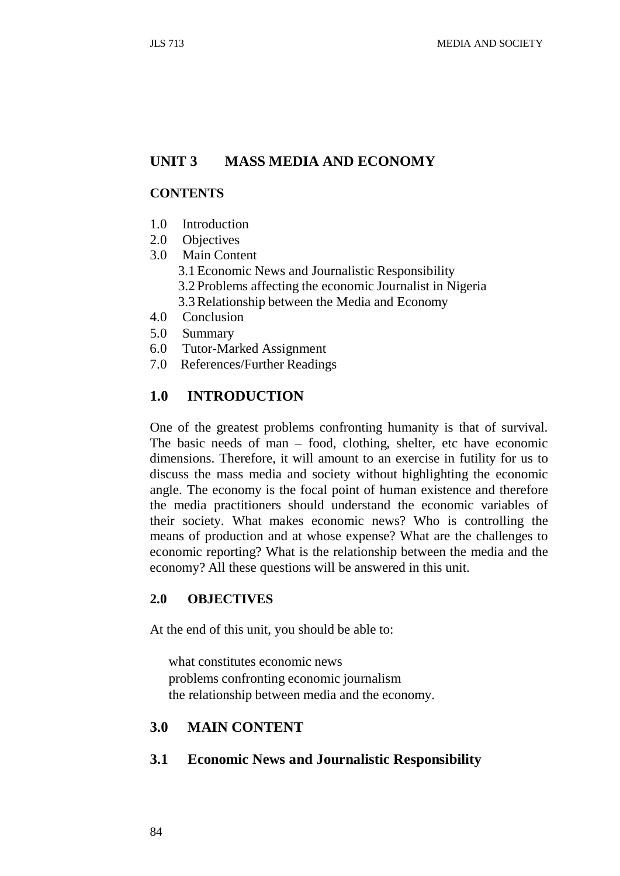### **UNIT 3 MASS MEDIA AND ECONOMY**

#### **CONTENTS**

- 1.0 Introduction
- 2.0 Objectives
- 3.0 Main Content
	- 3.1Economic News and Journalistic Responsibility
	- 3.2 Problems affecting the economic Journalist in Nigeria
	- 3.3Relationship between the Media and Economy
- 4.0 Conclusion
- 5.0 Summary
- 6.0 Tutor-Marked Assignment
- 7.0 References/Further Readings

#### **1.0 INTRODUCTION**

One of the greatest problems confronting humanity is that of survival. The basic needs of man – food, clothing, shelter, etc have economic dimensions. Therefore, it will amount to an exercise in futility for us to discuss the mass media and society without highlighting the economic angle. The economy is the focal point of human existence and therefore the media practitioners should understand the economic variables of their society. What makes economic news? Who is controlling the means of production and at whose expense? What are the challenges to economic reporting? What is the relationship between the media and the economy? All these questions will be answered in this unit.

## **2.0 OBJECTIVES**

At the end of this unit, you should be able to:

what constitutes economic news problems confronting economic journalism the relationship between media and the economy.

#### **3.0 MAIN CONTENT**

#### **3.1 Economic News and Journalistic Responsibility**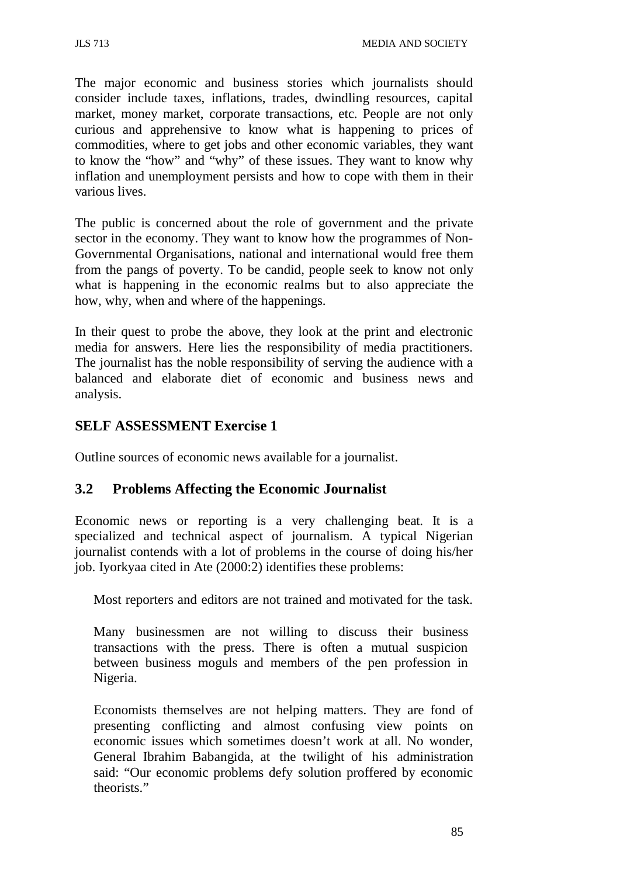The major economic and business stories which journalists should consider include taxes, inflations, trades, dwindling resources, capital market, money market, corporate transactions, etc. People are not only curious and apprehensive to know what is happening to prices of commodities, where to get jobs and other economic variables, they want to know the "how" and "why" of these issues. They want to know why inflation and unemployment persists and how to cope with them in their various lives.

The public is concerned about the role of government and the private sector in the economy. They want to know how the programmes of Non-Governmental Organisations, national and international would free them from the pangs of poverty. To be candid, people seek to know not only what is happening in the economic realms but to also appreciate the how, why, when and where of the happenings.

In their quest to probe the above, they look at the print and electronic media for answers. Here lies the responsibility of media practitioners. The journalist has the noble responsibility of serving the audience with a balanced and elaborate diet of economic and business news and analysis.

# **SELF ASSESSMENT Exercise 1**

Outline sources of economic news available for a journalist.

## **3.2 Problems Affecting the Economic Journalist**

Economic news or reporting is a very challenging beat. It is a specialized and technical aspect of journalism. A typical Nigerian journalist contends with a lot of problems in the course of doing his/her job. Iyorkyaa cited in Ate (2000:2) identifies these problems:

Most reporters and editors are not trained and motivated for the task.

Many businessmen are not willing to discuss their business transactions with the press. There is often a mutual suspicion between business moguls and members of the pen profession in Nigeria.

Economists themselves are not helping matters. They are fond of presenting conflicting and almost confusing view points on economic issues which sometimes doesn't work at all. No wonder, General Ibrahim Babangida, at the twilight of his administration said: "Our economic problems defy solution proffered by economic theorists."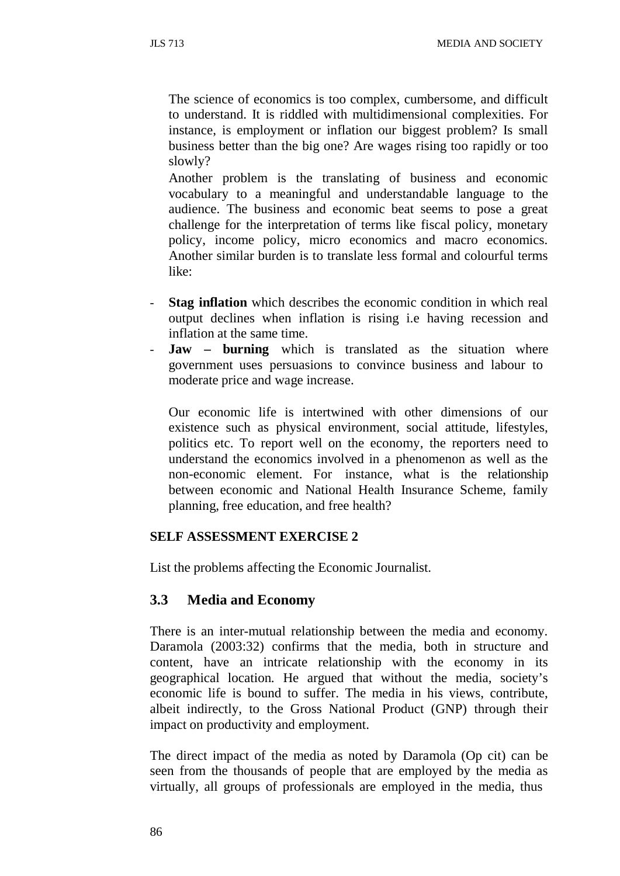The science of economics is too complex, cumbersome, and difficult to understand. It is riddled with multidimensional complexities. For instance, is employment or inflation our biggest problem? Is small business better than the big one? Are wages rising too rapidly or too slowly?

Another problem is the translating of business and economic vocabulary to a meaningful and understandable language to the audience. The business and economic beat seems to pose a great challenge for the interpretation of terms like fiscal policy, monetary policy, income policy, micro economics and macro economics. Another similar burden is to translate less formal and colourful terms like:

- **Stag inflation** which describes the economic condition in which real output declines when inflation is rising i.e having recession and inflation at the same time.
- **Jaw burning** which is translated as the situation where government uses persuasions to convince business and labour to moderate price and wage increase.

Our economic life is intertwined with other dimensions of our existence such as physical environment, social attitude, lifestyles, politics etc. To report well on the economy, the reporters need to understand the economics involved in a phenomenon as well as the non-economic element. For instance, what is the relationship between economic and National Health Insurance Scheme, family planning, free education, and free health?

#### **SELF ASSESSMENT EXERCISE 2**

List the problems affecting the Economic Journalist.

#### **3.3 Media and Economy**

There is an inter-mutual relationship between the media and economy. Daramola (2003:32) confirms that the media, both in structure and content, have an intricate relationship with the economy in its geographical location. He argued that without the media, society's economic life is bound to suffer. The media in his views, contribute, albeit indirectly, to the Gross National Product (GNP) through their impact on productivity and employment.

The direct impact of the media as noted by Daramola (Op cit) can be seen from the thousands of people that are employed by the media as virtually, all groups of professionals are employed in the media, thus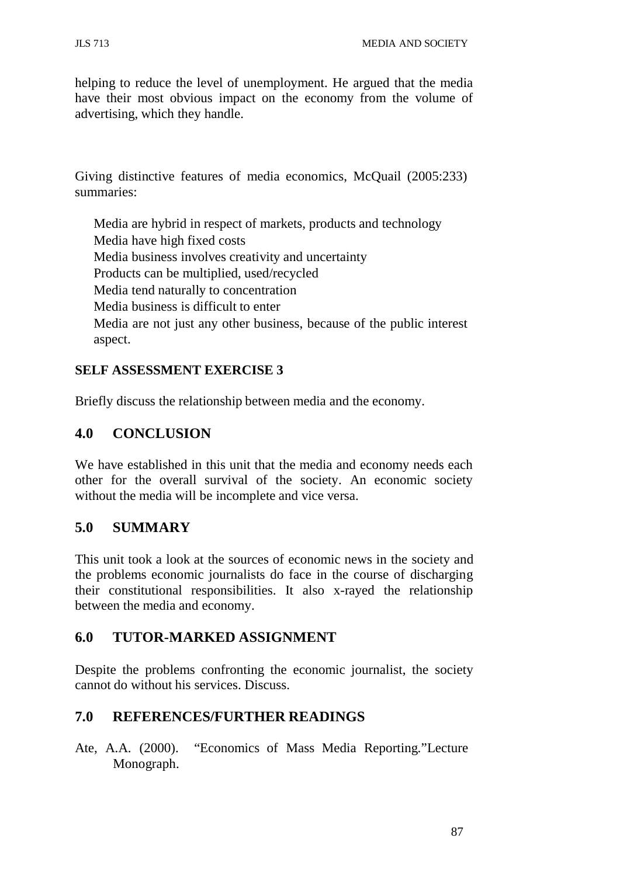helping to reduce the level of unemployment. He argued that the media have their most obvious impact on the economy from the volume of advertising, which they handle.

Giving distinctive features of media economics, McQuail (2005:233) summaries:

Media are hybrid in respect of markets, products and technology Media have high fixed costs Media business involves creativity and uncertainty Products can be multiplied, used/recycled Media tend naturally to concentration Media business is difficult to enter Media are not just any other business, because of the public interest aspect.

## **SELF ASSESSMENT EXERCISE 3**

Briefly discuss the relationship between media and the economy.

# **4.0 CONCLUSION**

We have established in this unit that the media and economy needs each other for the overall survival of the society. An economic society without the media will be incomplete and vice versa.

## **5.0 SUMMARY**

This unit took a look at the sources of economic news in the society and the problems economic journalists do face in the course of discharging their constitutional responsibilities. It also x-rayed the relationship between the media and economy.

## **6.0 TUTOR-MARKED ASSIGNMENT**

Despite the problems confronting the economic journalist, the society cannot do without his services. Discuss.

# **7.0 REFERENCES/FURTHER READINGS**

Ate, A.A. (2000). "Economics of Mass Media Reporting."Lecture Monograph.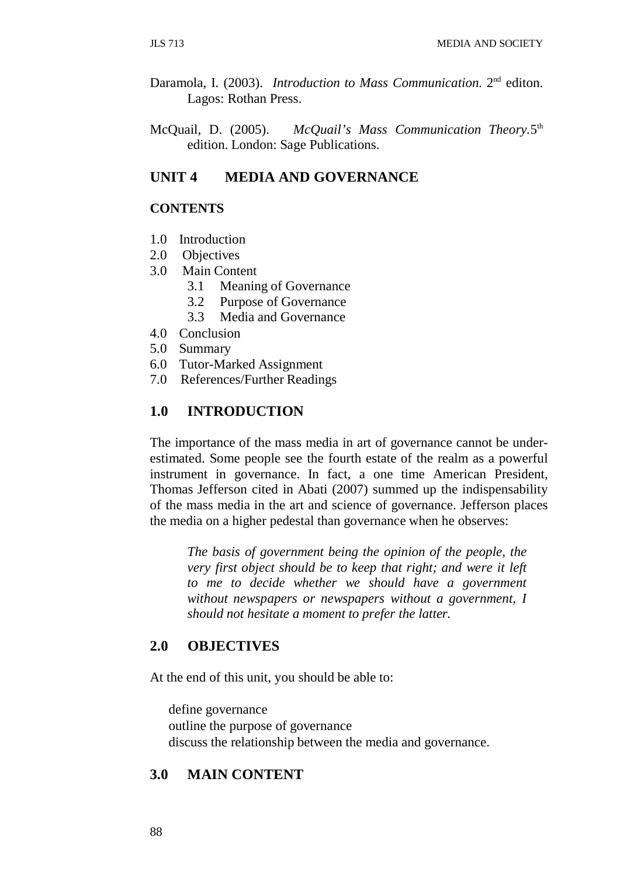- Daramola, I. (2003). *Introduction to Mass Communication.* 2nd editon. Lagos: Rothan Press.
- McQuail, D. (2005). *McQuail's Mass Communication Theory.*5th edition. London: Sage Publications.

## **UNIT 4 MEDIA AND GOVERNANCE**

#### **CONTENTS**

- 1.0 Introduction
- 2.0 Objectives
- 3.0 Main Content
	- 3.1 Meaning of Governance
	- 3.2 Purpose of Governance
	- 3.3 Media and Governance
- 4.0 Conclusion
- 5.0 Summary
- 6.0 Tutor-Marked Assignment
- 7.0 References/Further Readings

#### **1.0 INTRODUCTION**

The importance of the mass media in art of governance cannot be underestimated. Some people see the fourth estate of the realm as a powerful instrument in governance. In fact, a one time American President, Thomas Jefferson cited in Abati (2007) summed up the indispensability of the mass media in the art and science of governance. Jefferson places the media on a higher pedestal than governance when he observes:

*The basis of government being the opinion of the people, the very first object should be to keep that right; and were it left to me to decide whether we should have a government without newspapers or newspapers without a government, I should not hesitate a moment to prefer the latter.*

#### **2.0 OBJECTIVES**

At the end of this unit, you should be able to:

define governance outline the purpose of governance discuss the relationship between the media and governance.

#### **3.0 MAIN CONTENT**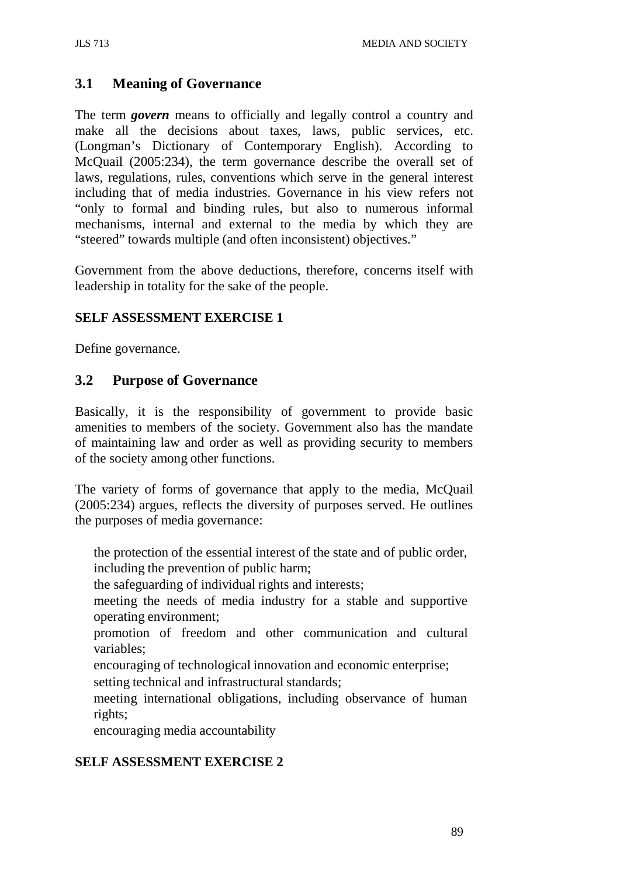## **3.1 Meaning of Governance**

The term *govern* means to officially and legally control a country and make all the decisions about taxes, laws, public services, etc. (Longman's Dictionary of Contemporary English). According to McQuail (2005:234), the term governance describe the overall set of laws, regulations, rules, conventions which serve in the general interest including that of media industries. Governance in his view refers not "only to formal and binding rules, but also to numerous informal mechanisms, internal and external to the media by which they are "steered" towards multiple (and often inconsistent) objectives."

Government from the above deductions, therefore, concerns itself with leadership in totality for the sake of the people.

## **SELF ASSESSMENT EXERCISE 1**

Define governance.

### **3.2 Purpose of Governance**

Basically, it is the responsibility of government to provide basic amenities to members of the society. Government also has the mandate of maintaining law and order as well as providing security to members of the society among other functions.

The variety of forms of governance that apply to the media, McQuail (2005:234) argues, reflects the diversity of purposes served. He outlines the purposes of media governance:

the protection of the essential interest of the state and of public order, including the prevention of public harm;

the safeguarding of individual rights and interests;

meeting the needs of media industry for a stable and supportive operating environment;

promotion of freedom and other communication and cultural variables;

encouraging of technological innovation and economic enterprise;

setting technical and infrastructural standards;

meeting international obligations, including observance of human rights;

encouraging media accountability

## **SELF ASSESSMENT EXERCISE 2**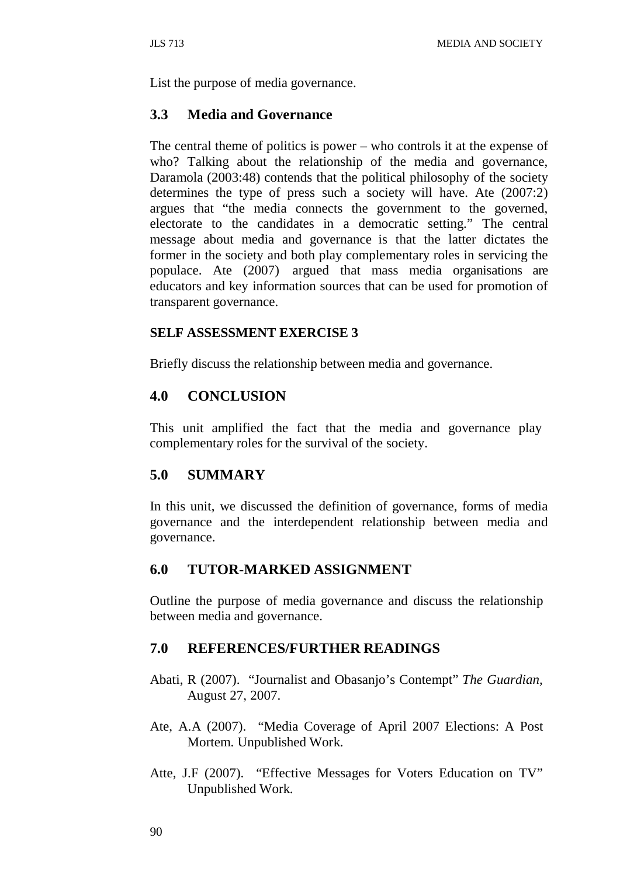List the purpose of media governance.

### **3.3 Media and Governance**

The central theme of politics is power – who controls it at the expense of who? Talking about the relationship of the media and governance, Daramola (2003:48) contends that the political philosophy of the society determines the type of press such a society will have. Ate (2007:2) argues that "the media connects the government to the governed, electorate to the candidates in a democratic setting." The central message about media and governance is that the latter dictates the former in the society and both play complementary roles in servicing the populace. Ate (2007) argued that mass media organisations are educators and key information sources that can be used for promotion of transparent governance.

#### **SELF ASSESSMENT EXERCISE 3**

Briefly discuss the relationship between media and governance.

## **4.0 CONCLUSION**

This unit amplified the fact that the media and governance play complementary roles for the survival of the society.

## **5.0 SUMMARY**

In this unit, we discussed the definition of governance, forms of media governance and the interdependent relationship between media and governance.

## **6.0 TUTOR-MARKED ASSIGNMENT**

Outline the purpose of media governance and discuss the relationship between media and governance.

## **7.0 REFERENCES/FURTHER READINGS**

- Abati, R (2007). "Journalist and Obasanjo's Contempt" *The Guardian,* August 27, 2007.
- Ate, A.A (2007). "Media Coverage of April 2007 Elections: A Post Mortem. Unpublished Work.
- Atte, J.F (2007). "Effective Messages for Voters Education on TV" Unpublished Work.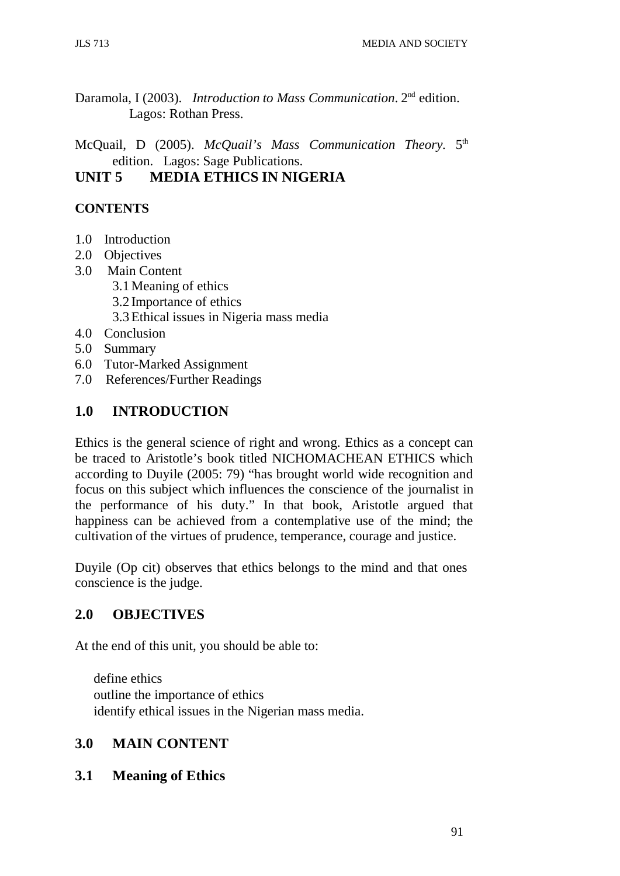Daramola, I (2003). *Introduction to Mass Communication*. 2nd edition. Lagos: Rothan Press.

McQuail, D (2005). *McQuail's Mass Communication Theory.* 5th edition. Lagos: Sage Publications.

## **UNIT 5 MEDIA ETHICS IN NIGERIA**

## **CONTENTS**

- 1.0 Introduction
- 2.0 Objectives
- 3.0 Main Content
	- 3.1Meaning of ethics
	- 3.2 Importance of ethics
	- 3.3Ethical issues in Nigeria mass media
- 4.0 Conclusion
- 5.0 Summary
- 6.0 Tutor-Marked Assignment
- 7.0 References/Further Readings

## **1.0 INTRODUCTION**

Ethics is the general science of right and wrong. Ethics as a concept can be traced to Aristotle's book titled NICHOMACHEAN ETHICS which according to Duyile (2005: 79) "has brought world wide recognition and focus on this subject which influences the conscience of the journalist in the performance of his duty." In that book, Aristotle argued that happiness can be achieved from a contemplative use of the mind; the cultivation of the virtues of prudence, temperance, courage and justice.

Duyile (Op cit) observes that ethics belongs to the mind and that ones conscience is the judge.

## **2.0 OBJECTIVES**

At the end of this unit, you should be able to:

define ethics outline the importance of ethics identify ethical issues in the Nigerian mass media.

## **3.0 MAIN CONTENT**

## **3.1 Meaning of Ethics**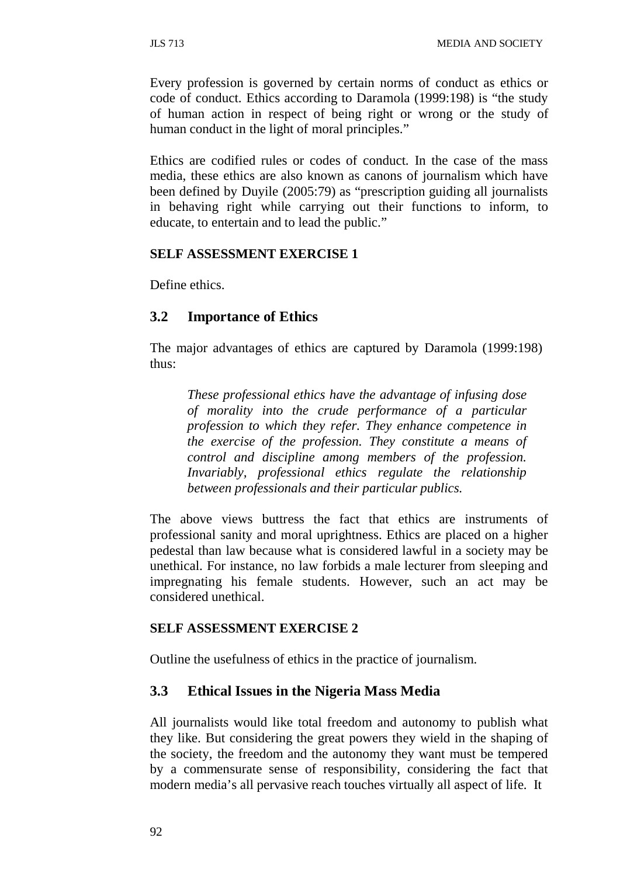Every profession is governed by certain norms of conduct as ethics or code of conduct. Ethics according to Daramola (1999:198) is "the study of human action in respect of being right or wrong or the study of human conduct in the light of moral principles."

Ethics are codified rules or codes of conduct. In the case of the mass media, these ethics are also known as canons of journalism which have been defined by Duyile (2005:79) as "prescription guiding all journalists in behaving right while carrying out their functions to inform, to educate, to entertain and to lead the public."

#### **SELF ASSESSMENT EXERCISE 1**

Define ethics.

## **3.2 Importance of Ethics**

The major advantages of ethics are captured by Daramola (1999:198) thus:

*These professional ethics have the advantage of infusing dose of morality into the crude performance of a particular profession to which they refer. They enhance competence in the exercise of the profession. They constitute a means of control and discipline among members of the profession. Invariably, professional ethics regulate the relationship between professionals and their particular publics.*

The above views buttress the fact that ethics are instruments of professional sanity and moral uprightness. Ethics are placed on a higher pedestal than law because what is considered lawful in a society may be unethical. For instance, no law forbids a male lecturer from sleeping and impregnating his female students. However, such an act may be considered unethical.

#### **SELF ASSESSMENT EXERCISE 2**

Outline the usefulness of ethics in the practice of journalism.

### **3.3 Ethical Issues in the Nigeria Mass Media**

All journalists would like total freedom and autonomy to publish what they like. But considering the great powers they wield in the shaping of the society, the freedom and the autonomy they want must be tempered by a commensurate sense of responsibility, considering the fact that modern media's all pervasive reach touches virtually all aspect of life. It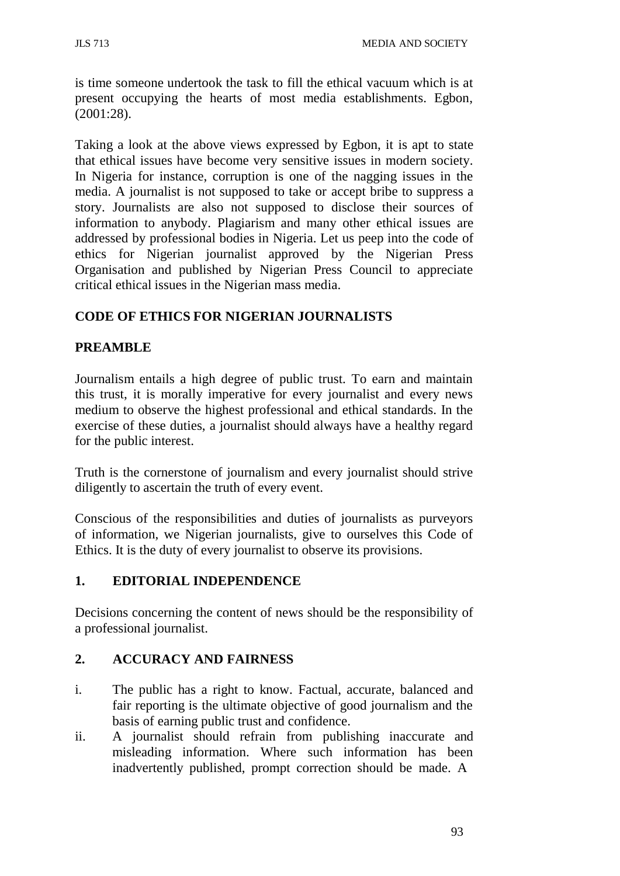is time someone undertook the task to fill the ethical vacuum which is at present occupying the hearts of most media establishments. Egbon, (2001:28).

Taking a look at the above views expressed by Egbon, it is apt to state that ethical issues have become very sensitive issues in modern society. In Nigeria for instance, corruption is one of the nagging issues in the media. A journalist is not supposed to take or accept bribe to suppress a story. Journalists are also not supposed to disclose their sources of information to anybody. Plagiarism and many other ethical issues are addressed by professional bodies in Nigeria. Let us peep into the code of ethics for Nigerian journalist approved by the Nigerian Press Organisation and published by Nigerian Press Council to appreciate critical ethical issues in the Nigerian mass media.

## **CODE OF ETHICS FOR NIGERIAN JOURNALISTS**

### **PREAMBLE**

Journalism entails a high degree of public trust. To earn and maintain this trust, it is morally imperative for every journalist and every news medium to observe the highest professional and ethical standards. In the exercise of these duties, a journalist should always have a healthy regard for the public interest.

Truth is the cornerstone of journalism and every journalist should strive diligently to ascertain the truth of every event.

Conscious of the responsibilities and duties of journalists as purveyors of information, we Nigerian journalists, give to ourselves this Code of Ethics. It is the duty of every journalist to observe its provisions.

#### **1. EDITORIAL INDEPENDENCE**

Decisions concerning the content of news should be the responsibility of a professional journalist.

#### **2. ACCURACY AND FAIRNESS**

- i. The public has a right to know. Factual, accurate, balanced and fair reporting is the ultimate objective of good journalism and the basis of earning public trust and confidence.
- ii. A journalist should refrain from publishing inaccurate and misleading information. Where such information has been inadvertently published, prompt correction should be made. A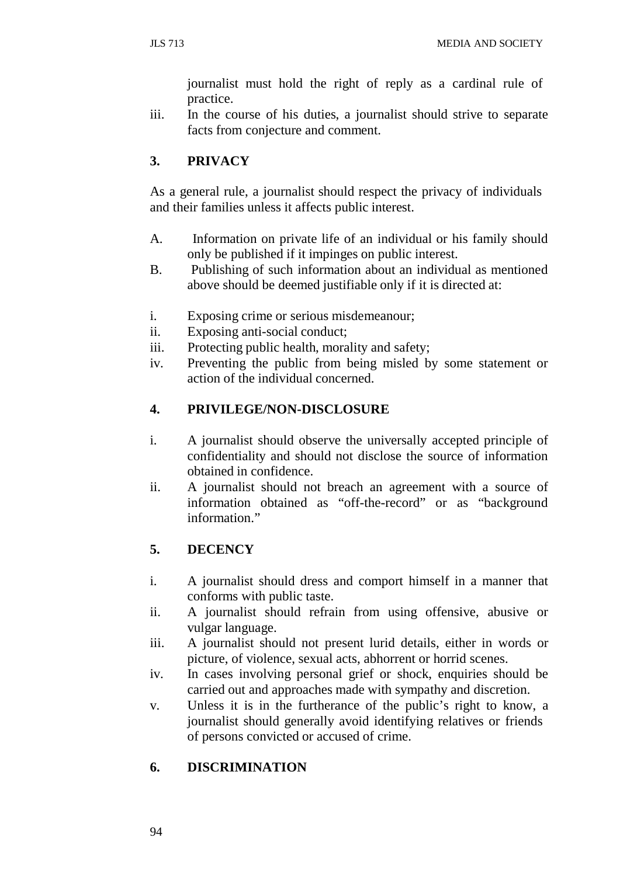journalist must hold the right of reply as a cardinal rule of practice.

iii. In the course of his duties, a journalist should strive to separate facts from conjecture and comment.

## **3. PRIVACY**

As a general rule, a journalist should respect the privacy of individuals and their families unless it affects public interest.

- A. Information on private life of an individual or his family should only be published if it impinges on public interest.
- B. Publishing of such information about an individual as mentioned above should be deemed justifiable only if it is directed at:
- i. Exposing crime or serious misdemeanour;
- ii. Exposing anti-social conduct;
- iii. Protecting public health, morality and safety;
- iv. Preventing the public from being misled by some statement or action of the individual concerned.

#### **4. PRIVILEGE/NON-DISCLOSURE**

- i. A journalist should observe the universally accepted principle of confidentiality and should not disclose the source of information obtained in confidence.
- ii. A journalist should not breach an agreement with a source of information obtained as "off-the-record" or as "background information."

## **5. DECENCY**

- i. A journalist should dress and comport himself in a manner that conforms with public taste.
- ii. A journalist should refrain from using offensive, abusive or vulgar language.
- iii. A journalist should not present lurid details, either in words or picture, of violence, sexual acts, abhorrent or horrid scenes.
- iv. In cases involving personal grief or shock, enquiries should be carried out and approaches made with sympathy and discretion.
- v. Unless it is in the furtherance of the public's right to know, a journalist should generally avoid identifying relatives or friends of persons convicted or accused of crime.

#### **6. DISCRIMINATION**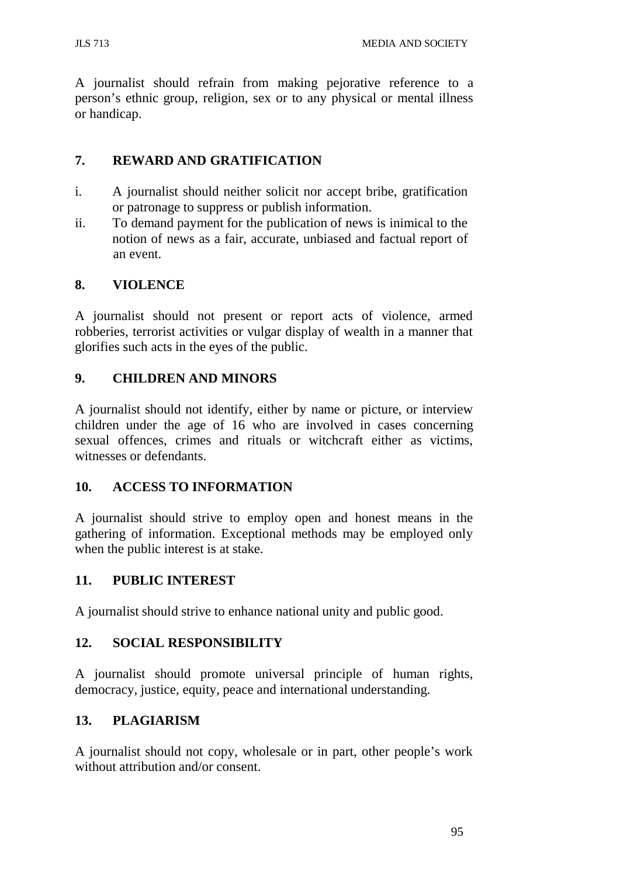JLS 713 MEDIA AND SOCIETY

A journalist should refrain from making pejorative reference to a person's ethnic group, religion, sex or to any physical or mental illness or handicap.

### **7. REWARD AND GRATIFICATION**

- i. A journalist should neither solicit nor accept bribe, gratification or patronage to suppress or publish information.
- ii. To demand payment for the publication of news is inimical to the notion of news as a fair, accurate, unbiased and factual report of an event.

### **8. VIOLENCE**

A journalist should not present or report acts of violence, armed robberies, terrorist activities or vulgar display of wealth in a manner that glorifies such acts in the eyes of the public.

### **9. CHILDREN AND MINORS**

A journalist should not identify, either by name or picture, or interview children under the age of 16 who are involved in cases concerning sexual offences, crimes and rituals or witchcraft either as victims, witnesses or defendants.

#### **10. ACCESS TO INFORMATION**

A journalist should strive to employ open and honest means in the gathering of information. Exceptional methods may be employed only when the public interest is at stake.

#### **11. PUBLIC INTEREST**

A journalist should strive to enhance national unity and public good.

#### **12. SOCIAL RESPONSIBILITY**

A journalist should promote universal principle of human rights, democracy, justice, equity, peace and international understanding.

#### **13. PLAGIARISM**

A journalist should not copy, wholesale or in part, other people's work without attribution and/or consent.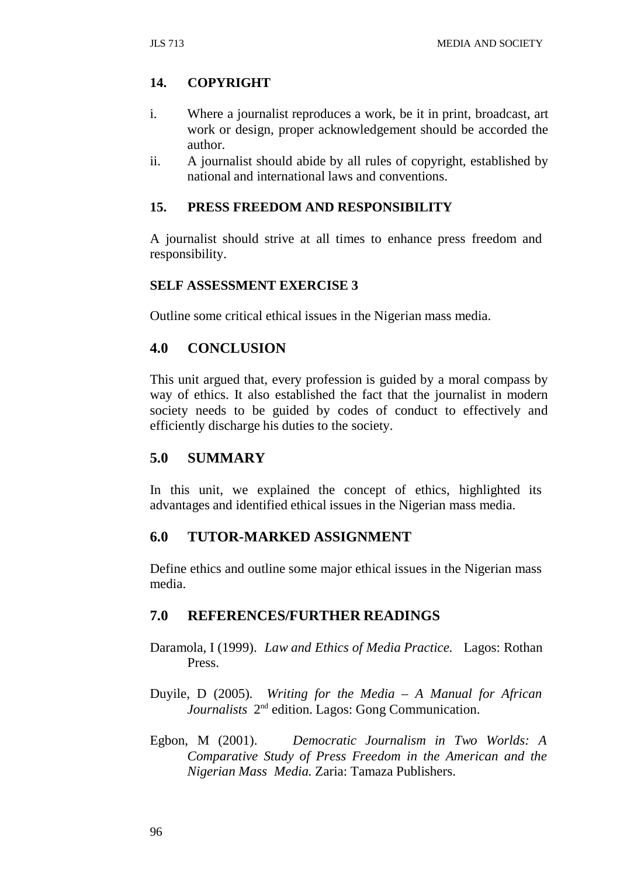### **14. COPYRIGHT**

- i. Where a journalist reproduces a work, be it in print, broadcast, art work or design, proper acknowledgement should be accorded the author.
- ii. A journalist should abide by all rules of copyright, established by national and international laws and conventions.

#### **15. PRESS FREEDOM AND RESPONSIBILITY**

A journalist should strive at all times to enhance press freedom and responsibility.

#### **SELF ASSESSMENT EXERCISE 3**

Outline some critical ethical issues in the Nigerian mass media.

#### **4.0 CONCLUSION**

This unit argued that, every profession is guided by a moral compass by way of ethics. It also established the fact that the journalist in modern society needs to be guided by codes of conduct to effectively and efficiently discharge his duties to the society.

#### **5.0 SUMMARY**

In this unit, we explained the concept of ethics, highlighted its advantages and identified ethical issues in the Nigerian mass media.

#### **6.0 TUTOR-MARKED ASSIGNMENT**

Define ethics and outline some major ethical issues in the Nigerian mass media.

#### **7.0 REFERENCES/FURTHER READINGS**

- Daramola, I (1999). *Law and Ethics of Media Practice.* Lagos: Rothan Press.
- Duyile, D (2005). *Writing for the Media – A Manual for African Journalists* 2nd edition. Lagos: Gong Communication.
- Egbon, M (2001). *Democratic Journalism in Two Worlds: A Comparative Study of Press Freedom in the American and the Nigerian Mass Media.* Zaria: Tamaza Publishers.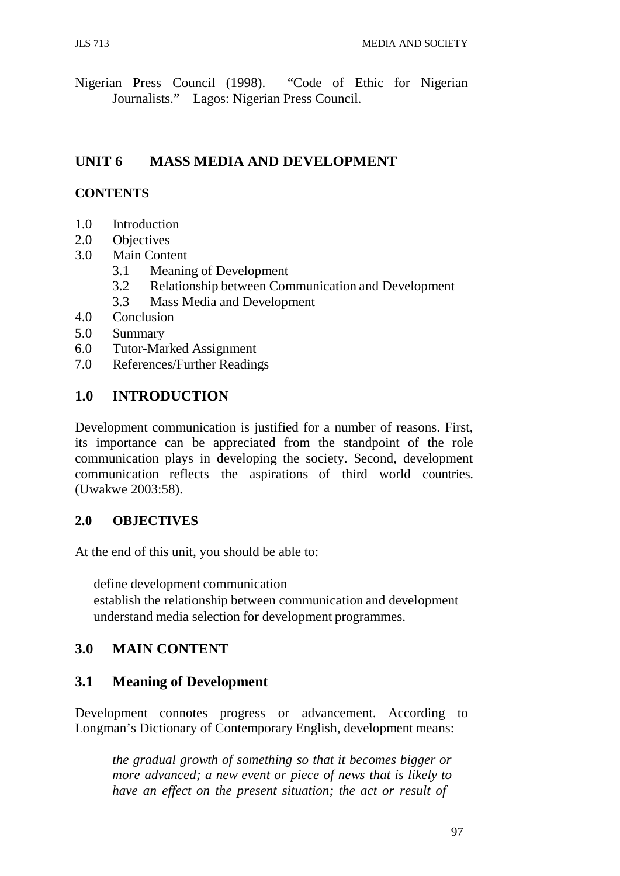Nigerian Press Council (1998). "Code of Ethic for Nigerian Journalists." Lagos: Nigerian Press Council.

# **UNIT 6 MASS MEDIA AND DEVELOPMENT**

### **CONTENTS**

- 1.0 Introduction
- 2.0 Objectives
- 3.0 Main Content
	- 3.1 Meaning of Development
	- 3.2 Relationship between Communication and Development
	- 3.3 Mass Media and Development
- 4.0 Conclusion
- 5.0 Summary
- 6.0 Tutor-Marked Assignment
- 7.0 References/Further Readings

## **1.0 INTRODUCTION**

Development communication is justified for a number of reasons. First, its importance can be appreciated from the standpoint of the role communication plays in developing the society. Second, development communication reflects the aspirations of third world countries. (Uwakwe 2003:58).

#### **2.0 OBJECTIVES**

At the end of this unit, you should be able to:

define development communication

establish the relationship between communication and development understand media selection for development programmes.

## **3.0 MAIN CONTENT**

## **3.1 Meaning of Development**

Development connotes progress or advancement. According to Longman's Dictionary of Contemporary English, development means:

*the gradual growth of something so that it becomes bigger or more advanced; a new event or piece of news that is likely to have an effect on the present situation; the act or result of*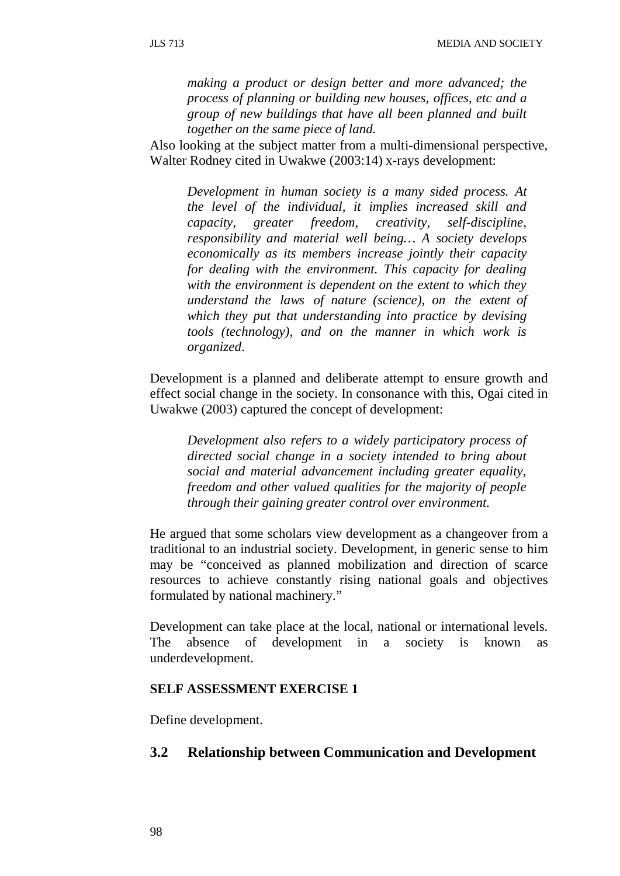*making a product or design better and more advanced; the process of planning or building new houses, offices, etc and a group of new buildings that have all been planned and built together on the same piece of land.*

Also looking at the subject matter from a multi-dimensional perspective, Walter Rodney cited in Uwakwe (2003:14) x-rays development:

*Development in human society is a many sided process. At the level of the individual, it implies increased skill and capacity, greater freedom, creativity, self-discipline, responsibility and material well being… A society develops economically as its members increase jointly their capacity for dealing with the environment. This capacity for dealing with the environment is dependent on the extent to which they understand the laws of nature (science), on the extent of which they put that understanding into practice by devising tools (technology), and on the manner in which work is organized*.

Development is a planned and deliberate attempt to ensure growth and effect social change in the society. In consonance with this, Ogai cited in Uwakwe (2003) captured the concept of development:

*Development also refers to a widely participatory process of directed social change in a society intended to bring about social and material advancement including greater equality, freedom and other valued qualities for the majority of people through their gaining greater control over environment.*

He argued that some scholars view development as a changeover from a traditional to an industrial society. Development, in generic sense to him may be "conceived as planned mobilization and direction of scarce resources to achieve constantly rising national goals and objectives formulated by national machinery."

Development can take place at the local, national or international levels. The absence of development in a society is known as underdevelopment.

#### **SELF ASSESSMENT EXERCISE 1**

Define development.

## **3.2 Relationship between Communication and Development**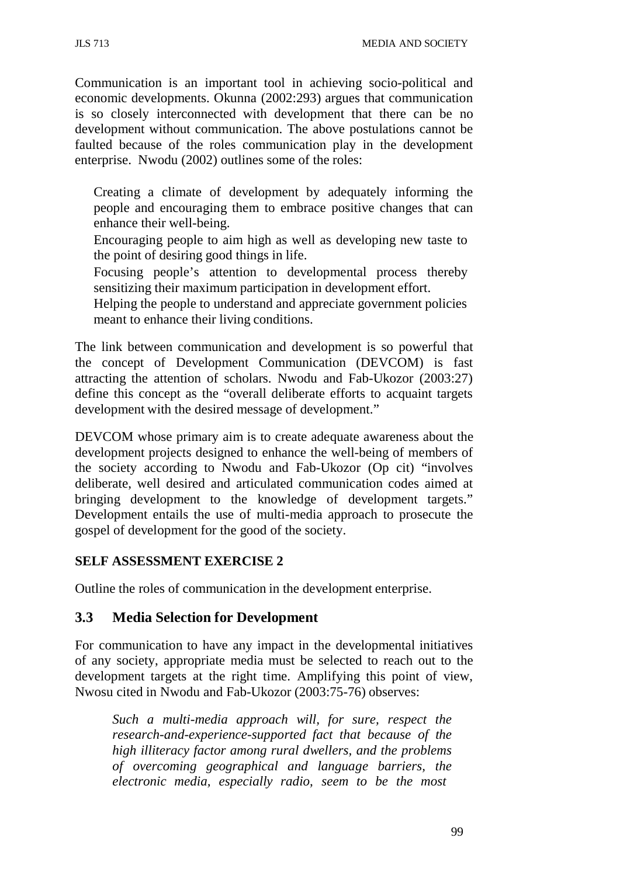Communication is an important tool in achieving socio-political and economic developments. Okunna (2002:293) argues that communication is so closely interconnected with development that there can be no development without communication. The above postulations cannot be faulted because of the roles communication play in the development enterprise. Nwodu (2002) outlines some of the roles:

Creating a climate of development by adequately informing the people and encouraging them to embrace positive changes that can enhance their well-being.

Encouraging people to aim high as well as developing new taste to the point of desiring good things in life.

Focusing people's attention to developmental process thereby sensitizing their maximum participation in development effort.

Helping the people to understand and appreciate government policies meant to enhance their living conditions.

The link between communication and development is so powerful that the concept of Development Communication (DEVCOM) is fast attracting the attention of scholars. Nwodu and Fab-Ukozor (2003:27) define this concept as the "overall deliberate efforts to acquaint targets development with the desired message of development."

DEVCOM whose primary aim is to create adequate awareness about the development projects designed to enhance the well-being of members of the society according to Nwodu and Fab-Ukozor (Op cit) "involves deliberate, well desired and articulated communication codes aimed at bringing development to the knowledge of development targets." Development entails the use of multi-media approach to prosecute the gospel of development for the good of the society.

#### **SELF ASSESSMENT EXERCISE 2**

Outline the roles of communication in the development enterprise.

#### **3.3 Media Selection for Development**

For communication to have any impact in the developmental initiatives of any society, appropriate media must be selected to reach out to the development targets at the right time. Amplifying this point of view, Nwosu cited in Nwodu and Fab-Ukozor (2003:75-76) observes:

*Such a multi-media approach will, for sure, respect the research-and-experience-supported fact that because of the high illiteracy factor among rural dwellers, and the problems of overcoming geographical and language barriers, the electronic media, especially radio, seem to be the most*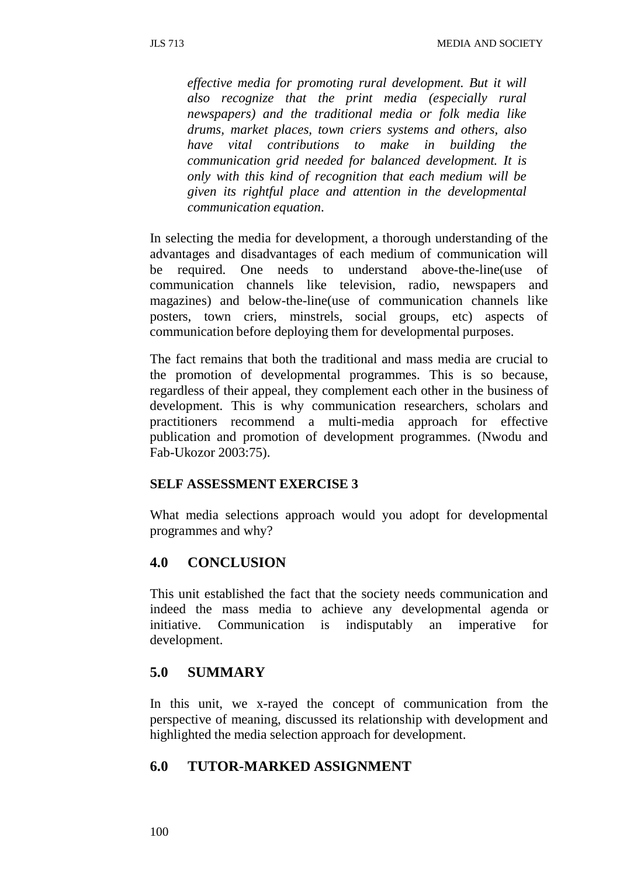*effective media for promoting rural development. But it will also recognize that the print media (especially rural newspapers) and the traditional media or folk media like drums, market places, town criers systems and others, also have vital contributions to make in building the communication grid needed for balanced development. It is only with this kind of recognition that each medium will be given its rightful place and attention in the developmental communication equation*.

In selecting the media for development, a thorough understanding of the advantages and disadvantages of each medium of communication will be required. One needs to understand above-the-line(use of communication channels like television, radio, newspapers and magazines) and below-the-line(use of communication channels like posters, town criers, minstrels, social groups, etc) aspects of communication before deploying them for developmental purposes.

The fact remains that both the traditional and mass media are crucial to the promotion of developmental programmes. This is so because, regardless of their appeal, they complement each other in the business of development. This is why communication researchers, scholars and practitioners recommend a multi-media approach for effective publication and promotion of development programmes. (Nwodu and Fab-Ukozor 2003:75).

#### **SELF ASSESSMENT EXERCISE 3**

What media selections approach would you adopt for developmental programmes and why?

## **4.0 CONCLUSION**

This unit established the fact that the society needs communication and indeed the mass media to achieve any developmental agenda or initiative. Communication is indisputably an imperative for development.

## **5.0 SUMMARY**

In this unit, we x-rayed the concept of communication from the perspective of meaning, discussed its relationship with development and highlighted the media selection approach for development.

## **6.0 TUTOR-MARKED ASSIGNMENT**